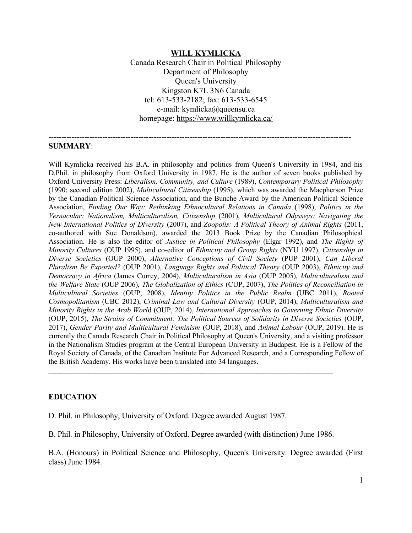#### **WILL KYMLICKA**

Canada Research Chair in Political Philosophy Department of Philosophy Queen's University Kingston K7L 3N6 Canada tel: 613-533-2182; fax: 613-533-6545 e-mail: kymlicka@queensu.ca homepage:<https://www.willkymlicka.ca/>

----------------------------------------------------------------------------------------------------------------------

#### **SUMMARY**:

Will Kymlicka received his B.A. in philosophy and politics from Queen's University in 1984, and his D.Phil. in philosophy from Oxford University in 1987. He is the author of seven books published by Oxford University Press: *Liberalism, Community, and Culture* (1989), *Contemporary Political Philosophy* (1990; second edition 2002), *Multicultural Citizenship* (1995), which was awarded the Macpherson Prize by the Canadian Political Science Association, and the Bunche Award by the American Political Science Association, *Finding Our Way: Rethinking Ethnocultural Relations in Canada* (1998), *Politics in the Vernacular: Nationalism, Multiculturalism, Citizenship* (2001), *Multicultural Odysseys: Navigating the New International Politics of Diversity* (2007), and *Zoopolis: A Political Theory of Animal Rights* (2011, co-authored with Sue Donaldson), awarded the 2013 Book Prize by the Canadian Philosophical Association. He is also the editor of *Justice in Political Philosophy* (Elgar 1992), and *The Rights of Minority Cultures* (OUP 1995), and co-editor of *Ethnicity and Group Rights* (NYU 1997), *Citizenship in Diverse Societies* (OUP 2000), *Alternative Conceptions of Civil Society* (PUP 2001), *Can Liberal Pluralism Be Exported?* (OUP 2001), *Language Rights and Political Theory* (OUP 2003), *Ethnicity and Democracy in Africa* (James Currey, 2004), *Multiculturalism in Asia* (OUP 2005), *Multiculturalism and the Welfare State* (OUP 2006), *The Globalization of Ethics* (CUP, 2007), *The Politics of Reconciliation in Multicultural Societies* (OUP, 2008), *Identity Politics in the Public Realm* (UBC 2011), *Rooted Cosmopolitanism* (UBC 2012), *Criminal Law and Cultural Diversity* (OUP, 2014), *Multiculturalism and Minority Rights in the Arab Worl*d (OUP, 2014), *International Approaches to Governing Ethnic Diversity* (OUP, 2015), *The Strains of Commitment: The Political Sources of Solidarity in Diverse Societies* (OUP, 2017), *Gender Parity and Multicultural Feminism* (OUP, 2018), and *Animal Labour* (OUP, 2019). He is currently the Canada Research Chair in Political Philosophy at Queen's University, and a visiting professor in the Nationalism Studies program at the Central European University in Budapest. He is a Fellow of the Royal Society of Canada, of the Canadian Institute For Advanced Research, and a Corresponding Fellow of the British Academy. His works have been translated into 34 languages.

#### **EDUCATION**

D. Phil. in Philosophy, University of Oxford. Degree awarded August 1987.

B. Phil. in Philosophy, University of Oxford. Degree awarded (with distinction) June 1986.

 $\mathcal{L}_\mathcal{L} = \{ \mathcal{L}_\mathcal{L} = \{ \mathcal{L}_\mathcal{L} = \{ \mathcal{L}_\mathcal{L} = \{ \mathcal{L}_\mathcal{L} = \{ \mathcal{L}_\mathcal{L} = \{ \mathcal{L}_\mathcal{L} = \{ \mathcal{L}_\mathcal{L} = \{ \mathcal{L}_\mathcal{L} = \{ \mathcal{L}_\mathcal{L} = \{ \mathcal{L}_\mathcal{L} = \{ \mathcal{L}_\mathcal{L} = \{ \mathcal{L}_\mathcal{L} = \{ \mathcal{L}_\mathcal{L} = \{ \mathcal{L}_\mathcal{$ 

B.A. (Honours) in Political Science and Philosophy, Queen's University. Degree awarded (First class) June 1984.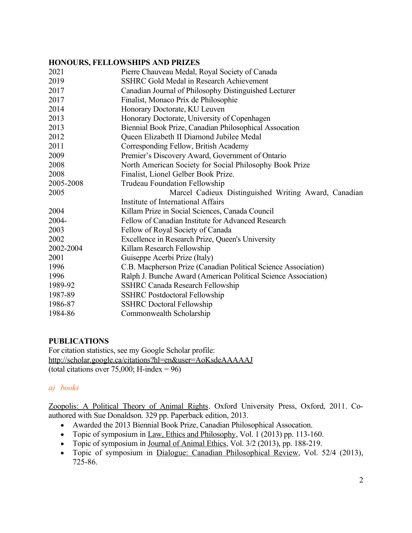### **HONOURS, FELLOWSHIPS AND PRIZES**

| 2021      | Pierre Chauveau Medal, Royal Society of Canada                 |
|-----------|----------------------------------------------------------------|
| 2019      | SSHRC Gold Medal in Research Achievement                       |
| 2017      | Canadian Journal of Philosophy Distinguished Lecturer          |
| 2017      | Finalist, Monaco Prix de Philosophie                           |
| 2014      | Honorary Doctorate, KU Leuven                                  |
| 2013      | Honorary Doctorate, University of Copenhagen                   |
| 2013      | Biennial Book Prize, Canadian Philosophical Assocation         |
| 2012      | Queen Elizabeth II Diamond Jubilee Medal                       |
| 2011      | Corresponding Fellow, British Academy                          |
| 2009      | Premier's Discovery Award, Government of Ontario               |
| 2008      | North American Society for Social Philosophy Book Prize        |
| 2008      | Finalist, Lionel Gelber Book Prize.                            |
| 2005-2008 | Trudeau Foundation Fellowship                                  |
| 2005      | Marcel Cadieux Distinguished Writing Award, Canadian           |
|           | Institute of International Affairs                             |
| 2004      | Killam Prize in Social Sciences, Canada Council                |
| 2004-     | Fellow of Canadian Institute for Advanced Research             |
| 2003      | Fellow of Royal Society of Canada                              |
| 2002      | Excellence in Research Prize, Queen's University               |
| 2002-2004 | Killam Research Fellowship                                     |
| 2001      | Guiseppe Acerbi Prize (Italy)                                  |
| 1996      | C.B. Macpherson Prize (Canadian Political Science Association) |
| 1996      | Ralph J. Bunche Award (American Political Science Association) |
| 1989-92   | <b>SSHRC Canada Research Fellowship</b>                        |
| 1987-89   | <b>SSHRC</b> Postdoctoral Fellowship                           |
| 1986-87   | <b>SSHRC Doctoral Fellowship</b>                               |
| 1984-86   | Commonwealth Scholarship                                       |

### **PUBLICATIONS**

For citation statistics, see my Google Scholar profile: <http://scholar.google.ca/citations?hl=en&user=AoKsdeAAAAAJ> (total citations over 75,000; H-index =  $96$ )

# *a) books*

Zoopolis: A Political Theory of Animal Rights. Oxford University Press, Oxford, 2011. Coauthored with Sue Donaldson. 329 pp. Paperback edition, 2013.

- Awarded the 2013 Biennial Book Prize, Canadian Philosophical Assocation.
- Topic of symposium in Law, Ethics and Philosophy, Vol. 1 (2013) pp. 113-160.
- Topic of symposium in Journal of Animal Ethics, Vol. 3/2 (2013), pp. 188-219.
- Topic of symposium in Dialogue: Canadian Philosophical Review, Vol. 52/4 (2013), 725-86.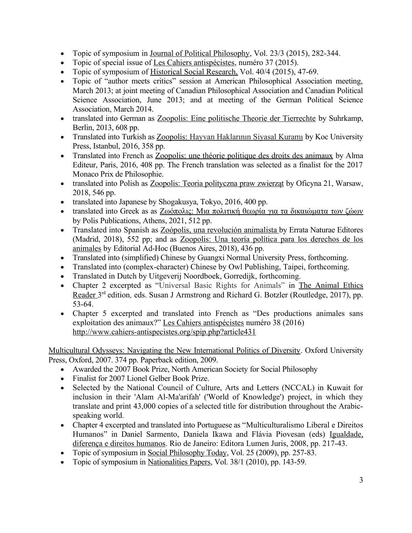- Topic of symposium in Journal of Political Philosophy, Vol. 23/3 (2015), 282-344.
- Topic of special issue of Les Cahiers antispécistes, numéro 37 (2015).
- Topic of symposium of Historical Social Research, Vol. 40/4 (2015), 47-69.
- Topic of "author meets critics" session at American Philosophical Association meeting, March 2013; at joint meeting of Canadian Philosophical Association and Canadian Political Science Association, June 2013; and at meeting of the German Political Science Association, March 2014.
- translated into German as Zoopolis: Eine politische Theorie der Tierrechte by Suhrkamp, Berlin, 2013, 608 pp.
- Translated into Turkish as Zoopolis: Hayvan Haklarının Siyasal Kuramı by Koc University Press, Istanbul, 2016, 358 pp.
- Translated into French as Zoopolis: une théorie politique des droits des animaux by Alma Editeur, Paris, 2016, 408 pp. The French translation was selected as a finalist for the 2017 Monaco Prix de Philosophie.
- translated into Polish as Zoopolis: Teoria polityczna praw zwierząt by Oficyna 21, Warsaw, 2018, 546 pp.
- translated into Japanese by Shogakusya, Tokyo, 2016, 400 pp.
- translated into Greek as as Ζωόπολις: Μια πολιτική θεωρία για τα δικαιώματα των ζώων by Polis Publications, Athens, 2021, 512 pp.
- Translated into Spanish as [Zoópolis, una revolución animalista](http://www.paquebote.com/9788416544639/) by Errata Naturae Editores (Madrid, 2018), 552 pp; and as Zoopolis: Una teoría política para los derechos de los animales by Editorial Ad-Hoc (Buenos Aires, 2018), 436 pp.
- Translated into (simplified) Chinese by Guangxi Normal University Press, forthcoming.
- Translated into (complex-character) Chinese by Owl Publishing, Taipei, forthcoming.
- Translated in Dutch by Uitgeverij Noordboek, Gorredijk, forthcoming.
- Chapter 2 excerpted as "Universal Basic Rights for Animals" in The Animal Ethics Reader 3<sup>rd</sup> edition, eds. Susan J Armstrong and Richard G. Botzler (Routledge, 2017), pp. 53-64.
- Chapter 5 excerpted and translated into French as "Des productions animales sans exploitation des animaux?" Les Cahiers antispécistes numéro 38 (2016) <http://www.cahiers-antispecistes.org/spip.php?article431>

Multicultural Odysseys: Navigating the New International Politics of Diversity. Oxford University Press, Oxford, 2007. 374 pp. Paperback edition, 2009.

- Awarded the 2007 Book Prize, North American Society for Social Philosophy
- Finalist for 2007 Lionel Gelber Book Prize.
- Selected by the National Council of Culture, Arts and Letters (NCCAL) in Kuwait for inclusion in their 'Alam Al-Ma'arifah' ('World of Knowledge') project, in which they translate and print 43,000 copies of a selected title for distribution throughout the Arabicspeaking world.
- Chapter 4 excerpted and translated into Portuguese as "Multiculturalismo Liberal e Direitos Humanos" in Daniel Sarmento, Daniela Ikawa and Flávia Piovesan (eds) Igualdade, diferença e direitos humanos. Rio de Janeiro: Editora Lumen Juris, 2008, pp. 217-43.
- Topic of symposium in Social Philosophy Today, Vol. 25 (2009), pp. 257-83.
- Topic of symposium in Nationalities Papers, Vol. 38/1 (2010), pp. 143-59.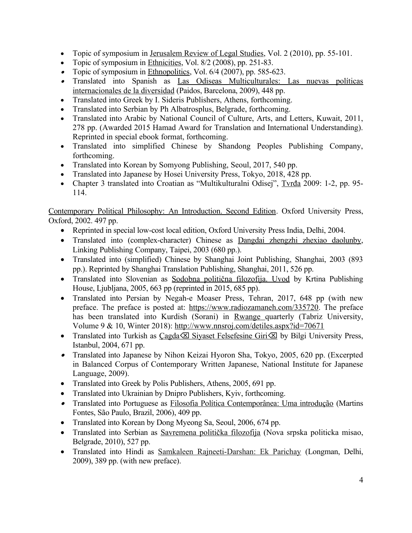- Topic of symposium in Jerusalem Review of Legal Studies, Vol. 2 (2010), pp. 55-101.
- Topic of symposium in Ethnicities, Vol.  $8/2$  (2008), pp. 251-83.
- Topic of symposium in Ethnopolitics, Vol.  $6/4$  (2007), pp. 585-623.
- Translated into Spanish as Las Odiseas Multiculturales: Las nuevas políticas internacionales de la diversidad (Paidos, Barcelona, 2009), 448 pp.
- Translated into Greek by I. Sideris Publishers, Athens, forthcoming.
- Translated into Serbian by Ph Albatrosplus, Belgrade, forthcoming.
- Translated into Arabic by National Council of Culture, Arts, and Letters, Kuwait, 2011, 278 pp. (Awarded 2015 Hamad Award for Translation and International Understanding). Reprinted in special ebook format, forthcoming.
- Translated into simplified Chinese by Shandong Peoples Publishing Company, forthcoming.
- Translated into Korean by Somyong Publishing, Seoul, 2017, 540 pp.
- Translated into Japanese by Hosei University Press, Tokyo, 2018, 428 pp.
- Chapter 3 translated into Croatian as "Multikulturalni Odisej", Tvrđa 2009: 1-2, pp. 95- 114.

Contemporary Political Philosophy: An Introduction. Second Edition. Oxford University Press, Oxford, 2002. 497 pp.

- Reprinted in special low-cost local edition, Oxford University Press India, Delhi, 2004.
- Translated into (complex-character) Chinese as Dangdai zhengzhi zhexiao daolunby, Linking Publishing Company, Taipei, 2003 (680 pp.).
- Translated into (simplified) Chinese by Shanghai Joint Publishing, Shanghai, 2003 (893) pp.). Reprinted by Shanghai Translation Publishing, Shanghai, 2011, 526 pp.
- Translated into Slovenian as Sodobna politična filozofija. Uvod by Krtina Publishing House, Ljubljana, 2005, 663 pp (reprinted in 2015, 685 pp).
- Translated into Persian by Negah-e Moaser Press, Tehran, 2017, 648 pp (with new preface. The preface is posted at:<https://www.radiozamaneh.com/335720>. The preface has been translated into Kurdish (Sorani) in Rwange quarterly (Tabriz University, Volume 9 & 10, Winter 2018): <http://www.nnsroj.com/detiles.aspx?id=70671>
- Translated into Turkish as  $Cagda \times Siyaset \nFelsefesine Giri \times b$  by Bilgi University Press, Istanbul, 2004, 671 pp.
- Translated into Japanese by Nihon Keizai Hyoron Sha, Tokyo, 2005, 620 pp. (Excerpted in Balanced Corpus of Contemporary Written Japanese, National Institute for Japanese Language, 2009).
- Translated into Greek by Polis Publishers, Athens, 2005, 691 pp.
- Translated into Ukrainian by Dnipro Publishers, Kyiv, forthcoming.
- **·** Translated into Portuguese as Filosofia Política Contemporânea: Uma introdução (Martins Fontes, São Paulo, Brazil, 2006), 409 pp.
- Translated into Korean by Dong Myeong Sa, Seoul, 2006, 674 pp.
- Translated into Serbian as [Savremena politička filozofija](http://www.yu4you.com/Savremena-politicka-filozofija-Vil-Kimlika,knjiga,13019,sr) (Nova srpska politicka misao, Belgrade, 2010), 527 pp.
- Translated into Hindi as Samkaleen Rajneeti-Darshan: Ek Parichay (Longman, Delhi, 2009), 389 pp. (with new preface).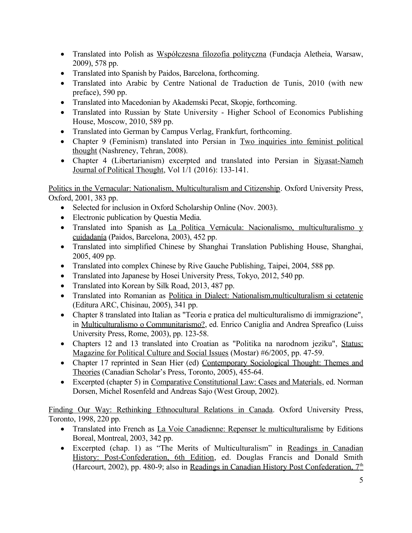- Translated into Polish as Współczesna filozofia polityczna (Fundacja Aletheia, Warsaw, 2009), 578 pp.
- Translated into Spanish by Paidos, Barcelona, forthcoming.
- Translated into Arabic by Centre National de Traduction de Tunis, 2010 (with new preface), 590 pp.
- Translated into Macedonian by Akademski Pecat, Skopje, forthcoming.
- Translated into Russian by State University Higher School of Economics Publishing House, Moscow, 2010, 589 pp.
- Translated into German by Campus Verlag, Frankfurt, forthcoming.
- Chapter 9 (Feminism) translated into Persian in Two inquiries into feminist political thought (Nashreney, Tehran, 2008).
- Chapter 4 (Libertarianism) excerpted and translated into Persian in Siyasat-Nameh Journal of Political Thought, Vol 1/1 (2016): 133-141.

Politics in the Vernacular: Nationalism, Multiculturalism and Citizenship. Oxford University Press, Oxford, 2001, 383 pp.

- Selected for inclusion in Oxford Scholarship Online (Nov. 2003).
- Electronic publication by Questia Media.
- Translated into Spanish as La Política Vernácula: Nacionalismo, multiculturalismo y cuidadanía (Paidos, Barcelona, 2003), 452 pp.
- Translated into simplified Chinese by Shanghai Translation Publishing House, Shanghai, 2005, 409 pp.
- Translated into complex Chinese by Rive Gauche Publishing, Taipei, 2004, 588 pp.
- Translated into Japanese by Hosei University Press, Tokyo, 2012, 540 pp.
- Translated into Korean by Silk Road, 2013, 487 pp.
- Translated into Romanian as Politica in Dialect: Nationalism,multiculturalism si cetatenie (Editura ARC, Chisinau, 2005), 341 pp.
- Chapter 8 translated into Italian as "Teoria e pratica del multiculturalismo di immigrazione", in Multiculturalismo o Communitarismo?, ed. Enrico Caniglia and Andrea Spreafico (Luiss University Press, Rome, 2003), pp. 123-58.
- Chapters 12 and 13 translated into Croatian as "Politika na narodnom jeziku", Status: Magazine for Political Culture and Social Issues (Mostar) #6/2005, pp. 47-59.
- Chapter 17 reprinted in Sean Hier (ed) Contemporary Sociological Thought: Themes and Theories (Canadian Scholar's Press, Toronto, 2005), 455-64.
- Excerpted (chapter 5) in Comparative Constitutional Law: Cases and Materials, ed. Norman Dorsen, Michel Rosenfeld and Andreas Sajo (West Group, 2002).

Finding Our Way: Rethinking Ethnocultural Relations in Canada. Oxford University Press, Toronto, 1998, 220 pp.

- Translated into French as La Voie Canadienne: Repenser le multiculturalisme by Editions Boreal, Montreal, 2003, 342 pp.
- Excerpted (chap. 1) as "The Merits of Multiculturalism" in Readings in Canadian History: Post-Confederation, 6th Edition, ed. Douglas Francis and Donald Smith (Harcourt, 2002), pp. 480-9; also in Readings in Canadian History Post Confederation, 7<sup>th</sup>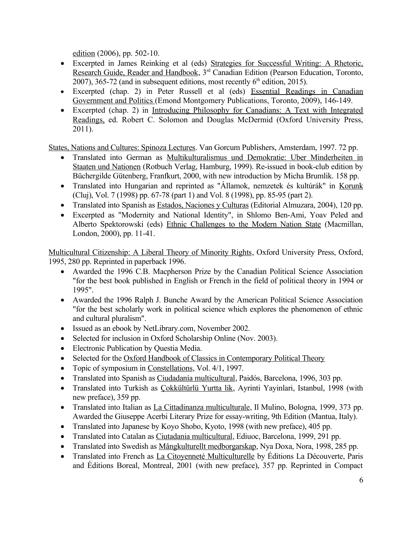edition (2006), pp. 502-10.

- Excerpted in James Reinking et al (eds) Strategies for Successful Writing: A Rhetoric, Research Guide, Reader and Handbook, 3<sup>rd</sup> Canadian Edition (Pearson Education, Toronto, 2007), 365-72 (and in subsequent editions, most recently  $6<sup>th</sup>$  edition, 2015).
- Excerpted (chap. 2) in Peter Russell et al (eds) Essential Readings in Canadian Government and Politics (Emond Montgomery Publications, Toronto, 2009), 146-149.
- Excerpted (chap. 2) in Introducing Philosophy for Canadians: A Text with Integrated Readings, ed. Robert C. Solomon and Douglas McDermid (Oxford University Press, 2011).

States, Nations and Cultures: Spinoza Lectures. Van Gorcum Publishers, Amsterdam, 1997. 72 pp.

- Translated into German as Multikulturalismus und Demokratie: Uber Minderheiten in Staaten und Nationen (Rotbuch Verlag, Hamburg, 1999). Re-issued in book-club edition by Büchergilde Gütenberg, Franfkurt, 2000, with new introduction by Micha Brumlik. 158 pp.
- Translated into Hungarian and reprinted as "Államok, nemzetek és kultúrák" in Korunk (Cluj), Vol. 7 (1998) pp. 67-78 (part 1) and Vol. 8 (1998), pp. 85-95 (part 2).
- Translated into Spanish as Estados, Naciones y Culturas (Editorial Almuzara, 2004), 120 pp.
- Excerpted as "Modernity and National Identity", in Shlomo Ben-Ami, Yoav Peled and Alberto Spektorowski (eds) Ethnic Challenges to the Modern Nation State (Macmillan, London, 2000), pp. 11-41.

Multicultural Citizenship: A Liberal Theory of Minority Rights, Oxford University Press, Oxford, 1995, 280 pp. Reprinted in paperback 1996.

- Awarded the 1996 C.B. Macpherson Prize by the Canadian Political Science Association "for the best book published in English or French in the field of political theory in 1994 or 1995".
- Awarded the 1996 Ralph J. Bunche Award by the American Political Science Association "for the best scholarly work in political science which explores the phenomenon of ethnic and cultural pluralism".
- Issued as an ebook by NetLibrary.com, November 2002.
- Selected for inclusion in Oxford Scholarship Online (Nov. 2003).
- Electronic Publication by Questia Media.
- Selected for the Oxford Handbook of Classics in Contemporary Political Theory
- Topic of symposium in Constellations, Vol. 4/1, 1997.
- Translated into Spanish as Ciudadanía multicultural, Paidós, Barcelona, 1996, 303 pp.
- Translated into Turkish as Çokkültürlü Yurtta lik, Ayrinti Yayinlari, Istanbul, 1998 (with new preface), 359 pp.
- Translated into Italian as La Cittadinanza multiculturale, Il Mulino, Bologna, 1999, 373 pp. Awarded the Giuseppe Acerbi Literary Prize for essay-writing, 9th Edition (Mantua, Italy).
- Translated into Japanese by Koyo Shobo, Kyoto, 1998 (with new preface), 405 pp.
- Translated into Catalan as Ciutadania multicultural, Ediuoc, Barcelona, 1999, 291 pp.
- Translated into Swedish as Mångkulturellt medborgarskap, Nya Doxa, Nora, 1998, 285 pp.
- Translated into French as La Citoyenneté Multiculturelle by Éditions La Découverte, Paris and Éditions Boreal, Montreal, 2001 (with new preface), 357 pp. Reprinted in Compact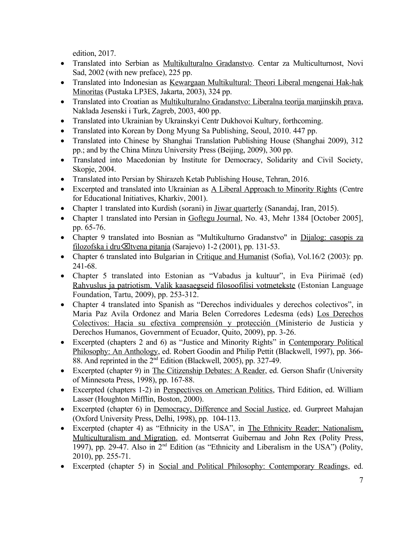edition, 2017.

- Translated into Serbian as Multikulturalno Gradanstvo. Centar za Multiculturnost, Novi Sad, 2002 (with new preface), 225 pp.
- Translated into Indonesian as Kewargaan Multikultural: Theori Liberal mengenai Hak-hak Minoritas (Pustaka LP3ES, Jakarta, 2003), 324 pp.
- Translated into Croatian as Multikulturalno Gradanstvo: Liberalna teorija manjinskih prava, Naklada Jesenski i Turk, Zagreb, 2003, 400 pp.
- Translated into Ukrainian by Ukrainskyi Centr Dukhovoi Kultury, forthcoming.
- Translated into Korean by Dong Myung Sa Publishing, Seoul, 2010. 447 pp.
- Translated into Chinese by Shanghai Translation Publishing House (Shanghai 2009), 312 pp.; and by the China Minzu University Press (Beijing, 2009), 300 pp.
- Translated into Macedonian by Institute for Democracy, Solidarity and Civil Society, Skopje, 2004.
- Translated into Persian by Shirazeh Ketab Publishing House, Tehran, 2016.
- Excerpted and translated into Ukrainian as A Liberal Approach to Minority Rights (Centre for Educational Initiatives, Kharkiv, 2001).
- Chapter 1 translated into Kurdish (sorani) in Jiwar quarterly (Sanandaj, Iran, 2015).
- Chapter 1 translated into Persian in Goftegu Journal, No. 43, Mehr 1384 [October 2005], pp. 65-76.
- Chapter 9 translated into Bosnian as "Multikulturno Gradanstvo" in Dijalog: casopis za filozofska i dru **X**ltvena pitanja (Sarajevo) 1-2 (2001), pp. 131-53.
- Chapter 6 translated into Bulgarian in Critique and Humanist (Sofia), Vol.16/2 (2003): pp. 241-68.
- Chapter 5 translated into Estonian as "Vabadus ja kultuur", in Eva Piirimaë (ed) Rahvuslus ja patriotism. Valik kaasaegseid filosoofilisi votmetekste (Estonian Language Foundation, Tartu, 2009), pp. 253-312.
- Chapter 4 translated into Spanish as "Derechos individuales y derechos colectivos", in Maria Paz Avila Ordonez and Maria Belen Corredores Ledesma (eds) Los Derechos Colectivos: Hacia su efectiva comprensión y protección (Ministerio de Justicia y Derechos Humanos, Government of Ecuador, Quito, 2009), pp. 3-26.
- Excerpted (chapters 2 and 6) as "Justice and Minority Rights" in Contemporary Political Philosophy: An Anthology, ed. Robert Goodin and Philip Pettit (Blackwell, 1997), pp. 366- 88. And reprinted in the 2nd Edition (Blackwell, 2005), pp. 327-49.
- Excerpted (chapter 9) in The Citizenship Debates: A Reader, ed. Gerson Shafir (University of Minnesota Press, 1998), pp. 167-88.
- Excerpted (chapters 1-2) in Perspectives on American Politics, Third Edition, ed. William Lasser (Houghton Mifflin, Boston, 2000).
- Excerpted (chapter 6) in Democracy, Difference and Social Justice, ed. Gurpreet Mahajan (Oxford University Press, Delhi, 1998), pp. 104-113.
- Excerpted (chapter 4) as "Ethnicity in the USA", in The Ethnicity Reader: Nationalism, Multiculturalism and Migration, ed. Montserrat Guibernau and John Rex (Polity Press, 1997), pp. 29-47. Also in 2nd Edition (as "Ethnicity and Liberalism in the USA") (Polity, 2010), pp. 255-71.
- Excerpted (chapter 5) in Social and Political Philosophy: Contemporary Readings, ed.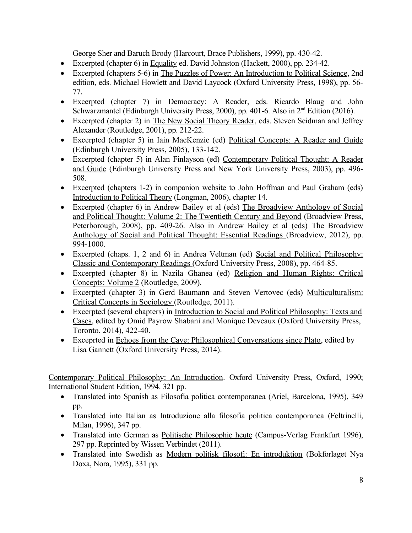George Sher and Baruch Brody (Harcourt, Brace Publishers, 1999), pp. 430-42.

- Excerpted (chapter 6) in Equality ed. David Johnston (Hackett, 2000), pp. 234-42.
- Excerpted (chapters 5-6) in The Puzzles of Power: An Introduction to Political Science, 2nd edition, eds. Michael Howlett and David Laycock (Oxford University Press, 1998), pp. 56- 77.
- Excerpted (chapter 7) in Democracy: A Reader, eds. Ricardo Blaug and John Schwarzmantel (Edinburgh University Press, 2000), pp. 401-6. Also in 2<sup>nd</sup> Edition (2016).
- Excerpted (chapter 2) in The New Social Theory Reader, eds. Steven Seidman and Jeffrey Alexander (Routledge, 2001), pp. 212-22.
- Excerpted (chapter 5) in Iain MacKenzie (ed) Political Concepts: A Reader and Guide (Edinburgh University Press, 2005), 133-142.
- Excerpted (chapter 5) in Alan Finlayson (ed) Contemporary Political Thought: A Reader and Guide (Edinburgh University Press and New York University Press, 2003), pp. 496- 508.
- Excerpted (chapters 1-2) in companion website to John Hoffman and Paul Graham (eds) Introduction to Political Theory (Longman, 2006), chapter 14.
- Excerpted (chapter 6) in Andrew Bailey et al (eds) The Broadview Anthology of Social and Political Thought: Volume 2: The Twentieth Century and Beyond (Broadview Press, Peterborough, 2008), pp. 409-26. Also in Andrew Bailey et al (eds) The Broadview Anthology of Social and Political Thought: Essential Readings (Broadview, 2012), pp. 994-1000.
- Excerpted (chaps. 1, 2 and 6) in Andrea Veltman (ed) Social and Political Philosophy: Classic and Contemporary Readings (Oxford University Press, 2008), pp. 464-85.
- Excerpted (chapter 8) in Nazila Ghanea (ed) Religion and Human Rights: Critical Concepts: Volume 2 (Routledge, 2009).
- Excerpted (chapter 3) in Gerd Baumann and Steven Vertovec (eds) Multiculturalism: Critical Concepts in Sociology (Routledge, 2011).
- Excerpted (several chapters) in Introduction to Social and Political Philosophy: Texts and Cases, **e**dited by Omid Payrow Shabani and Monique Deveaux (Oxford University Press, Toronto, 2014), 422-40.
- Exceprted in Echoes from the Cave: Philosophical Conversations since Plato, edited by Lisa Gannett (Oxford University Press, 2014).

Contemporary Political Philosophy: An Introduction. Oxford University Press, Oxford, 1990; International Student Edition, 1994. 321 pp.

- Translated into Spanish as Filosofia politica contemporanea (Ariel, Barcelona, 1995), 349 pp.
- Translated into Italian as Introduzione alla filosofia politica contemporanea (Feltrinelli, Milan, 1996), 347 pp.
- Translated into German as Politische Philosophie heute (Campus-Verlag Frankfurt 1996), 297 pp. Reprinted by Wissen Verbindet (2011).
- Translated into Swedish as Modern politisk filosofi: En introduktion (Bokforlaget Nya Doxa, Nora, 1995), 331 pp.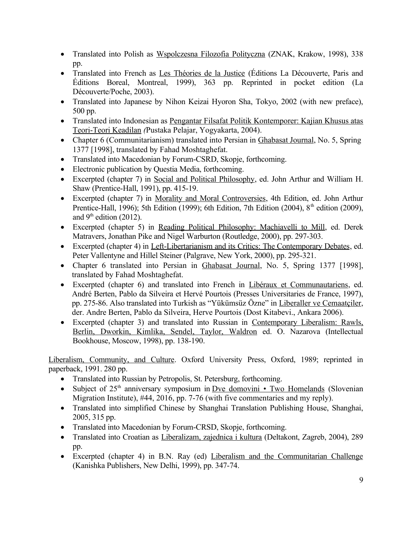- Translated into Polish as Wspolczesna Filozofia Polityczna (ZNAK, Krakow, 1998), 338 pp.
- Translated into French as Les Théories de la Justice (Éditions La Découverte, Paris and Éditions Boreal, Montreal, 1999), 363 pp. Reprinted in pocket edition (La Découverte/Poche, 2003).
- Translated into Japanese by Nihon Keizai Hyoron Sha, Tokyo, 2002 (with new preface), 500 pp.
- Translated into Indonesian as Pengantar Filsafat Politik Kontemporer: Kajian Khusus atas Teori-Teori Keadilan *(*Pustaka Pelajar, Yogyakarta, 2004).
- Chapter 6 (Communitarianism) translated into Persian in Ghabasat Journal, No. 5, Spring 1377 [1998], translated by Fahad Moshtaghefat.
- Translated into Macedonian by Forum-CSRD, Skopje, forthcoming.
- Electronic publication by Questia Media, forthcoming.
- Excerpted (chapter 7) in Social and Political Philosophy, ed. John Arthur and William H. Shaw (Prentice-Hall, 1991), pp. 415-19.
- Excerpted (chapter 7) in Morality and Moral Controversies, 4th Edition, ed. John Arthur Prentice-Hall, 1996); 5th Edition (1999); 6th Edition, 7th Edition (2004),  $8<sup>th</sup>$  edition (2009), and  $9<sup>th</sup>$  edition (2012).
- Excerpted (chapter 5) in Reading Political Philosophy: Machiavelli to Mill, ed. Derek Matravers, Jonathan Pike and Nigel Warburton (Routledge, 2000), pp. 297-303.
- Excerpted (chapter 4) in Left-Libertarianism and its Critics: The Contemporary Debates, ed. Peter Vallentyne and Hillel Steiner (Palgrave, New York, 2000), pp. 295-321.
- Chapter 6 translated into Persian in Ghabasat Journal, No. 5, Spring 1377 [1998], translated by Fahad Moshtaghefat.
- Excerpted (chapter 6) and translated into French in Libéraux et Communautariens, ed. André Berten, Pablo da Silveira et Hervé Pourtois (Presses Universitaries de France, 1997), pp. 275-86. Also translated into Turkish as "Yükümsüz Özne" in Liberaller ve Cemaatçiler, der. Andre Berten, Pablo da Silveira, Herve Pourtois (Dost Kitabevi., Ankara 2006).
- Excerpted (chapter 3) and translated into Russian in Contemporary Liberalism: Rawls, Berlin, Dworkin, Kimlika, Sendel, Taylor, Waldron ed. O. Nazarova (Intellectual Bookhouse, Moscow, 1998), pp. 138-190.

Liberalism, Community, and Culture. Oxford University Press, Oxford, 1989; reprinted in paperback, 1991. 280 pp.

- Translated into Russian by Petropolis, St. Petersburg, forthcoming.
- Subject of  $25<sup>th</sup>$  anniversary symposium in [Dve domovini Two Homelands](http://isim.zrc-sazu.si/en/publikacije/dve-domovini#v) (Slovenian Migration Institute), #44, 2016, pp. 7-76 (with five commentaries and my reply).
- Translated into simplified Chinese by Shanghai Translation Publishing House, Shanghai, 2005, 315 pp.
- Translated into Macedonian by Forum-CRSD, Skopje, forthcoming.
- Translated into Croatian as Liberalizam, zajednica i kultura (Deltakont, Zagreb, 2004), 289 pp.
- Excerpted (chapter 4) in B.N. Ray (ed) Liberalism and the Communitarian Challenge (Kanishka Publishers, New Delhi, 1999), pp. 347-74.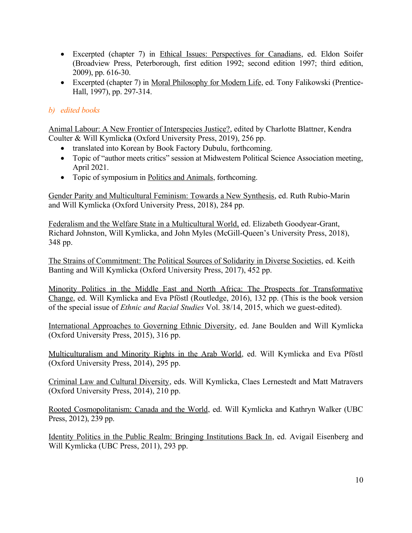- Excerpted (chapter 7) in Ethical Issues: Perspectives for Canadians, ed. Eldon Soifer (Broadview Press, Peterborough, first edition 1992; second edition 1997; third edition, 2009), pp. 616-30.
- Excerpted (chapter 7) in Moral Philosophy for Modern Life, ed. Tony Falikowski (Prentice-Hall, 1997), pp. 297-314.

# *b) edited books*

Animal Labour: A New Frontier of Interspecies Justice?, edited by Charlotte Blattner, Kendra Coulter & Will Kymlick**a** (Oxford University Press, 2019), 256 pp.

- translated into Korean by Book Factory Dubulu, forthcoming.
- Topic of "author meets critics" session at Midwestern Political Science Association meeting, April 2021.
- Topic of symposium in Politics and Animals, forthcoming.

Gender Parity and Multicultural Feminism: Towards a New Synthesis, ed. Ruth Rubio-Marin and Will Kymlicka (Oxford University Press, 2018), 284 pp.

 Federalism and the Welfare State in a Multicultural World, ed. Elizabeth Goodyear-Grant, Richard Johnston, Will Kymlicka, and John Myles (McGill-Queen's University Press, 2018), 348 pp.

The Strains of Commitment: The Political Sources of Solidarity in Diverse Societies, ed. Keith Banting and Will Kymlicka (Oxford University Press, 2017), 452 pp.

Minority Politics in the Middle East and North Africa: The Prospects for Transformative Change, ed. Will Kymlicka and Eva Pföstl (Routledge, 2016), 132 pp. (This is the book version of the special issue of *Ethnic and Racial Studies* Vol. 38/14, 2015, which we guest-edited).

International Approaches to Governing Ethnic Diversity, ed. Jane Boulden and Will Kymlicka (Oxford University Press, 2015), 316 pp.

Multiculturalism and Minority Rights in the Arab World, ed. Will Kymlicka and Eva Pföstl (Oxford University Press, 2014), 295 pp.

Criminal Law and Cultural Diversity, eds. Will Kymlicka, Claes Lernestedt and Matt Matravers (Oxford University Press, 2014), 210 pp.

Rooted Cosmopolitanism: Canada and the World, ed. Will Kymlicka and Kathryn Walker (UBC Press, 2012), 239 pp.

Identity Politics in the Public Realm: Bringing Institutions Back In, ed. Avigail Eisenberg and Will Kymlicka (UBC Press, 2011), 293 pp.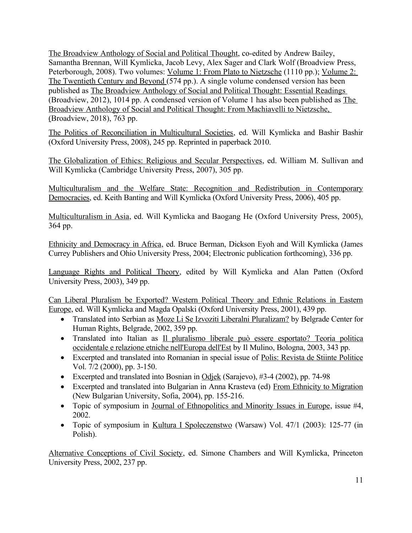The Broadview Anthology of Social and Political Thought, co-edited by Andrew Bailey, Samantha Brennan, Will Kymlicka, Jacob Levy, Alex Sager and Clark Wolf (Broadview Press, Peterborough, 2008). Two volumes: Volume 1: From Plato to Nietzsche (1110 pp.); Volume 2: The Twentieth Century and Beyond (574 pp.). A single volume condensed version has been published as The Broadview Anthology of Social and Political Thought: Essential Readings (Broadview, 2012), 1014 pp. A condensed version of Volume 1 has also been published as The Broadview Anthology of Social and Political Thought: From Machiavelli to Nietzsche, (Broadview, 2018), 763 pp.

The Politics of Reconciliation in Multicultural Societies, ed. Will Kymlicka and Bashir Bashir (Oxford University Press, 2008), 245 pp. Reprinted in paperback 2010.

The Globalization of Ethics: Religious and Secular Perspectives, ed. William M. Sullivan and Will Kymlicka (Cambridge University Press, 2007), 305 pp.

Multiculturalism and the Welfare State: Recognition and Redistribution in Contemporary Democracies, ed. Keith Banting and Will Kymlicka (Oxford University Press, 2006), 405 pp.

Multiculturalism in Asia, ed. Will Kymlicka and Baogang He (Oxford University Press, 2005), 364 pp.

Ethnicity and Democracy in Africa, ed. Bruce Berman, Dickson Eyoh and Will Kymlicka (James Currey Publishers and Ohio University Press, 2004; Electronic publication forthcoming), 336 pp.

Language Rights and Political Theory, edited by Will Kymlicka and Alan Patten (Oxford University Press, 2003), 349 pp.

Can Liberal Pluralism be Exported? Western Political Theory and Ethnic Relations in Eastern Europe, ed. Will Kymlicka and Magda Opalski (Oxford University Press, 2001), 439 pp.

- Translated into Serbian as Moze Li Se Izvoziti Liberalni Pluralizam? by Belgrade Center for Human Rights, Belgrade, 2002, 359 pp.
- Translated into Italian as Il pluralismo liberale può essere esportato? Teoria politica occidentale e relazione etniche nell'Europa dell'Est by Il Mulino, Bologna, 2003, 343 pp.
- Excerpted and translated into Romanian in special issue of Polis: Revista de Stiinte Politice Vol. 7/2 (2000), pp. 3-150.
- Excerpted and translated into Bosnian in Odjek (Sarajevo), #3-4 (2002), pp. 74-98
- Excerpted and translated into Bulgarian in Anna Krasteva (ed) From Ethnicity to Migration (New Bulgarian University, Sofia, 2004), pp. 155-216.
- Topic of symposium in Journal of Ethnopolitics and Minority Issues in Europe, issue #4, 2002.
- Topic of symposium in Kultura I Spoleczenstwo (Warsaw) Vol. 47/1 (2003): 125-77 (in Polish).

Alternative Conceptions of Civil Society, ed. Simone Chambers and Will Kymlicka, Princeton University Press, 2002, 237 pp.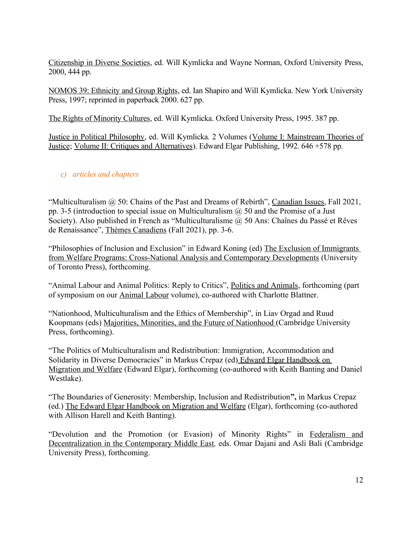Citizenship in Diverse Societies, ed. Will Kymlicka and Wayne Norman, Oxford University Press, 2000, 444 pp.

NOMOS 39: Ethnicity and Group Rights, ed. Ian Shapiro and Will Kymlicka. New York University Press, 1997; reprinted in paperback 2000. 627 pp.

The Rights of Minority Cultures, ed. Will Kymlicka. Oxford University Press, 1995. 387 pp.

Justice in Political Philosophy, ed. Will Kymlicka. 2 Volumes (Volume I: Mainstream Theories of Justice; Volume II: Critiques and Alternatives). Edward Elgar Publishing, 1992. 646 +578 pp.

# *c) articles and chapters*

"Multiculturalism  $\omega$  50: Chains of the Past and Dreams of Rebirth", Canadian Issues, Fall 2021, pp. 3-5 (introduction to special issue on Multiculturalism  $\omega$  50 and the Promise of a Just Society). Also published in French as "Multiculturalisme @ 50 Ans: Chaînes du Passé et Rêves de Renaissance", Thèmes Canadiens (Fall 2021), pp. 3-6.

"Philosophies of Inclusion and Exclusion" in Edward Koning (ed) The Exclusion of Immigrants from Welfare Programs: Cross-National Analysis and Contemporary Developments (University of Toronto Press), forthcoming.

"Animal Labour and Animal Politics: Reply to Critics", Politics and Animals, forthcoming (part of symposium on our Animal Labour volume), co-authored with Charlotte Blattner.

"Nationhood, Multiculturalism and the Ethics of Membership", in Liav Orgad and Ruud Koopmans (eds) Majorities, Minorities, and the Future of Nationhood (Cambridge University Press, forthcoming).

"The Politics of Multiculturalism and Redistribution: Immigration, Accommodation and Solidarity in Diverse Democracies" in Markus Crepaz (ed) Edward Elgar Handbook on Migration and Welfare (Edward Elgar), forthcoming (co-authored with Keith Banting and Daniel Westlake).

"The Boundaries of Generosity: Membership, Inclusion and Redistribution**",** in Markus Crepaz (ed.) The Edward Elgar Handbook on Migration and Welfare (Elgar), forthcoming (co-authored with Allison Harell and Keith Banting).

"Devolution and the Promotion (or Evasion) of Minority Rights" in Federalism and Decentralization in the Contemporary Middle East*,* eds. Omar Dajani and Asli Bali (Cambridge University Press), forthcoming.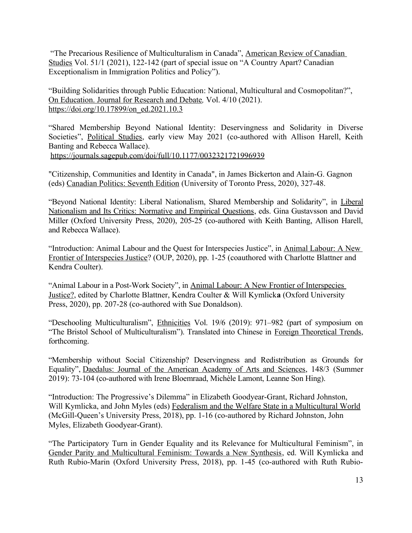"The Precarious Resilience of Multiculturalism in Canada", American Review of Canadian Studies Vol. 51/1 (2021), 122-142 (part of special issue on "A Country Apart? Canadian Exceptionalism in Immigration Politics and Policy").

"Building Solidarities through Public Education: National, Multicultural and Cosmopolitan?", On Education. Journal for Research and Debate*,* Vol. 4/10 (2021). [https://doi.org/10.17899/on\\_ed.2021.10.3](https://doi.org/10.17899/on_ed.2021.10.3)

"Shared Membership Beyond National Identity: Deservingness and Solidarity in Diverse Societies", Political Studies, early view May 2021 (co-authored with Allison Harell, Keith Banting and Rebecca Wallace). <https://journals.sagepub.com/doi/full/10.1177/0032321721996939>

"Citizenship, Communities and Identity in Canada", in James Bickerton and Alain-G. Gagnon (eds) Canadian Politics: Seventh Edition (University of Toronto Press, 2020), 327-48.

"Beyond National Identity: Liberal Nationalism, Shared Membership and Solidarity", in Liberal Nationalism and Its Critics: Normative and Empirical Questions, eds. Gina Gustavsson and David Miller (Oxford University Press, 2020), 205-25 (co-authored with Keith Banting, Allison Harell, and Rebecca Wallace).

"Introduction: Animal Labour and the Quest for Interspecies Justice", in Animal Labour: A New Frontier of Interspecies Justice? (OUP, 2020), pp. 1-25 (coauthored with Charlotte Blattner and Kendra Coulter).

"Animal Labour in a Post-Work Society", in Animal Labour: A New Frontier of Interspecies Justice?, edited by Charlotte Blattner, Kendra Coulter & Will Kymlick**a** (Oxford University Press, 2020), pp. 207-28 (co-authored with Sue Donaldson).

"Deschooling Multiculturalism", Ethnicities Vol. 19/6 (2019): 971–982 (part of symposium on "The Bristol School of Multiculturalism"). Translated into Chinese in Foreign Theoretical Trends, forthcoming.

"Membership without Social Citizenship? Deservingness and Redistribution as Grounds for Equality", Daedalus: Journal of the American Academy of Arts and Sciences, 148/3 (Summer 2019): 73-104 (co-authored with Irene Bloemraad, Michèle Lamont, Leanne Son Hing).

"Introduction: The Progressive's Dilemma" in Elizabeth Goodyear-Grant, Richard Johnston, Will Kymlicka, and John Myles (eds) Federalism and the Welfare State in a Multicultural World (McGill-Queen's University Press, 2018), pp. 1-16 (co-authored by Richard Johnston, John Myles, Elizabeth Goodyear-Grant).

"The Participatory Turn in Gender Equality and its Relevance for Multicultural Feminism", in Gender Parity and Multicultural Feminism: Towards a New Synthesis, ed. Will Kymlicka and Ruth Rubio-Marin (Oxford University Press, 2018), pp. 1-45 (co-authored with Ruth Rubio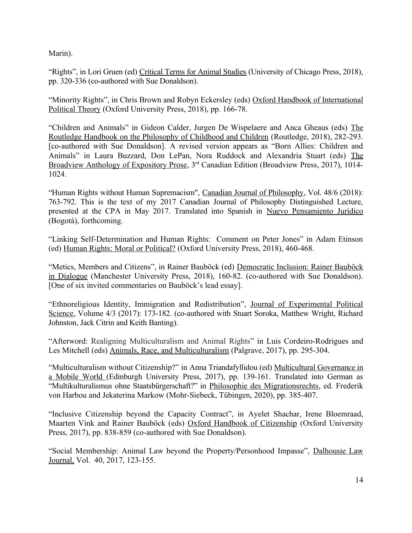Marin).

"Rights", in Lori Gruen (ed) Critical Terms for Animal Studies (University of Chicago Press, 2018), pp. 320-336 (co-authored with Sue Donaldson).

"Minority Rights", in Chris Brown and Robyn Eckersley (eds) Oxford Handbook of International Political Theory (Oxford University Press, 2018), pp. 166-78.

"Children and Animals" in Gideon Calder, Jurgen De Wispelaere and Anca Gheaus (eds) The Routledge Handbook on the Philosophy of Childhood and Children (Routledge, 2018), 282-293. [co-authored with Sue Donaldson]. A revised version appears as "Born Allies: Children and Animals" in Laura Buzzard, Don LePan, Nora Ruddock and Alexandria Stuart (eds) The Broadview Anthology of Expository Prose, 3<sup>rd</sup> Canadian Edition (Broadview Press, 2017), 1014-1024.

"Human Rights without Human Supremacism", Canadian Journal of Philosophy, Vol. 48/6 (2018): 763-792. This is the text of my 2017 Canadian Journal of Philosophy Distinguished Lecture, presented at the CPA in May 2017. Translated into Spanish in Nuevo Pensamiento Jurídico (Bogotá), forthcoming.

"Linking Self-Determination and Human Rights: Comment on Peter Jones" in Adam Etinson (ed) Human Rights: Moral or Political? (Oxford University Press, 2018), 460-468.

"Metics, Members and Citizens", in Rainer Bauböck (ed) Democratic Inclusion: Rainer Bauböck in Dialogue (Manchester University Press, 2018), 160-82. (co-authored with Sue Donaldson). [One of six invited commentaries on Bauböck's lead essay].

"Ethnoreligious Identity, Immigration and Redistribution", Journal of Experimental Political Science, Volume 4/3 (2017): 173-182. (co-authored with Stuart Soroka, Matthew Wright, Richard Johnston, Jack Citrin and Keith Banting).

"Afterword: Realigning Multiculturalism and Animal Rights" in Luis Cordeiro-Rodrigues and Les Mitchell (eds) Animals, Race, and Multiculturalism (Palgrave, 2017), pp. 295-304.

"Multiculturalism without Citizenship?" in Anna Triandafyllidou (ed) Multicultural Governance in a Mobile World (Edinburgh University Press, 2017), pp. 139-161. Translated into German as "Multikulturalismus ohne Staatsbürgerschaft?" in Philosophie des Migrationsrechts, ed. Frederik von Harbou and Jekaterina Markow (Mohr-Siebeck, Tübingen, 2020), pp. 385-407.

"Inclusive Citizenship beyond the Capacity Contract", in Ayelet Shachar, Irene Bloemraad, Maarten Vink and Rainer Bauböck (eds) Oxford Handbook of Citizenship (Oxford University Press, 2017), pp. 838-859 (co-authored with Sue Donaldson).

"Social Membership: Animal Law beyond the Property/Personhood Impasse", Dalhousie Law Journal, Vol. 40, 2017, 123-155.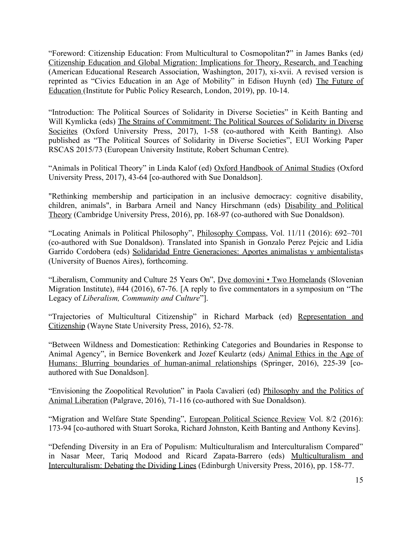"Foreword: Citizenship Education: From Multicultural to Cosmopolitan**?**" in James Banks (ed*)* Citizenship Education and Global Migration: Implications for Theory, Research, and Teaching (American Educational Research Association, Washington, 2017), xi-xvii. A revised version is reprinted as "Civics Education in an Age of Mobility" in Edison Huynh (ed) The Future of Education (Institute for Public Policy Research, London, 2019), pp. 10-14.

"Introduction: The Political Sources of Solidarity in Diverse Societies" in Keith Banting and Will Kymlicka (eds) The Strains of Commitment: The Political Sources of Solidarity in Diverse Socieites (Oxford University Press, 2017), 1-58 (co-authored with Keith Banting). Also published as "The Political Sources of Solidarity in Diverse Societies", EUI Working Paper RSCAS 2015/73 (European University Institute, Robert Schuman Centre).

"Animals in Political Theory" in Linda Kalof (ed) Oxford Handbook of Animal Studies (Oxford University Press, 2017), 43-64 [co-authored with Sue Donaldson].

"Rethinking membership and participation in an inclusive democracy: cognitive disability, children, animals", in Barbara Arneil and Nancy Hirschmann (eds) Disability and Political Theory (Cambridge University Press, 2016), pp. 168-97 (co-authored with Sue Donaldson).

"Locating Animals in Political Philosophy", Philosophy Compass, Vol. 11/11 (2016): 692–701 (co-authored with Sue Donaldson). Translated into Spanish in Gonzalo Perez Pejcic and Lidia Garrido Cordobera (eds) Solidaridad Entre Generaciones: Aportes animalistas y ambientalistas (University of Buenos Aires), forthcoming.

"Liberalism, Community and Culture 25 Years On", [Dve domovini • Two Homelands](http://isim.zrc-sazu.si/en/publikacije/dve-domovini#v) (Slovenian Migration Institute), #44 (2016), 67-76. [A reply to five commentators in a symposium on "The Legacy of *Liberalism, Community and Culture*"].

"Trajectories of Multicultural Citizenship" in Richard Marback (ed) Representation and Citizenship (Wayne State University Press, 2016), 52-78.

"Between Wildness and Domestication: Rethinking Categories and Boundaries in Response to Animal Agency", in Bernice Bovenkerk and Jozef Keulartz (eds*)* Animal Ethics in the Age of Humans: Blurring boundaries of human-animal relationships (Springer, 2016), 225-39 [coauthored with Sue Donaldson].

"Envisioning the Zoopolitical Revolution" in Paola Cavalieri (ed) Philosophy and the Politics of Animal Liberation (Palgrave, 2016), 71-116 (co-authored with Sue Donaldson).

"Migration and Welfare State Spending", European Political Science Review Vol. 8/2 (2016): 173-94 [co-authored with Stuart Soroka, Richard Johnston, Keith Banting and Anthony Kevins].

"Defending Diversity in an Era of Populism: Multiculturalism and Interculturalism Compared" in Nasar Meer, Tariq Modood and Ricard Zapata-Barrero (eds) Multiculturalism and Interculturalism: Debating the Dividing Lines (Edinburgh University Press, 2016), pp. 158-77.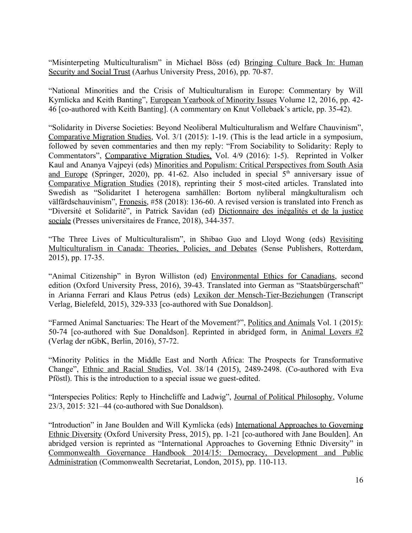"Misinterpeting Multiculturalism" in Michael Böss (ed) Bringing Culture Back In: Human Security and Social Trust (Aarhus University Press, 2016), pp. 70-87.

"National Minorities and the Crisis of Multiculturalism in Europe: Commentary by Will Kymlicka and Keith Banting", European Yearbook of Minority Issues Volume 12, 2016, pp. 42- 46 [co-authored with Keith Banting]. (A commentary on Knut Vollebaek's article, pp. 35-42).

"Solidarity in Diverse Societies: Beyond Neoliberal Multiculturalism and Welfare Chauvinism", Comparative Migration Studies, Vol. 3/1 (2015): 1-19. (This is the lead article in a symposium, followed by seven commentaries and then my reply: "From Sociability to Solidarity: Reply to Commentators", Comparative Migration Studies, Vol. 4/9 (2016): 1-5). Reprinted in Volker Kaul and Ananya Vajpeyi (eds) Minorities and Populism: Critical Perspectives from South Asia and Europe (Springer, 2020), pp. 41-62. Also included in special  $5<sup>th</sup>$  anniversary issue of Comparative Migration Studies (2018), reprinting their 5 most-cited articles. Translated into Swedish as "Solidaritet I heterogena samhällen: Bortom nyliberal mångkulturalism och välfärdschauvinism", Fronesis, #58 (2018): 136-60. A revised version is translated into French as "Diversité et Solidarité", in Patrick Savidan (ed) Dictionnaire des inégalités et de la justice sociale (Presses universitaires de France, 2018), 344-357.

"The Three Lives of Multiculturalism", in Shibao Guo and Lloyd Wong (eds) Revisiting Multiculturalism in Canada: Theories, Policies, and Debates (Sense Publishers, Rotterdam, 2015), pp. 17-35.

"Animal Citizenship" in Byron Williston (ed) Environmental Ethics for Canadians, second edition (Oxford University Press, 2016), 39-43. Translated into German as "Staatsbürgerschaft" in Arianna Ferrari and Klaus Petrus (eds) Lexikon der Mensch-Tier-Beziehungen (Transcript Verlag, Bielefeld, 2015), 329-333 [co-authored with Sue Donaldson].

["Farmed Animal Sanctuaries: The Heart of the Movement?](http://journals.lub.lu.se/index.php/pa/article/view/15045)", Politics and Animals Vol. 1 (2015): 50-74 [co-authored with Sue Donaldson]. Reprinted in abridged form, in Animal Lovers  $#2$ (Verlag der nGbK, Berlin, 2016), 57-72.

"Minority Politics in the Middle East and North Africa: The Prospects for Transformative Change", Ethnic and Racial Studies, Vol. 38/14 (2015), 2489-2498. (Co-authored with Eva Pföstl). This is the introduction to a special issue we guest-edited.

"Interspecies Politics: Reply to Hinchcliffe and Ladwig", Journal of Political Philosophy, Volume 23/3, 2015: 321–44 (co-authored with Sue Donaldson).

"Introduction" in Jane Boulden and Will Kymlicka (eds) International Approaches to Governing Ethnic Diversity (Oxford University Press, 2015), pp. 1-21 [co-authored with Jane Boulden]. An abridged version is reprinted as "International Approaches to Governing Ethnic Diversity" in Commonwealth Governance Handbook 2014/15: Democracy, Development and Public Administration (Commonwealth Secretariat, London, 2015), pp. 110-113.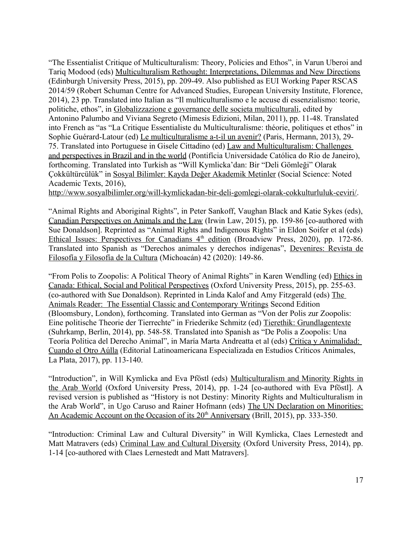"The Essentialist Critique of Multiculturalism: Theory, Policies and Ethos", in Varun Uberoi and Tariq Modood (eds) Multiculturalism Rethought: Interpretations, Dilemmas and New Directions (Edinburgh University Press, 2015), pp. 209-49. Also published as EUI Working Paper RSCAS 2014/59 (Robert Schuman Centre for Advanced Studies, European University Institute, Florence, 2014), 23 pp. Translated into Italian as "Il multiculturalismo e le accuse di essenzialismo: teorie, politiche, ethos", in Globalizzazione e governance delle societa multiculturali, edited by Antonino Palumbo and Viviana Segreto (Mimesis Edizioni, Milan, 2011), pp. 11-48. Translated into French as "as "La Critique Essentialiste du Multiculturalisme: théorie, politiques et ethos" in Sophie Guérard-Latour (ed) Le multiculturalisme a-t-il un avenir? (Paris, Hermann, 2013), 29- 75. Translated into Portuguese in Gisele Cittadino (ed) Law and Multiculturalism : Challenges and perspectives in Brazil and in the world (Pontifícia Universidade Católica do Rio de Janeiro), forthcoming. Translated into Turkish as "Will Kymlicka'dan: Bir "Deli Gömleği" Olarak Çokkültürcülük" in Sosyal Bilimler: Kayda Değer Akademik Metinler (Social Science: Noted Academic Texts, 2016),

<http://www.sosyalbilimler.org/will-kymlickadan-bir-deli-gomlegi-olarak-cokkulturluluk-ceviri/>.

"Animal Rights and Aboriginal Rights", in Peter Sankoff, Vaughan Black and Katie Sykes (eds), Canadian Perspectives on Animals and the Law (Irwin Law, 2015), pp. 159-86 [co-authored with Sue Donaldson]. Reprinted as "Animal Rights and Indigenous Rights" in Eldon Soifer et al (eds) Ethical Issues: Perspectives for Canadians 4<sup>th</sup> edition (Broadview Press, 2020), pp. 172-86. Translated into Spanish as "Derechos animales y derechos indígenas", Devenires: Revista de Filosofía y Filosofía de la Cultura (Michoacán) 42 (2020): 149-86.

"From Polis to Zoopolis: A Political Theory of Animal Rights" in Karen Wendling (ed) Ethics in Canada: Ethical, Social and Political Perspectives (Oxford University Press, 2015), pp. 255-63. (co-authored with Sue Donaldson). Reprinted in Linda Kalof and Amy Fitzgerald (eds) The Animals Reader: The Essential Classic and Contemporary Writings Second Edition (Bloomsbury, London), forthcoming. Translated into German as "Von der Polis zur Zoopolis: Eine politische Theorie der Tierrechte" in Friederike Schmitz (ed) Tierethik: Grundlagentexte (Suhrkamp, Berlin, 2014), pp. 548-58. Translated into Spanish as "De Polis a Zoopolis: Una Teoría Política del Derecho Animal", in María Marta Andreatta et al (eds) Crítica y Animalidad: Cuando el Otro Aúlla (Editorial Latinoamericana Especializada en Estudios Críticos Animales, La Plata, 2017), pp. 113-140.

"Introduction", in Will Kymlicka and Eva Pföstl (eds) Multiculturalism and Minority Rights in the Arab World (Oxford University Press, 2014), pp. 1-24 [co-authored with Eva Pföstl]. A revised version is published as "History is not Destiny: Minority Rights and Multiculturalism in the Arab World", in Ugo Caruso and Rainer Hofmann (eds) The UN Declaration on Minorities: An Academic Account on the Occasion of its 20<sup>th</sup> Anniversary (Brill, 2015), pp. 333-350.

"Introduction: Criminal Law and Cultural Diversity" in Will Kymlicka, Claes Lernestedt and Matt Matravers (eds) Criminal Law and Cultural Diversity (Oxford University Press, 2014), pp. 1-14 [co-authored with Claes Lernestedt and Matt Matravers].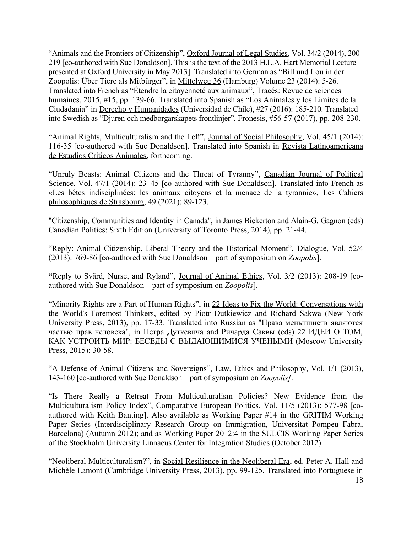"Animals and the Frontiers of Citizenship", Oxford Journal of Legal Studies, Vol. 34/2 (2014), 200-219 [co-authored with Sue Donaldson]. This is the text of the 2013 H.L.A. Hart Memorial Lecture presented at Oxford University in May 2013]. Translated into German as "Bill und Lou in der Zoopolis: Über Tiere als Mitbürger", in Mittelweg 36 (Hamburg) Volume 23 (2014): 5-26. Translated into French as "Étendre la citoyenneté aux animaux", Tracés: Revue de sciences humaines, 2015, #15, pp. 139-66. Translated into Spanish as "Los Animales y los Límites de la Ciudadanía" in Derecho y Humanidades (Universidad de Chile), #27 (2016): 185-210. Translated into Swedish as "Djuren och medborgarskapets frontlinjer", Fronesis, #56-57 (2017), pp. 208-230.

"Animal Rights, Multiculturalism and the Left", Journal of Social Philosophy, Vol. 45/1 (2014): 116-35 [co-authored with Sue Donaldson]. Translated into Spanish in Revista Latinoamericana de Estudios Críticos Animales, forthcoming.

"Unruly Beasts: Animal Citizens and the Threat of Tyranny", Canadian Journal of Political Science, Vol. 47/1 (2014): 23–45 [co-authored with Sue Donaldson]. Translated into French as «Les bêtes indisciplinées: les animaux citoyens et la menace de la tyrannie», Les Cahiers philosophiques de Strasbourg, 49 (2021): 89-123.

"Citizenship, Communities and Identity in Canada", in James Bickerton and Alain-G. Gagnon (eds) Canadian Politics: Sixth Edition (University of Toronto Press, 2014), pp. 21-44.

"Reply: Animal Citizenship, Liberal Theory and the Historical Moment", Dialogue, Vol. 52/4 (2013): 769-86 [co-authored with Sue Donaldson – part of symposium on *Zoopolis*].

**"**Reply to Svärd, Nurse, and Ryland", Journal of Animal Ethics, Vol. 3/2 (2013): 208-19 [coauthored with Sue Donaldson – part of symposium on *Zoopolis*].

"Minority Rights are a Part of Human Rights", in 22 Ideas to Fix the World: Conversations with the World's Foremost Thinkers, edited by Piotr Dutkiewicz and Richard Sakwa (New York University Press, 2013), pp. 17-33. Translated into Russian as "Права меньшинств являются частью прав человека", in Петра Дуткевича and Ричарда Саквы (eds) 22 ИДЕИ О ТОМ, КАК УСТРОИТЬ МИР: БЕСЕДЫ С ВЫДАЮЩИМИСЯ УЧЕНЫМИ (Moscow University Press, 2015): 30-58.

"A Defense of Animal Citizens and Sovereigns", Law, Ethics and Philosophy, Vol. 1/1 (2013), 143-160 [co-authored with Sue Donaldson – part of symposium on *Zoopolis]*.

"Is There Really a Retreat From Multiculturalism Policies? New Evidence from the Multiculturalism Policy Index", Comparative European Politics, Vol. 11/5 (2013): 577-98 [coauthored with Keith Banting]. Also available as Working Paper #14 in the GRITIM Working Paper Series (Interdisciplinary Research Group on Immigration, Universitat Pompeu Fabra, Barcelona) (Autumn 2012); and as Working Paper 2012:4 in the SULCIS Working Paper Series of the Stockholm University Linnaeus Center for Integration Studies (October 2012).

"Neoliberal Multiculturalism?", in Social Resilience in the Neoliberal Era, ed. Peter A. Hall and Michèle Lamont (Cambridge University Press, 2013), pp. 99-125. Translated into Portuguese in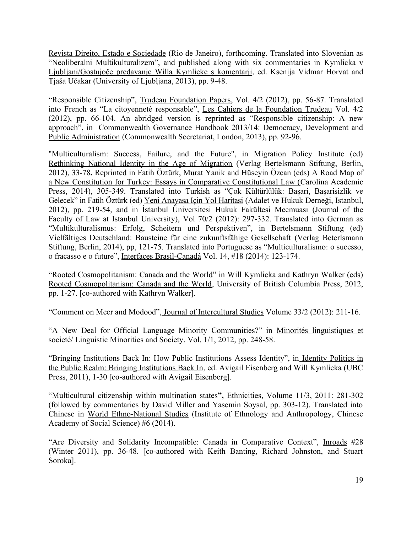Revista Direito, Estado e Sociedade (Rio de Janeiro), forthcoming. Translated into Slovenian as "Neoliberalni Multikulturalizem", and published along with six commentaries in Kymlicka v Ljubljani/Gostujoče predavanje Willa Kymlicke s komentarji, ed. Ksenija Vidmar Horvat and Tjaša Učakar (University of Ljubljana, 2013), pp. 9-48.

"Responsible Citizenship", Trudeau Foundation Papers, Vol. 4/2 (2012), pp. 56-87. Translated into French as "La citoyenneté responsable", Les Cahiers de la Foundation Trudeau Vol. 4/2 (2012), pp. 66-104. An abridged version is reprinted as "Responsible citizenship: A new approach", in Commonwealth Governance Handbook 2013/14: Democracy, Development and Public Administration (Commonwealth Secretariat, London, 2013), pp. 92-96.

"Multiculturalism: Success, Failure, and the Future", in Migration Policy Institute (ed) Rethinking National Identity in the Age of Migration (Verlag Bertelsmann Stiftung, Berlin, 2012), 33-78**.** Reprinted in Fatih Öztürk, Murat Yanik and Hüseyin Özcan (eds) A Road Map of a New Constitution for Turkey: Essays in Comparative Constitutional Law (Carolina Academic Press, 2014), 305-349. Translated into Turkish as "Çok Kültürlülük: Başari, Başarisizlik ve Gelecek" in Fatih Öztürk (ed) Yeni Anayasa Için Yol Haritasi (Adalet ve Hukuk Derneği, Istanbul, 2012), pp. 219-54, and in İstanbul Üniversitesi Hukuk Fakültesi Mecmuası (Journal of the Faculty of Law at Istanbul University), Vol 70/2 (2012): 297-332. Translated into German as "Multikulturalismus: Erfolg, Scheitern und Perspektiven", in Bertelsmann Stiftung (ed) Vielfältiges Deutschland: Bausteine für eine zukunftsfähige Gesellschaft (Verlag Beterlsmann Stiftung, Berlin, 2014), pp, 121-75. Translated into Portuguese as "Multiculturalismo: o sucesso, o fracasso e o future", Interfaces Brasil-Canadá Vol. 14, #18 (2014): 123-174.

"Rooted Cosmopolitanism: Canada and the World" in Will Kymlicka and Kathryn Walker (eds) Rooted Cosmopolitanism: Canada and the World, University of British Columbia Press, 2012, pp. 1-27. [co-authored with Kathryn Walker].

"Comment on Meer and Modood", Journal of Intercultural Studies Volume 33/2 (2012): 211-16.

"A New Deal for Official Language Minority Communities?" in Minorités linguistiques et societé/ Linguistic Minorities and Society, Vol. 1/1, 2012, pp. 248-58.

"Bringing Institutions Back In: How Public Institutions Assess Identity", in Identity Politics in the Public Realm: Bringing Institutions Back In, ed. Avigail Eisenberg and Will Kymlicka (UBC Press, 2011), 1-30 [co-authored with Avigail Eisenberg].

"Multicultural citizenship within multination states**",** Ethnicities, Volume 11/3, 2011: 281-302 (followed by commentaries by David Miller and Yasemin Soysal, pp. 303-12). Translated into Chinese in World Ethno-National Studies (Institute of Ethnology and Anthropology, Chinese Academy of Social Science) #6 (2014).

"Are Diversity and Solidarity Incompatible: Canada in Comparative Context", Inroads #28 (Winter 2011), pp. 36-48. [co-authored with Keith Banting, Richard Johnston, and Stuart Soroka].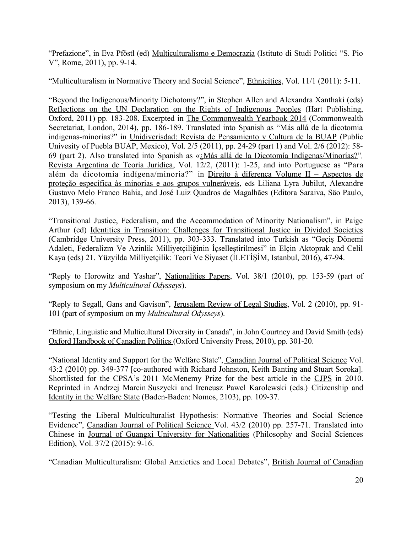"Prefazione", in Eva Pföstl (ed) Multiculturalismo e Democrazia (Istituto di Studi Politici "S. Pio V", Rome, 2011), pp. 9-14.

"Multiculturalism in Normative Theory and Social Science", Ethnicities, Vol. 11/1 (2011): 5-11.

"Beyond the Indigenous/Minority Dichotomy?", in Stephen Allen and Alexandra Xanthaki (eds) Reflections on the UN Declaration on the Rights of Indigenous Peoples (Hart Publishing, Oxford, 2011) pp. 183-208. Excerpted in The Commonwealth Yearbook 2014 (Commonwealth Secretariat, London, 2014), pp. 186-189. Translated into Spanish as "Más allá de la dicotomia indigenas-minorias?" in Unidiverisdad: Revista de Pensamiento y Cultura de la BUAP (Public Univesity of Puebla BUAP, Mexico), Vol. 2/5 (2011), pp. 24-29 (part 1) and Vol. 2/6 (2012): 58- 69 (part 2). Also translated into Spanish as «[¿Más allá de la Dicotomía Indígenas/Minorías?"](http://www.utdt.edu/download.php?fname=_133001505979576500.pdf)*,* Revista Argentina de Teoría Jurídica, Vol. 12/2, (2011): 1-25, and into Portuguese as "Para além da dicotomia indígena/minoria?" in Direito à diferença Volume II – Aspectos de proteção específica às minorias e aos grupos vulneráveis, eds Liliana Lyra Jubilut, Alexandre Gustavo Melo Franco Bahia, and José Luiz Quadros de Magalhães (Editora Saraiva, Säo Paulo, 2013), 139-66.

"Transitional Justice, Federalism, and the Accommodation of Minority Nationalism", in Paige Arthur (ed) Identities in Transition: Challenges for Transitional Justice in Divided Societies (Cambridge University Press, 2011), pp. 303-333. Translated into Turkish as "Geçiş Dönemi Adaleti, Federalizm Ve Azinlik Milliyetçiliğinin İçselleştirilmesi" in Elçin Aktoprak and Celil Kaya (eds) 21. Yüzyilda Milliyetçilik: Teori Ve Siyaset (İLETİŞİM, Istanbul, 2016), 47-94.

"Reply to Horowitz and Yashar", Nationalities Papers, Vol. 38/1 (2010), pp. 153-59 (part of symposium on my *Multicultural Odysseys*).

"Reply to Segall, Gans and Gavison", Jerusalem Review of Legal Studies, Vol. 2 (2010), pp. 91- 101 (part of symposium on my *Multicultural Odysseys*).

"Ethnic, Linguistic and Multicultural Diversity in Canada", in John Courtney and David Smith (eds) Oxford Handbook of Canadian Politics (Oxford University Press, 2010), pp. 301-20.

"National Identity and Support for the Welfare State", Canadian Journal of Political Science Vol. 43:2 (2010) pp. 349-377 [co-authored with Richard Johnston, Keith Banting and Stuart Soroka]. Shortlisted for the CPSA's 2011 McMenemy Prize for the best article in the CJPS in 2010. Reprinted in Andrzej Marcin Suszycki and Ireneusz Pawel Karolewski (eds.) Citizenship and Identity in the Welfare State (Baden-Baden: Nomos, 2103), pp. 109-37.

"Testing the Liberal Multiculturalist Hypothesis: Normative Theories and Social Science Evidence", Canadian Journal of Political Science Vol. 43/2 (2010) pp. 257-71. Translated into Chinese in Journal of Guangxi University for Nationalities (Philosophy and Social Sciences Edition), Vol. 37/2 (2015): 9-16.

"Canadian Multiculturalism: Global Anxieties and Local Debates", British Journal of Canadian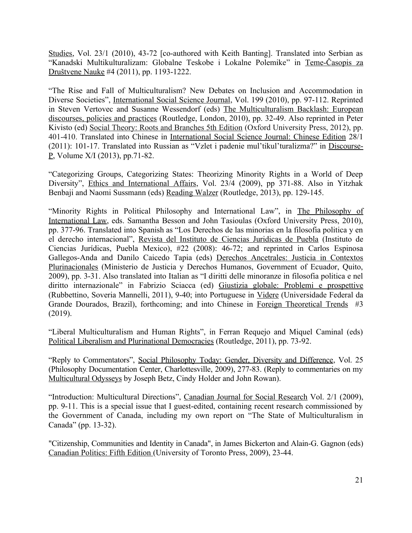Studies, Vol. 23/1 (2010), 43-72 [co-authored with Keith Banting]. Translated into Serbian as ["Kanadski Multikulturalizam: Globalne Teskobe i Lokalne Polemike"](http://teme.junis.ni.ac.rs/teme4-2011/teme%204-2011-03.pdf) in Teme-Časopis za Društvene Nauke #4 (2011), pp. 1193-1222.

"The Rise and Fall of Multiculturalism? New Debates on Inclusion and Accommodation in Diverse Societies", International Social Science Journal, Vol. 199 (2010), pp. 97-112. Reprinted in Steven Vertovec and Susanne Wessendorf (eds) The Multiculturalism Backlash: European discourses, policies and practices (Routledge, London, 2010), pp. 32-49. Also reprinted in Peter Kivisto (ed) Social Theory: Roots and Branches 5th Edition (Oxford University Press, 2012), pp. 401-410. Translated into Chinese in International Social Science Journal: Chinese Edition 28/1 (2011): 101-17. Translated into Russian as "Vzlet i padenie mul'tikul'turalizma?" in Discourse-P, Volume X/I (2013), pp.71-82.

"Categorizing Groups, Categorizing States: Theorizing Minority Rights in a World of Deep Diversity", Ethics and International Affairs, Vol. 23/4 (2009), pp 371-88. Also in Yitzhak Benbaji and Naomi Sussmann (eds) Reading Walzer (Routledge, 2013), pp. 129-145.

"Minority Rights in Political Philosophy and International Law", in The Philosophy of International Law, eds. Samantha Besson and John Tasioulas (Oxford University Press, 2010), pp. 377-96. Translated into Spanish as "Los Derechos de las minorias en la filosofia politica y en el derecho internacional", Revista del Instituto de Ciencias Juridicas de Puebla (Instituto de Ciencias Jurídicas, Puebla Mexico), #22 (2008): 46-72; and reprinted in Carlos Espinosa Gallegos-Anda and Danilo Caicedo Tapia (eds) Derechos Ancetrales: Justicia in Contextos Plurinacionales (Ministerio de Justicia y Derechos Humanos, Government of Ecuador, Quito, 2009), pp. 3-31. Also translated into Italian as "I diritti delle minoranze in filosofia politica e nel diritto internazionale" in Fabrizio Sciacca (ed) Giustizia globale: Problemi e prospettive (Rubbettino, Soveria Mannelli, 2011), 9-40; into Portuguese in Videre (Universidade Federal da Grande Dourados, Brazil), forthcoming; and into Chinese in Foreign Theoretical Trends #3 (2019).

"Liberal Multiculturalism and Human Rights", in Ferran Requejo and Miquel Caminal (eds) Political Liberalism and Plurinational Democracies (Routledge, 2011), pp. 73-92.

"Reply to Commentators", Social Philosophy Today: Gender, Diversity and Difference, Vol. 25 (Philosophy Documentation Center, Charlottesville, 2009), 277-83. (Reply to commentaries on my Multicultural Odysseys by Joseph Betz, Cindy Holder and John Rowan).

"Introduction: Multicultural Directions", Canadian Journal for Social Research Vol. 2/1 (2009), pp. 9-11. This is a special issue that I guest-edited, containing recent research commissioned by the Government of Canada, including my own report on "The State of Multiculturalism in Canada" (pp. 13-32).

"Citizenship, Communities and Identity in Canada", in James Bickerton and Alain-G. Gagnon (eds) Canadian Politics: Fifth Edition (University of Toronto Press, 2009), 23-44.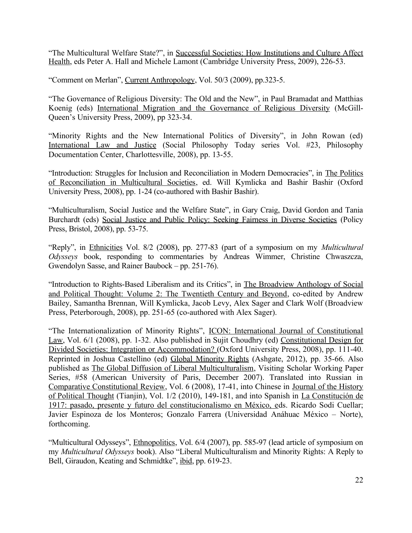"The Multicultural Welfare State?", in Successful Societies: How Institutions and Culture Affect Health, eds Peter A. Hall and Michele Lamont (Cambridge University Press, 2009), 226-53.

"Comment on Merlan", Current Anthropology, Vol. 50/3 (2009), pp.323-5.

"The Governance of Religious Diversity: The Old and the New", in Paul Bramadat and Matthias Koenig (eds) International Migration and the Governance of Religious Diversity (McGill-Queen's University Press, 2009), pp 323-34.

"Minority Rights and the New International Politics of Diversity", in John Rowan (ed) International Law and Justice (Social Philosophy Today series Vol. #23, Philosophy Documentation Center, Charlottesville, 2008), pp. 13-55.

"Introduction: Struggles for Inclusion and Reconciliation in Modern Democracies", in The Politics of Reconciliation in Multicultural Societies, ed. Will Kymlicka and Bashir Bashir (Oxford University Press, 2008), pp. 1-24 (co-authored with Bashir Bashir).

"Multiculturalism, Social Justice and the Welfare State", in Gary Craig, David Gordon and Tania Burchardt (eds) Social Justice and Public Policy: Seeking Fairness in Diverse Societies (Policy Press, Bristol, 2008), pp. 53-75.

"Reply", in Ethnicities Vol. 8/2 (2008), pp. 277-83 (part of a symposium on my *Multicultural Odysseys* book, responding to commentaries by Andreas Wimmer, Christine Chwaszcza, Gwendolyn Sasse, and Rainer Baubock – pp. 251-76).

"Introduction to Rights-Based Liberalism and its Critics", in The Broadview Anthology of Social and Political Thought: Volume 2: The Twentieth Century and Beyond, co-edited by Andrew Bailey, Samantha Brennan, Will Kymlicka, Jacob Levy, Alex Sager and Clark Wolf (Broadview Press, Peterborough, 2008), pp. 251-65 (co-authored with Alex Sager).

"The Internationalization of Minority Rights", ICON: International Journal of Constitutional Law, Vol. 6/1 (2008), pp. 1-32. Also published in Sujit Choudhry (ed) Constitutional Design for Divided Societies: Integration or Accommodation? (Oxford University Press, 2008), pp. 111-40. Reprinted in Joshua Castellino (ed) Global Minority Rights (Ashgate, 2012), pp. 35-66. Also published as The Global Diffusion of Liberal Multiculturalism, Visiting Scholar Working Paper Series, #58 (American University of Paris, December 2007). Translated into Russian in Comparative Constitutional Review, Vol. 6 (2008), 17-41, into Chinese in Journal of the History of Political Thought (Tianjin), Vol. 1/2 (2010), 149-181, and into Spanish in La Constitución de 1917: pasado, presente y futuro del constitucionalismo en México, eds. Ricardo Sodi Cuellar; Javier Espinoza de los Monteros; Gonzalo Farrera (Universidad Anáhuac México – Norte), forthcoming.

"Multicultural Odysseys", Ethnopolitics, Vol. 6/4 (2007), pp. 585-97 (lead article of symposium on my *Multicultural Odysseys* book). Also "Liberal Multiculturalism and Minority Rights: A Reply to Bell, Giraudon, Keating and Schmidtke", ibid, pp. 619-23.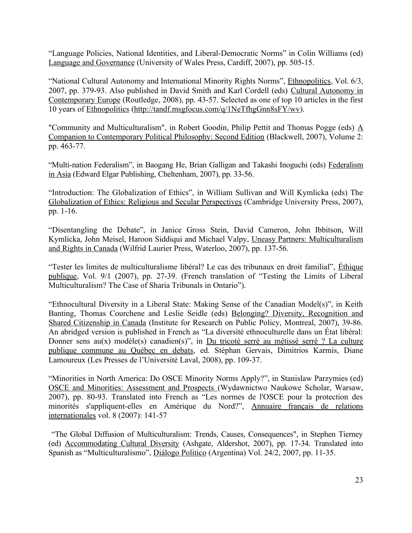"Language Policies, National Identities, and Liberal-Democratic Norms" in Colin Williams (ed) Language and Governance (University of Wales Press, Cardiff, 2007), pp. 505-15.

"National Cultural Autonomy and International Minority Rights Norms", *Ethnopolitics*, Vol. 6/3, 2007, pp. 379-93. Also published in David Smith and Karl Cordell (eds) Cultural Autonomy in Contemporary Europe (Routledge, 2008), pp. 43-57. Selected as one of top 10 articles in the first 10 years of Ethnopolitics [\(http://tandf.msgfocus.com/q/1NeTfhgGnn8sFY/wv\)](http://tandf.msgfocus.com/q/1NeTfhgGnn8sFY/wv).

"Community and Multiculturalism", in Robert Goodin, Philip Pettit and Thomas Pogge (eds)  $\underline{A}$ Companion to Contemporary Political Philosophy: Second Edition (Blackwell, 2007), Volume 2: pp. 463-77.

"Multi-nation Federalism", in Baogang He, Brian Galligan and Takashi Inoguchi (eds) Federalism in Asia (Edward Elgar Publishing, Cheltenham, 2007), pp. 33-56.

"Introduction: The Globalization of Ethics", in William Sullivan and Will Kymlicka (eds) The Globalization of Ethics: Religious and Secular Perspectives (Cambridge University Press, 2007), pp. 1-16.

"Disentangling the Debate", in Janice Gross Stein, David Cameron, John Ibbitson, Will Kymlicka, John Meisel, Haroon Siddiqui and Michael Valpy, Uneasy Partners: Multiculturalism and Rights in Canada (Wilfrid Laurier Press, Waterloo, 2007), pp. 137-56.

"Tester les limites de multiculturalisme libéral? Le cas des tribunaux en droit familial", Éthique publique, Vol. 9/1 (2007), pp. 27-39. (French translation of "Testing the Limits of Liberal Multiculturalism? The Case of Sharia Tribunals in Ontario").

"Ethnocultural Diversity in a Liberal State: Making Sense of the Canadian Model(s)", in Keith Banting, Thomas Courchene and Leslie Seidle (eds) Belonging? Diversity, Recognition and Shared Citizenship in Canada (Institute for Research on Public Policy, Montreal, 2007), 39-86. An abridged version is published in French as "La diversité ethnoculturelle dans un État libéral: Donner sens au(x) modèle(s) canadien(s)", in Du tricoté serré au métissé serré ? La culture publique commune au Québec en debats, ed. Stéphan Gervais, Dimitrios Karmis, Diane Lamoureux (Les Presses de l'Université Laval, 2008), pp. 109-37.

"Minorities in North America: Do OSCE Minority Norms Apply?", in Stanislaw Parzymies (ed) OSCE and Minorities: Assessment and Prospects (Wydawnictwo Naukowe Scholar, Warsaw, 2007), pp. 80-93. Translated into French as "Les normes de l'OSCE pour la protection des minorités s'appliquent-elles en Amérique du Nord?", Annuaire français de relations internationales vol. 8 (2007): 141-57

 "The Global Diffusion of Multiculturalism: Trends, Causes, Consequences", in Stephen Tierney (ed) Accommodating Cultural Diversity (Ashgate, Aldershot, 2007), pp. 17-34. Translated into Spanish as "Multiculturalismo", Diálogo Politico (Argentina) Vol. 24/2, 2007, pp. 11-35.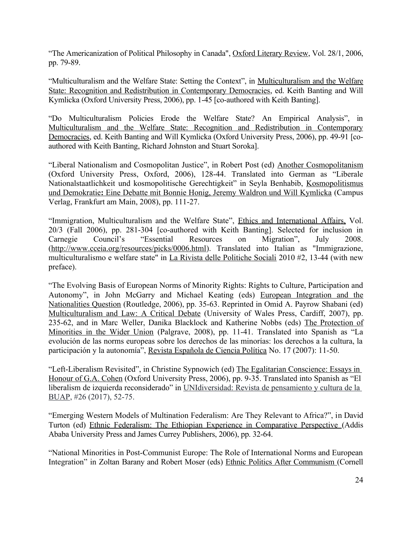"The Americanization of Political Philosophy in Canada", Oxford Literary Review, Vol. 28/1, 2006, pp. 79-89.

"Multiculturalism and the Welfare State: Setting the Context", in Multiculturalism and the Welfare State: Recognition and Redistribution in Contemporary Democracies, ed. Keith Banting and Will Kymlicka (Oxford University Press, 2006), pp. 1-45 [co-authored with Keith Banting].

"Do Multiculturalism Policies Erode the Welfare State? An Empirical Analysis", in Multiculturalism and the Welfare State: Recognition and Redistribution in Contemporary Democracies, ed. Keith Banting and Will Kymlicka (Oxford University Press, 2006), pp. 49-91 [coauthored with Keith Banting, Richard Johnston and Stuart Soroka].

"Liberal Nationalism and Cosmopolitan Justice", in Robert Post (ed) Another Cosmopolitanism (Oxford University Press, Oxford, 2006), 128-44. Translated into German as "Liberale Nationalstaatlichkeit und kosmopolitische Gerechtigkeit" in Seyla Benhabib, Kosmopolitismus und Demokratie: Eine Debatte mit Bonnie Honig, Jeremy Waldron und Will Kymlicka (Campus Verlag, Frankfurt am Main, 2008), pp. 111-27.

"Immigration, Multiculturalism and the Welfare State", *Ethics and International Affairs*, Vol. 20/3 (Fall 2006), pp. 281-304 [co-authored with Keith Banting]. Selected for inclusion in Carnegie Council's "Essential Resources on Migration", July 2008. [\(http://www.cceia.org/resources/picks/0006.html\)](http://www.cceia.org/resources/picks/0006.html). Translated into Italian as "Immigrazione, multiculturalismo e welfare state" in La Rivista delle Politiche Sociali 2010 #2, 13-44 (with new preface).

"The Evolving Basis of European Norms of Minority Rights: Rights to Culture, Participation and Autonomy", in John McGarry and Michael Keating (eds) European Integration and the Nationalities Question (Routledge, 2006), pp. 35-63. Reprinted in Omid A. Payrow Shabani (ed) Multiculturalism and Law: A Critical Debate (University of Wales Press, Cardiff, 2007), pp. 235-62, and in Marc Weller, Danika Blacklock and Katherine Nobbs (eds) The Protection of Minorities in the Wider Union (Palgrave, 2008), pp. 11-41. Translated into Spanish as "La evolución de las norms europeas sobre los derechos de las minorías: los derechos a la cultura, la participación y la autonomía", Revista Española de Ciencia Política No. 17 (2007): 11-50.

"Left-Liberalism Revisited", in Christine Sypnowich (ed) The Egalitarian Conscience: Essays in Honour of G.A. Cohen (Oxford University Press, 2006), pp. 9-35. Translated into Spanish as "El liberalism de izquierda reconsiderado" in UNIdiversidad: Revista de pensamiento y cultura de la BUAP, #26 (2017), 52-75.

"Emerging Western Models of Multination Federalism: Are They Relevant to Africa?", in David Turton (ed) Ethnic Federalism: The Ethiopian Experience in Comparative Perspective (Addis Ababa University Press and James Currey Publishers, 2006), pp. 32-64.

"National Minorities in Post-Communist Europe: The Role of International Norms and European Integration" in Zoltan Barany and Robert Moser (eds) Ethnic Politics After Communism (Cornell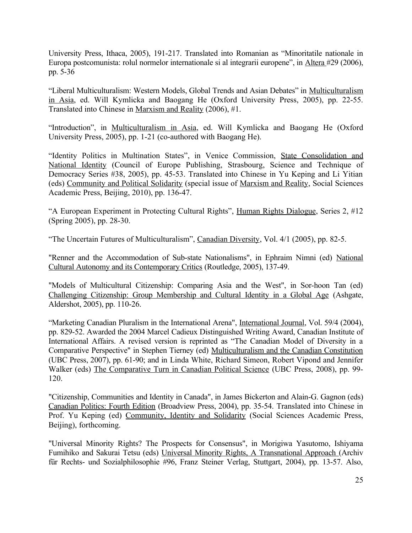University Press, Ithaca, 2005), 191-217. Translated into Romanian as "Minoritatile nationale in Europa postcomunista: rolul normelor internationale si al integrarii europene", in Altera #29 (2006), pp. 5-36

"Liberal Multiculturalism: Western Models, Global Trends and Asian Debates" in Multiculturalism in Asia, ed. Will Kymlicka and Baogang He (Oxford University Press, 2005), pp. 22-55. Translated into Chinese in Marxism and Reality (2006), #1.

"Introduction", in Multiculturalism in Asia, ed. Will Kymlicka and Baogang He (Oxford University Press, 2005), pp. 1-21 (co-authored with Baogang He).

"Identity Politics in Multination States", in Venice Commission, State Consolidation and National Identity (Council of Europe Publishing, Strasbourg, Science and Technique of Democracy Series #38, 2005), pp. 45-53. Translated into Chinese in Yu Keping and Li Yitian (eds) Community and Political Solidarity (special issue of Marxism and Reality, Social Sciences Academic Press, Beijing, 2010), pp. 136-47.

"A European Experiment in Protecting Cultural Rights", Human Rights Dialogue, Series 2, #12 (Spring 2005), pp. 28-30.

"The Uncertain Futures of Multiculturalism", Canadian Diversity, Vol. 4/1 (2005), pp. 82-5.

"Renner and the Accommodation of Sub-state Nationalisms", in Ephraim Nimni (ed) National Cultural Autonomy and its Contemporary Critics (Routledge, 2005), 137-49.

"Models of Multicultural Citizenship: Comparing Asia and the West", in Sor-hoon Tan (ed) Challenging Citizenship: Group Membership and Cultural Identity in a Global Age (Ashgate, Aldershot, 2005), pp. 110-26.

"Marketing Canadian Pluralism in the International Arena", International Journal, Vol. 59/4 (2004), pp. 829-52. Awarded the 2004 Marcel Cadieux Distinguished Writing Award, Canadian Institute of International Affairs. A revised version is reprinted as "The Canadian Model of Diversity in a Comparative Perspective" in Stephen Tierney (ed) Multiculturalism and the Canadian Constitution (UBC Press, 2007), pp. 61-90; and in Linda White, Richard Simeon, Robert Vipond and Jennifer Walker (eds) The Comparative Turn in Canadian Political Science (UBC Press, 2008), pp. 99- 120.

"Citizenship, Communities and Identity in Canada", in James Bickerton and Alain-G. Gagnon (eds) Canadian Politics: Fourth Edition (Broadview Press, 2004), pp. 35-54. Translated into Chinese in Prof. Yu Keping (ed) Community, Identity and Solidarity (Social Sciences Academic Press, Beijing), forthcoming.

"Universal Minority Rights? The Prospects for Consensus", in Morigiwa Yasutomo, Ishiyama Fumihiko and Sakurai Tetsu (eds) Universal Minority Rights, A Transnational Approach (Archiv für Rechts- und Sozialphilosophie #96, Franz Steiner Verlag, Stuttgart, 2004), pp. 13-57. Also,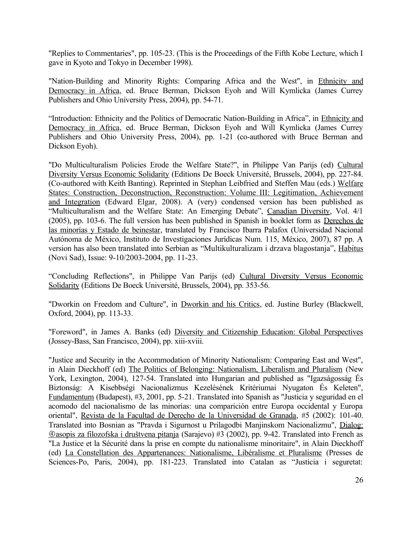"Replies to Commentaries", pp. 105-23. (This is the Proceedings of the Fifth Kobe Lecture, which I gave in Kyoto and Tokyo in December 1998).

"Nation-Building and Minority Rights: Comparing Africa and the West", in Ethnicity and Democracy in Africa, ed. Bruce Berman, Dickson Eyoh and Will Kymlicka (James Currey Publishers and Ohio University Press, 2004), pp. 54-71.

"Introduction: Ethnicity and the Politics of Democratic Nation-Building in Africa", in Ethnicity and Democracy in Africa, ed. Bruce Berman, Dickson Eyoh and Will Kymlicka (James Currey Publishers and Ohio University Press, 2004), pp. 1-21 (co-authored with Bruce Berman and Dickson Eyoh).

"Do Multiculturalism Policies Erode the Welfare State?", in Philippe Van Parijs (ed) Cultural Diversity Versus Economic Solidarity (Editions De Boeck Université, Brussels, 2004), pp. 227-84. (Co-authored with Keith Banting). Reprinted in Stephan Leibfried and Steffen Mau (eds.) Welfare States: Construction, Deconstruction, Reconstruction: Volume III: Legitimation, Achievement and Integration (Edward Elgar, 2008). A (very) condensed version has been published as "Multiculturalism and the Welfare State: An Emerging Debate", Canadian Diversity, Vol. 4/1 (2005), pp. 103-6. The full version has been published in Spanish in booklet form as Derechos de las minorías y Estado de beinestar, translated by Francisco Ibarra Palafox (Universidad Nacional Autónoma de México, Instituto de Investigaciones Jurídicas Num. 115, México, 2007), 87 pp. A version has also been translated into Serbian as "Multikulturalizam i drzava blagostanja", Habitus (Novi Sad), Issue: 9-10/2003-2004, pp. 11-23.

"Concluding Reflections", in Philippe Van Parijs (ed) Cultural Diversity Versus Economic Solidarity (Editions De Boeck Université, Brussels, 2004), pp. 353-56.

"Dworkin on Freedom and Culture", in Dworkin and his Critics, ed. Justine Burley (Blackwell, Oxford, 2004), pp. 113-33.

"Foreword", in James A. Banks (ed) Diversity and Citizenship Education: Global Perspectives (Jossey-Bass, San Francisco, 2004), pp. xiii-xviii.

"Justice and Security in the Accommodation of Minority Nationalism: Comparing East and West", in Alain Dieckhoff (ed) The Politics of Belonging: Nationalism, Liberalism and Pluralism (New York, Lexington, 2004), 127-54. Translated into Hungarian and published as "Igazságosság És Biztonság: A Kisebbségi Nacionalizmus Kezelésének Kritériumai Nyugaton És Keleten", Fundamentum (Budapest), #3, 2001, pp. 5-21. Translated into Spanish as "Justicia y seguridad en el acomodo del nacionalismo de las minorías: una comparición entre Europa occidental y Europa oriental", Revista de la Facultad de Derecho de la Universidad de Granada, #5 (2002): 101-40. Translated into Bosnian as "Pravda i Sigurnost u Prilagodbi Manjinskom Nacionalizmu", Dialog: asopis za filozofska i društvena pitanja (Sarajevo) #3 (2002), pp. 9-42. Translated into French as "La Justice et la Sécurité dans la prise en compte du nationalisme minoritaire", in Alain Dieckhoff (ed) La Constellation des Appartenances: Nationalisme, Libéralisme et Pluralisme (Presses de Sciences-Po, Paris, 2004), pp. 181-223. Translated into Catalan as "Justícia i seguretat: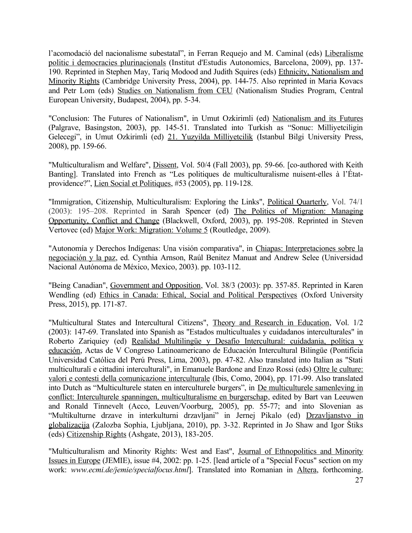l'acomodació del nacionalisme subestatal", in Ferran Requejo and M. Caminal (eds) Liberalisme politic i democracies plurinacionals (Institut d'Estudis Autonomics, Barcelona, 2009), pp. 137- 190. Reprinted in Stephen May, Tariq Modood and Judith Squires (eds) Ethnicity, Nationalism and Minority Rights (Cambridge University Press, 2004), pp. 144-75. Also reprinted in Maria Kovacs and Petr Lom (eds) Studies on Nationalism from CEU (Nationalism Studies Program, Central European University, Budapest, 2004), pp. 5-34.

"Conclusion: The Futures of Nationalism", in Umut Ozkirimli (ed) Nationalism and its Futures (Palgrave, Basingston, 2003), pp. 145-51. Translated into Turkish as "Sonuc: Milliyetciligin Gelecegi", in Umut Ozkirimli (ed) 21. Yuzyilda Milliyetcilik (Istanbul Bilgi University Press, 2008), pp. 159-66.

"Multiculturalism and Welfare", Dissent, Vol. 50/4 (Fall 2003), pp. 59-66. [co-authored with Keith Banting]. Translated into French as "Les politiques de multiculturalisme nuisent-elles à l'Étatprovidence?", Lien Social et Politiques, #53 (2005), pp. 119-128.

"Immigration, Citizenship, Multiculturalism: Exploring the Links", Political Quarterly, Vol. 74/1 (2003): 195–208. Reprinted in Sarah Spencer (ed) The Politics of Migration: Managing Opportunity, Conflict and Change (Blackwell, Oxford, 2003), pp. 195-208. Reprinted in Steven Vertovec (ed) Major Work: Migration: Volume 5 (Routledge, 2009).

"Autonomía y Derechos Indígenas: Una visión comparativa", in Chiapas: Interpretaciones sobre la negociación y la paz, ed. Cynthia Arnson, Raúl Benitez Manuat and Andrew Selee (Universidad Nacional Autónoma de México, Mexico, 2003). pp. 103-112.

"Being Canadian", Government and Opposition, Vol. 38/3 (2003): pp. 357-85. Reprinted in Karen Wendling (ed) Ethics in Canada: Ethical, Social and Political Perspectives (Oxford University Press, 2015), pp. 171-87.

"Multicultural States and Intercultural Citizens", Theory and Research in Education, Vol. 1/2 (2003): 147-69. Translated into Spanish as "Estados multicultuales y cuidadanos interculturales" in Roberto Zariquiey (ed) Realidad Multilingüe y Desafío Intercultural: cuidadania, política y educación, Actas de V Congreso Latinoamericano de Educación Intercultural Bilingüe (Pontificia Universidad Católica del Perú Press, Lima, 2003), pp. 47-82. Also translated into Italian as "Stati multiculturali e cittadini interculturali", in Emanuele Bardone and Enzo Rossi (eds) Oltre le culture: valori e contesti della comunicazione interculturale (Ibis, Como, 2004), pp. 171-99. Also translated into Dutch as "Multiculturele staten en interculturele burgers", in De multiculturele samenleving in conflict: Interculturele spanningen, multiculturalisme en burgerschap, edited by Bart van Leeuwen and Ronald Tinnevelt (Acco, Leuven/Voorburg, 2005), pp. 55-77; and into Slovenian as "Multikulturne drzave in interkulturni drzavljani" in Jernej Pikalo (ed) Drzavljanstvo in globalizacija (Zalozba Sophia, Ljubljana, 2010), pp. 3-32. Reprinted in Jo Shaw and Igor Štiks (eds) Citizenship Rights (Ashgate, 2013), 183-205.

"Multiculturalism and Minority Rights: West and East", Journal of Ethnopolitics and Minority Issues in Europe (JEMIE), issue #4, 2002: pp. 1-25. [lead article of a "Special Focus" section on my work: *www.ecmi.de/jemie/specialfocus.html*]. Translated into Romanian in Altera, forthcoming.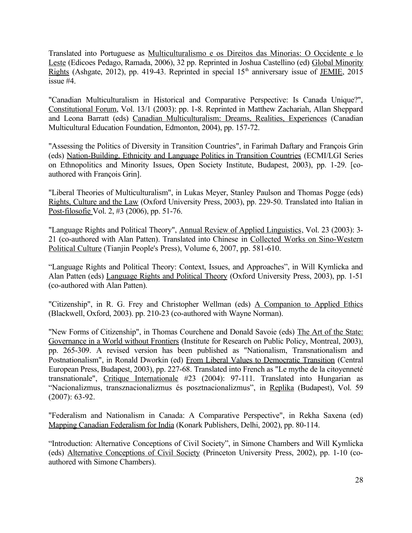Translated into Portuguese as Multiculturalismo e os Direitos das Minorias: O Occidente e lo Leste (Edicoes Pedago, Ramada, 2006), 32 pp. Reprinted in Joshua Castellino (ed) Global Minority Rights (Ashgate, 2012), pp. 419-43. Reprinted in special  $15<sup>th</sup>$  anniversary issue of JEMIE, 2015 issue #4.

"Canadian Multiculturalism in Historical and Comparative Perspective: Is Canada Unique?", Constitutional Forum, Vol. 13/1 (2003): pp. 1-8. Reprinted in Matthew Zachariah, Allan Sheppard and Leona Barratt (eds) Canadian Multiculturalism: Dreams, Realities, Experiences (Canadian Multicultural Education Foundation, Edmonton, 2004), pp. 157-72.

"Assessing the Politics of Diversity in Transition Countries", in Farimah Daftary and François Grin (eds) Nation-Building, Ethnicity and Language Politics in Transition Countries (ECMI/LGI Series on Ethnopolitics and Minority Issues, Open Society Institute, Budapest, 2003), pp. 1-29. [coauthored with François Grin].

"Liberal Theories of Multiculturalism", in Lukas Meyer, Stanley Paulson and Thomas Pogge (eds) Rights, Culture and the Law (Oxford University Press, 2003), pp. 229-50. Translated into Italian in Post-filosofie Vol. 2, #3 (2006), pp. 51-76.

"Language Rights and Political Theory", Annual Review of Applied Linguistics, Vol. 23 (2003): 3- 21 (co-authored with Alan Patten). Translated into Chinese in Collected Works on Sino-Western Political Culture (Tianjin People's Press), Volume 6, 2007, pp. 581-610.

"Language Rights and Political Theory: Context, Issues, and Approaches", in Will Kymlicka and Alan Patten (eds) Language Rights and Political Theory (Oxford University Press, 2003), pp. 1-51 (co-authored with Alan Patten).

"Citizenship", in R. G. Frey and Christopher Wellman (eds) A Companion to Applied Ethics (Blackwell, Oxford, 2003). pp. 210-23 (co-authored with Wayne Norman).

"New Forms of Citizenship", in Thomas Courchene and Donald Savoie (eds) The Art of the State: Governance in a World without Frontiers (Institute for Research on Public Policy, Montreal, 2003), pp. 265-309. A revised version has been published as "Nationalism, Transnationalism and Postnationalism", in Ronald Dworkin (ed) From Liberal Values to Democratic Transition (Central European Press, Budapest, 2003), pp. 227-68. Translated into French as "Le mythe de la citoyenneté transnationale", Critique Internationale #23 (2004): 97-111. Translated into Hungarian as "Nacionalizmus, transznacionalizmus és posztnacionalizmus", in Replika (Budapest), Vol. 59 (2007): 63-92.

"Federalism and Nationalism in Canada: A Comparative Perspective", in Rekha Saxena (ed) Mapping Canadian Federalism for India (Konark Publishers, Delhi, 2002), pp. 80-114.

"Introduction: Alternative Conceptions of Civil Society", in Simone Chambers and Will Kymlicka (eds) Alternative Conceptions of Civil Society (Princeton University Press, 2002), pp. 1-10 (coauthored with Simone Chambers).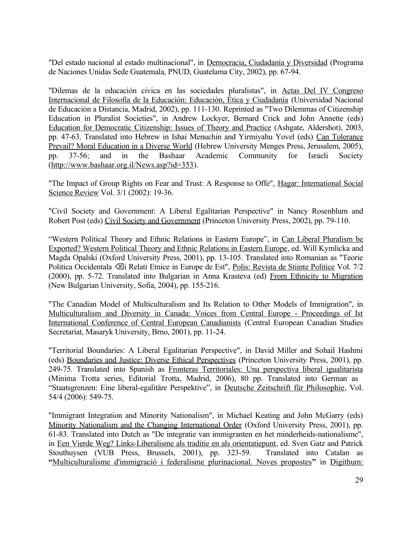"Del estado nacional al estado multinacional", in Democracia, Ciudadanía y Diversidad (Programa de Naciones Unidas Sede Guatemala, PNUD, Guatelama City, 2002), pp. 67-94.

"Dilemas de la educación civica en las sociedades pluralistas", in Actas Del IV Congreso Internacional de Filosofía de la Educación: Educación, Ética y Ciudadanía (Universidad Nacional de Educación a Distancia, Madrid, 2002), pp. 111-130. Reprinted as "Two Dilemmas of Citizenship Education in Pluralist Societies", in Andrew Lockyer, Bernard Crick and John Annette (eds) Education for Democratic Citizenship: Issues of Theory and Practice (Ashgate, Aldershot), 2003, pp. 47-63. Translated into Hebrew in Ishai Menuchin and Yirmiyahu Yovel (eds) Can Tolerance Prevail? Moral Education in a Diverse World (Hebrew University Menges Press, Jerusalem, 2005), pp. 37-56; and in the Bashaar Academic Community for Israeli Society [\(http://www.bashaar.org.il/News.asp?id=353\)](http://www.bashaar.org.il/News.asp?id=353).

"The Impact of Group Rights on Fear and Trust: A Response to Offe", Hagar: International Social Science Review Vol. 3/1 (2002): 19-36.

"Civil Society and Government: A Liberal Egalitarian Perspective" in Nancy Rosenblum and Robert Post (eds) Civil Society and Government (Princeton University Press, 2002), pp. 79-110.

"Western Political Theory and Ethnic Relations in Eastern Europe", in Can Liberal Pluralism be Exported? Western Political Theory and Ethnic Relations in Eastern Europe, ed. Will Kymlicka and Magda Opalski (Oxford University Press, 2001), pp. 13-105. Translated into Romanian as "Teorie Politica Occidentala <sup>«</sup>Zi Relati Etnice in Europe de Est", <u>Polis: Revista de Stiinte Politice</u> Vol. 7/2 (2000), pp. 5-72. Translated into Bulgarian in Anna Krasteva (ed) From Ethnicity to Migration (New Bulgarian University, Sofia, 2004), pp. 155-216.

"The Canadian Model of Multiculturalism and Its Relation to Other Models of Immigration", in Multiculturalism and Diversity in Canada: Voices from Central Europe - Proceedings of Ist International Conference of Central European Canadianists (Central European Canadian Studies Secretariat, Masaryk University, Brno, 2001), pp. 11-24.

"Territorial Boundaries: A Liberal Egalitarian Perspective", in David Miller and Sohail Hashmi (eds) Boundaries and Justice: Diverse Ethical Perspectives (Princeton University Press, 2001), pp. 249-75. Translated into Spanish as Fronteras Territoriales: Una perspectiva liberal igualitarista (Minima Trotta series, Editorial Trotta, Madrid, 2006), 80 pp. Translated into German as "Staatsgrenzen: Eine liberal-egalitäre Perspektive", in Deutsche Zeitschrift für Philosophie, Vol. 54/4 (2006): 549-75.

"Immigrant Integration and Minority Nationalism", in Michael Keating and John McGarry (eds) Minority Nationalism and the Changing International Order (Oxford University Press, 2001), pp. 61-83. Translated into Dutch as "De integratie van immigranten en het minderheids-nationalisme", in Een Vierde Weg? Links-Liberalisme als traditie en als orientatiepunt, ed. Sven Gatz and Patrick Stouthuysen (VUB Press, Brussels, 2001), pp. 323-59. Translated into Catalan as **"**[Multiculturalisme d'immigració i federalisme plurinacional. Noves propostes](http://www.uoc.edu/humfil/digithum/digithum2/catala/Art_Kymlicka/index-ct.htm)**"** in Digithum: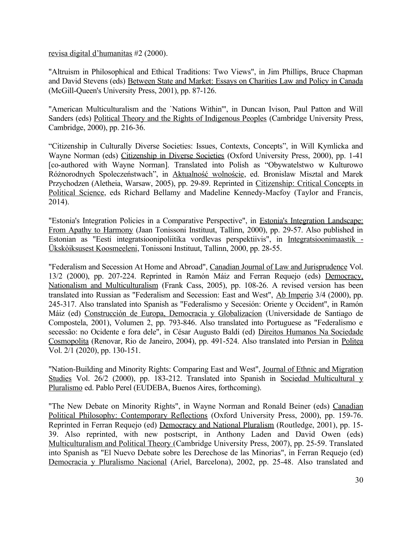revisa digital d'humanitas #2 (2000).

"Altruism in Philosophical and Ethical Traditions: Two Views", in Jim Phillips, Bruce Chapman and David Stevens (eds) Between State and Market: Essays on Charities Law and Policy in Canada (McGill-Queen's University Press, 2001), pp. 87-126.

"American Multiculturalism and the `Nations Within'", in Duncan Ivison, Paul Patton and Will Sanders (eds) Political Theory and the Rights of Indigenous Peoples (Cambridge University Press, Cambridge, 2000), pp. 216-36.

"Citizenship in Culturally Diverse Societies: Issues, Contexts, Concepts", in Will Kymlicka and Wayne Norman (eds) Citizenship in Diverse Societies (Oxford University Press, 2000), pp. 1-41 [co-authored with Wayne Norman]. Translated into Polish as "Obywatelstwo w Kulturowo Różnorodnych Spoleczeństwach", in Aktualność wolnoście, ed. Bronislaw Misztal and Marek Przychodzen (Aletheia, Warsaw, 2005), pp. 29-89. Reprinted in Citizenship: Critical Concepts in Political Science, eds Richard Bellamy and Madeline Kennedy-Macfoy (Taylor and Francis, 2014).

"Estonia's Integration Policies in a Comparative Perspective", in Estonia's Integration Landscape: From Apathy to Harmony (Jaan Tonissoni Instituut, Tallinn, 2000), pp. 29-57. Also published in Estonian as "Eesti integratsioonipoliitika vordlevas perspektiivis", in Integratsioonimaastik - Ükskòiksusest Koosmeeleni, Tonissoni Instituut, Tallinn, 2000, pp. 28-55.

"Federalism and Secession At Home and Abroad", Canadian Journal of Law and Jurisprudence Vol. 13/2 (2000), pp. 207-224. Reprinted in Ramón Máiz and Ferran Requejo (eds) Democracy, Nationalism and Multiculturalism (Frank Cass, 2005), pp. 108-26. A revised version has been translated into Russian as "Federalism and Secession: East and West", Ab Imperio 3/4 (2000), pp. 245-317. Also translated into Spanish as "Federalismo y Secesión: Oriente y Occident", in Ramón Máiz (ed) Construcción de Europa, Democracia y Globalizacíon (Universidade de Santiago de Compostela, 2001), Volumen 2, pp. 793-846. Also translated into Portuguese as "Federalismo e secessão: no Ocidente e fora dele", in César Augusto Baldi (ed) Direitos Humanos Na Sociedade Cosmopolita (Renovar, Rio de Janeiro, 2004), pp. 491-524. Also translated into Persian in Politea Vol. 2/1 (2020), pp. 130-151.

"Nation-Building and Minority Rights: Comparing East and West", Journal of Ethnic and Migration Studies Vol. 26/2 (2000), pp. 183-212. Translated into Spanish in Sociedad Multicultural y Pluralismo ed. Pablo Perel (EUDEBA, Buenos Aires, forthcoming).

"The New Debate on Minority Rights", in Wayne Norman and Ronald Beiner (eds) Canadian Political Philosophy: Contemporary Reflections (Oxford University Press, 2000), pp. 159-76. Reprinted in Ferran Requejo (ed) Democracy and National Pluralism (Routledge, 2001), pp. 15- 39. Also reprinted, with new postscript, in Anthony Laden and David Owen (eds) Multiculturalism and Political Theory (Cambridge University Press, 2007), pp. 25-59. Translated into Spanish as "El Nuevo Debate sobre les Derechose de las Minorias", in Ferran Requejo (ed) Democracia y Pluralismo Nacional (Ariel, Barcelona), 2002, pp. 25-48. Also translated and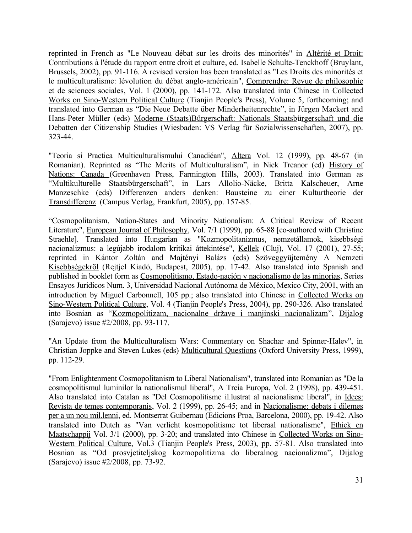reprinted in French as "Le Nouveau débat sur les droits des minorités" in Altérité et Droit: Contributions à l'étude du rapport entre droit et culture, ed. Isabelle Schulte-Tenckhoff (Bruylant, Brussels, 2002), pp. 91-116. A revised version has been translated as "Les Droits des minorités et le multiculturalisme: lévolution du débat anglo-américain", Comprendre: Revue de philosophie et de sciences sociales, Vol. 1 (2000), pp. 141-172. Also translated into Chinese in Collected Works on Sino-Western Political Culture (Tianjin People's Press), Volume 5, forthcoming; and translated into German as "Die Neue Debatte über Minderheitenrechte", in Jürgen Mackert and Hans-Peter Müller (eds) Moderne (Staats)Bürgerschaft: Nationals Staatsbürgerschaft und die Debatten der Citizenship Studies (Wiesbaden: VS Verlag für Sozialwissenschaften, 2007), pp. 323-44.

"Teoria si Practica Multiculturalismului Canadiéan", Altera Vol. 12 (1999), pp. 48-67 (in Romanian). Reprinted as "The Merits of Multiculturalism", in Nick Treanor (ed) History of Nations: Canada (Greenhaven Press, Farmington Hills, 2003). Translated into German as "Multikulturelle Staatsbürgerschaft", in [Lars Allolio-Näcke](http://www.google.ca/search?hl=de&tbo=p&tbm=bks&q=inauthor:%22Lars+Allolio-N%C3%A4cke%22), [Britta Kalscheuer](http://www.google.ca/search?hl=de&tbo=p&tbm=bks&q=inauthor:%22Britta+Kalscheuer%22), [Arne](http://www.google.ca/search?hl=de&tbo=p&tbm=bks&q=inauthor:%22Arne+Manzeschke%22) [Manzeschke](http://www.google.ca/search?hl=de&tbo=p&tbm=bks&q=inauthor:%22Arne+Manzeschke%22) (eds) Differenzen anders denken: Bausteine zu einer Kulturtheorie der Transdifferenz (Campus Verlag, Frankfurt, 2005), pp. 157-85.

"Cosmopolitanism, Nation-States and Minority Nationalism: A Critical Review of Recent Literature", European Journal of Philosophy, Vol. 7/1 (1999), pp. 65-88 [co-authored with Christine Straehle]. Translated into Hungarian as "Kozmopolitanizmus, nemzetállamok, kisebbségi nacionalizmus: a legújabb irodalom kritikai áttekintése", Kellek (Cluj), Vol. 17 (2001), 27-55; reprinted in Kántor Zoltán and Majtényi Balázs (eds) Szöveggyüjtemény A Nemzeti Kisebbségekröl (Rejtjel Kiadó, Budapest, 2005), pp. 17-42. Also translated into Spanish and published in booklet form as Cosmopolitismo, Estado-nación y nacionalismo de las minorías, Series Ensayos Jurídicos Num. 3, Universidad Nacional Autónoma de México, Mexico City, 2001, with an introduction by Miguel Carbonnell, 105 pp.; also translated into Chinese in Collected Works on Sino-Western Political Culture, Vol. 4 (Tianjin People's Press, 2004), pp. 290-326. Also translated into Bosnian as ["Kozmopolitizam, nacionalne države i manjinski nacionalizam"](http://scholar.google.ca/citations?view_op=view_citation&hl=en&user=AoKsdeAAAAAJ&cstart=20&sortby=pubdate&citation_for_view=AoKsdeAAAAAJ:dTyEYWd-f8wC), Dijalog (Sarajevo) issue #2/2008, pp. 93-117.

"An Update from the Multiculturalism Wars: Commentary on Shachar and Spinner-Halev", in Christian Joppke and Steven Lukes (eds) Multicultural Questions (Oxford University Press, 1999), pp. 112-29.

"From Enlightenment Cosmopolitanism to Liberal Nationalism", translated into Romanian as "De la cosmopolitismul luminilor la nationalismul liberal", A Treia Europa, Vol. 2 (1998), pp. 439-451. Also translated into Catalan as "Del Cosmopolitisme il.lustrat al nacionalisme liberal", in Idees: Revista de temes contemporanis, Vol. 2 (1999), pp. 26-45; and in Nacionalisme: debats i dilemes per a un nou mil.lenni, ed. Montserrat Guibernau (Edicions Proa, Barcelona, 2000), pp. 19-42. Also translated into Dutch as "Van verlicht kosmopolitisme tot liberaal nationalisme", Ethiek en Maatschappij Vol. 3/1 (2000), pp. 3-20; and translated into Chinese in Collected Works on Sino-Western Political Culture, Vol.3 (Tianjin People's Press, 2003), pp. 57-81. Also translated into Bosnian as ["Od prosvjetiteljskog kozmopolitizma do liberalnog nacionalizma"](http://scholar.google.ca/citations?view_op=view_citation&hl=en&user=AoKsdeAAAAAJ&cstart=20&sortby=pubdate&citation_for_view=AoKsdeAAAAAJ:tYavs44e6CUC), Dijalog (Sarajevo) issue #2/2008, pp. 73-92.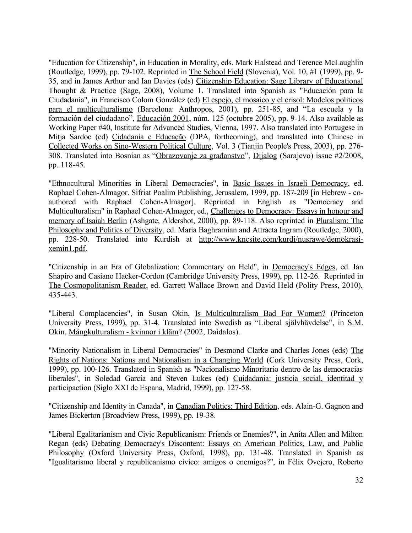"Education for Citizenship", in Education in Morality, eds. Mark Halstead and Terence McLaughlin (Routledge, 1999), pp. 79-102. Reprinted in The School Field (Slovenia), Vol. 10, #1 (1999), pp. 9- 35, and in James Arthur and Ian Davies (eds) Citizenship Education: Sage Library of Educational Thought & Practice (Sage, 2008), Volume 1. Translated into Spanish as "Educación para la Ciudadanía", in Francisco Colom González (ed) El espejo, el mosaico y el crisol: Modelos politicos para el multiculturalismo (Barcelona: Anthropos, 2001), pp. 251-85, and "La escuela y la formación del ciudadano", Educación 2001, núm. 125 (octubre 2005), pp. 9-14. Also available as Working Paper #40, Institute for Advanced Studies, Vienna, 1997. Also translated into Portugese in Mitja Sardoc (ed) Cidadania e Educação (DPA, forthcoming), and translated into Chinese in Collected Works on Sino-Western Political Culture, Vol. 3 (Tianjin People's Press, 2003), pp. 276- 308. Translated into Bosnian as "[Obrazovanje za građanstvo"](http://scholar.google.ca/citations?view_op=view_citation&hl=en&user=AoKsdeAAAAAJ&cstart=20&sortby=pubdate&citation_for_view=AoKsdeAAAAAJ:0KyAp5RtaNEC), Dijalog (Sarajevo) issue #2/2008, pp. 118-45.

"Ethnocultural Minorities in Liberal Democracies", in Basic Issues in Israeli Democracy, ed. Raphael Cohen-Almagor. Sifriat Poalim Publishing, Jerusalem, 1999, pp. 187-209 [in Hebrew - coauthored with Raphael Cohen-Almagor]. Reprinted in English as "Democracy and Multiculturalism" in Raphael Cohen-Almagor, ed., Challenges to Democracy: Essays in honour and memory of Isaiah Berlin (Ashgate, Aldershot, 2000), pp. 89-118. Also reprinted in Pluralism: The Philosophy and Politics of Diversity, ed. Maria Baghramian and Attracta Ingram (Routledge, 2000), pp. 228-50. Translated into Kurdish at [http://www.kncsite.com/kurdi/nusrawe/demokrasi](http://www.kncsite.com/kurdi/nusrawe/demokrasi-xemin1.pdf)[xemin1.pdf](http://www.kncsite.com/kurdi/nusrawe/demokrasi-xemin1.pdf).

"Citizenship in an Era of Globalization: Commentary on Held", in Democracy's Edges, ed. Ian Shapiro and Casiano Hacker-Cordon (Cambridge University Press, 1999), pp. 112-26. Reprinted in The Cosmopolitanism Reader, ed. Garrett Wallace Brown and David Held (Polity Press, 2010), 435-443.

"Liberal Complacencies", in Susan Okin, Is Multiculturalism Bad For Women? (Princeton University Press, 1999), pp. 31-4. Translated into Swedish as "Liberal självhävdelse", in S.M. Okin, Mångkulturalism - kvinnor i kläm? (2002, Daidalos).

"Minority Nationalism in Liberal Democracies" in Desmond Clarke and Charles Jones (eds) The Rights of Nations: Nations and Nationalism in a Changing World (Cork University Press, Cork, 1999), pp. 100-126. Translated in Spanish as "Nacionalismo Minoritario dentro de las democracias liberales", in Soledad Garcia and Steven Lukes (ed) Cuidadania: justicia social, identitad y participaction (Siglo XXI de Espana, Madrid, 1999), pp. 127-58.

"Citizenship and Identity in Canada", in Canadian Politics: Third Edition, eds. Alain-G. Gagnon and James Bickerton (Broadview Press, 1999), pp. 19-38.

"Liberal Egalitarianism and Civic Republicanism: Friends or Enemies?", in Anita Allen and Milton Regan (eds) Debating Democracy's Discontent: Essays on American Politics, Law, and Public Philosophy (Oxford University Press, Oxford, 1998), pp. 131-48. Translated in Spanish as "Igualitarismo liberal y republicanismo civico: amigos o enemigos?", in Félix Ovejero, Roberto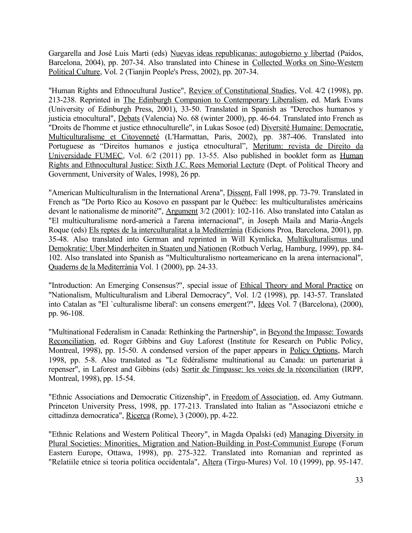Gargarella and José Luis Marti (eds) Nuevas ideas republicanas: autogobierno y libertad (Paidos, Barcelona, 2004), pp. 207-34. Also translated into Chinese in Collected Works on Sino-Western Political Culture, Vol. 2 (Tianjin People's Press, 2002), pp. 207-34.

"Human Rights and Ethnocultural Justice", Review of Constitutional Studies, Vol. 4/2 (1998), pp. 213-238. Reprinted in The Edinburgh Companion to Contemporary Liberalism, ed. Mark Evans (University of Edinburgh Press, 2001), 33-50. Translated in Spanish as "Derechos humanos y justicia etnocultural", Debats (Valencia) No. 68 (winter 2000), pp. 46-64. Translated into French as "Droits de l'homme et justice ethnoculturelle", in Lukas Sosoe (ed) Diversité Humaine: Democratie, Multiculturalisme et Citoyenneté (L'Harmattan, Paris, 2002), pp. 387-406. Translated into Portuguese as "Direitos humanos e justiça etnocultural", Meritum: revista de Direito da Universidade FUMEC, Vol. 6/2 (2011) pp. 13-55. Also published in booklet form as Human Rights and Ethnocultural Justice: Sixth J.C. Rees Memorial Lecture (Dept. of Political Theory and Government, University of Wales, 1998), 26 pp.

"American Multiculturalism in the International Arena", Dissent, Fall 1998, pp. 73-79. Translated in French as "De Porto Rico au Kosovo en passpant par le Québec: les multiculturalistes américains devant le nationalisme de minorité"', Argument 3/2 (2001): 102-116. Also translated into Catalan as "El multiculturalisme nord-americà a l'arena internacional", in Joseph Maila and Maria-Àngels Roque (eds) Els reptes de la interculturalitat a la Mediterrània (Edicions Proa, Barcelona, 2001), pp. 35-48. Also translated into German and reprinted in Will Kymlicka, Multikulturalismus und Demokratie: Uber Minderheiten in Staaten und Nationen (Rotbuch Verlag, Hamburg, 1999), pp. 84- 102. Also translated into Spanish as "Multiculturalismo norteamericano en la arena internacional", Quaderns de la Mediterrània Vol. 1 (2000), pp. 24-33.

"Introduction: An Emerging Consensus?", special issue of Ethical Theory and Moral Practice on "Nationalism, Multiculturalism and Liberal Democracy", Vol. 1/2 (1998), pp. 143-57. Translated into Catalan as "El `culturalisme liberal': un consens emergent?", Idees Vol. 7 (Barcelona), (2000), pp. 96-108.

"Multinational Federalism in Canada: Rethinking the Partnership", in Beyond the Impasse: Towards Reconciliation, ed. Roger Gibbins and Guy Laforest (Institute for Research on Public Policy, Montreal, 1998), pp. 15-50. A condensed version of the paper appears in Policy Options, March 1998, pp. 5-8. Also translated as "Le fédéralisme multinational au Canada: un partenariat à repenser", in Laforest and Gibbins (eds) Sortir de l'impasse: les voies de la réconciliation (IRPP, Montreal, 1998), pp. 15-54.

"Ethnic Associations and Democratic Citizenship", in Freedom of Association, ed. Amy Gutmann. Princeton University Press, 1998, pp. 177-213. Translated into Italian as "Associazoni etniche e cittadinza democratica", Ricerca (Rome), 3 (2000), pp. 4-22.

"Ethnic Relations and Western Political Theory", in Magda Opalski (ed) Managing Diversity in Plural Societies: Minorities, Migration and Nation-Building in Post-Communist Europe (Forum Eastern Europe, Ottawa, 1998), pp. 275-322. Translated into Romanian and reprinted as "Relatiile etnice si teoria politica occidentala", Altera (Tirgu-Mures) Vol. 10 (1999), pp. 95-147.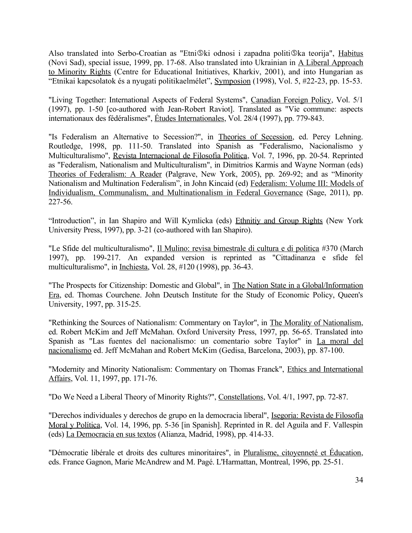Also translated into Serbo-Croatian as "Etni ®ki odnosi i zapadna politi ®ka teorija", Habitus (Novi Sad), special issue, 1999, pp. 17-68. Also translated into Ukrainian in A Liberal Approach to Minority Rights (Centre for Educational Initiatives, Kharkiv, 2001), and into Hungarian as "Etnikai kapcsolatok és a nyugati politikaelmélet", Symposion (1998), Vol. 5, #22-23, pp. 15-53.

"Living Together: International Aspects of Federal Systems", Canadian Foreign Policy, Vol. 5/1 (1997), pp. 1-50 [co-authored with Jean-Robert Raviot]. Translated as "Vie commune: aspects internationaux des fédéralismes", Études Internationales, Vol. 28/4 (1997), pp. 779-843.

"Is Federalism an Alternative to Secession?", in Theories of Secession, ed. Percy Lehning. Routledge, 1998, pp. 111-50. Translated into Spanish as "Federalismo, Nacionalismo y Multiculturalismo", Revista Internacional de Filosofia Politica, Vol. 7, 1996, pp. 20-54. Reprinted as "Federalism, Nationalism and Multiculturalism", in Dimitrios Karmis and Wayne Norman (eds) Theories of Federalism: A Reader (Palgrave, New York, 2005), pp. 269-92; and as "Minority Nationalism and Multination Federalism", in John Kincaid (ed) Federalism: Volume III: Models of Individualism, Communalism, and Multinationalism in Federal Governance (Sage, 2011), pp. 227-56.

"Introduction", in Ian Shapiro and Will Kymlicka (eds) Ethnitiy and Group Rights (New York University Press, 1997), pp. 3-21 (co-authored with Ian Shapiro).

"Le Sfide del multiculturalismo", Il Mulino: revisa bimestrale di cultura e di politica #370 (March 1997), pp. 199-217. An expanded version is reprinted as "Cittadinanza e sfide fel multiculturalismo", in Inchiesta, Vol. 28, #120 (1998), pp. 36-43.

"The Prospects for Citizenship: Domestic and Global", in The Nation State in a Global/Information Era, ed. Thomas Courchene. John Deutsch Institute for the Study of Economic Policy, Queen's University, 1997, pp. 315-25.

"Rethinking the Sources of Nationalism: Commentary on Taylor", in The Morality of Nationalism, ed. Robert McKim and Jeff McMahan. Oxford University Press, 1997, pp. 56-65. Translated into Spanish as "Las fuentes del nacionalismo: un comentario sobre Taylor" in La moral del nacionalismo ed. Jeff McMahan and Robert McKim (Gedisa, Barcelona, 2003), pp. 87-100.

"Modernity and Minority Nationalism: Commentary on Thomas Franck", Ethics and International Affairs, Vol. 11, 1997, pp. 171-76.

"Do We Need a Liberal Theory of Minority Rights?", Constellations, Vol. 4/1, 1997, pp. 72-87.

"Derechos individuales y derechos de grupo en la democracia liberal", Isegoria: Revista de Filosofía Moral y Política, Vol. 14, 1996, pp. 5-36 [in Spanish]. Reprinted in R. del Aguila and F. Vallespin (eds) La Democracia en sus textos (Alianza, Madrid, 1998), pp. 414-33.

"Démocratie libérale et droits des cultures minoritaires", in Pluralisme, citoyenneté et Éducation, eds. France Gagnon, Marie McAndrew and M. Pagé. L'Harmattan, Montreal, 1996, pp. 25-51.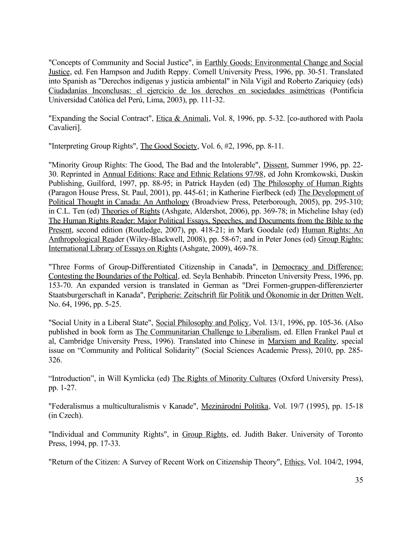"Concepts of Community and Social Justice", in Earthly Goods: Environmental Change and Social Justice, ed. Fen Hampson and Judith Reppy. Cornell University Press, 1996, pp. 30-51. Translated into Spanish as "Derechos indígenas y justicia ambiental" in Nila Vigil and Roberto Zariquiey (eds) Ciudadanías Inconclusas: el ejercicio de los derechos en sociedades asimétricas (Pontificia Universidad Católica del Perú, Lima, 2003), pp. 111-32.

"Expanding the Social Contract", Etica & Animali, Vol. 8, 1996, pp. 5-32. [co-authored with Paola Cavalieri].

"Interpreting Group Rights", The Good Society, Vol. 6, #2, 1996, pp. 8-11.

"Minority Group Rights: The Good, The Bad and the Intolerable", Dissent, Summer 1996, pp. 22- 30. Reprinted in Annual Editions: Race and Ethnic Relations 97/98, ed John Kromkowski, Duskin Publishing, Guilford, 1997, pp. 88-95; in Patrick Hayden (ed) The Philosophy of Human Rights (Paragon House Press, St. Paul, 2001), pp. 445-61; in Katherine Fierlbeck (ed) The Development of Political Thought in Canada: An Anthology (Broadview Press, Peterborough, 2005), pp. 295-310; in C.L. Ten (ed) Theories of Rights (Ashgate, Aldershot, 2006), pp. 369-78; in Micheline Ishay (ed) The Human Rights Reader: Major Political Essays, Speeches, and Documents from the Bible to the Present, second edition (Routledge, 2007), pp. 418-21; in Mark Goodale (ed) Human Rights: An Anthropological Reader (Wiley-Blackwell, 2008), pp. 58-67; and in Peter Jones (ed) Group Rights: International Library of Essays on Rights (Ashgate, 2009), 469-78.

"Three Forms of Group-Differentiated Citizenship in Canada", in Democracy and Difference: Contesting the Boundaries of the Poltical, ed. Seyla Benhabib. Princeton University Press, 1996, pp. 153-70. An expanded version is translated in German as "Drei Formen-gruppen-differenzierter Staatsburgerschaft in Kanada", Peripherie: Zeitschrift für Politik und Ökonomie in der Dritten Welt, No. 64, 1996, pp. 5-25.

"Social Unity in a Liberal State", Social Philosophy and Policy, Vol. 13/1, 1996, pp. 105-36. (Also published in book form as The Communitarian Challenge to Liberalism, ed. Ellen Frankel Paul et al, Cambridge University Press, 1996). Translated into Chinese in Marxism and Reality, special issue on "Community and Political Solidarity" (Social Sciences Academic Press), 2010, pp. 285- 326.

"Introduction", in Will Kymlicka (ed) The Rights of Minority Cultures (Oxford University Press), pp. 1-27.

"Federalismus a multiculturalismis v Kanade", Mezinárodní Politika, Vol. 19/7 (1995), pp. 15-18 (in Czech).

"Individual and Community Rights", in Group Rights, ed. Judith Baker. University of Toronto Press, 1994, pp. 17-33.

"Return of the Citizen: A Survey of Recent Work on Citizenship Theory", *Ethics*, Vol. 104/2, 1994,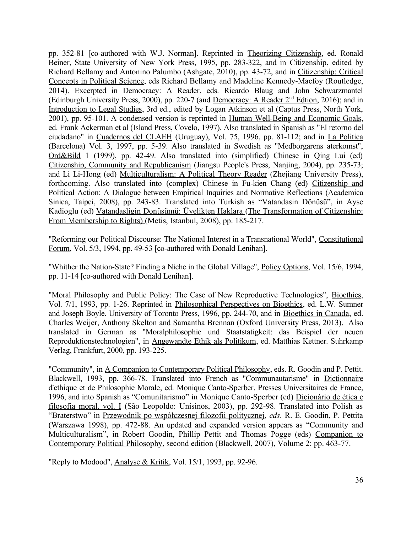pp. 352-81 [co-authored with W.J. Norman]. Reprinted in Theorizing Citizenship, ed. Ronald Beiner, State University of New York Press, 1995, pp. 283-322, and in Citizenship, edited by Richard Bellamy and Antonino Palumbo (Ashgate, 2010), pp. 43-72, and in Citizenship: Critical Concepts in Political Science, eds Richard Bellamy and Madeline Kennedy-Macfoy (Routledge, 2014). Excerpted in Democracy: A Reader, eds. Ricardo Blaug and John Schwarzmantel (Edinburgh University Press, 2000), pp. 220-7 (and Democracy: A Reader 2<sup>nd</sup> Edtion, 2016); and in Introduction to Legal Studies, 3rd ed., edited by Logan Atkinson et al (Captus Press, North York, 2001), pp. 95-101. A condensed version is reprinted in Human Well-Being and Economic Goals, ed. Frank Ackerman et al (Island Press, Covelo, 1997). Also translated in Spanish as "El retorno del ciudadano" in Cuadernos del CLAEH (Uruguay), Vol. 75, 1996, pp. 81-112; and in La Politica (Barcelona) Vol. 3, 1997, pp. 5-39. Also translated in Swedish as "Medborgarens aterkomst", Ord&Bild 1 (1999), pp. 42-49. Also translated into (simplified) Chinese in Qing Lui (ed) Citizenship, Community and Republicanism (Jiangsu People's Press, Nanjing, 2004), pp. 235-73; and Li Li-Hong (ed) Multiculturalism: A Political Theory Reader (Zhejiang University Press), forthcoming. Also translated into (complex) Chinese in Fu-kien Chang (ed) Citizenship and Political Action: A Dialogue between Empirical Inquiries and Normative Reflections (Academica Sinica, Taipei, 2008), pp. 243-83. Translated into Turkish as "Vatandasin Dönüsü", in Ayse Kadioglu (ed) Vatandasligin Donüsümü: Üyelikten Haklara (The Transformation of Citizenship: From Membership to Rights) (Metis, Istanbul, 2008), pp. 185-217.

"Reforming our Political Discourse: The National Interest in a Transnational World", Constitutional Forum, Vol. 5/3, 1994, pp. 49-53 [co-authored with Donald Lenihan].

"Whither the Nation-State? Finding a Niche in the Global Village", Policy Options, Vol. 15/6, 1994, pp. 11-14 [co-authored with Donald Lenihan].

"Moral Philosophy and Public Policy: The Case of New Reproductive Technologies", Bioethics, Vol. 7/1, 1993, pp. 1-26. Reprinted in Philosophical Perspectives on Bioethics, ed. L.W. Sumner and Joseph Boyle. University of Toronto Press, 1996, pp. 244-70, and in Bioethics in Canada, ed. Charles Weijer, Anthony Skelton and Samantha Brennan (Oxford University Press, 2013). Also translated in German as "Moralphilosophie und Staatstatigkeit: das Beispiel der neuen Reproduktionstechnologien", in Angewandte Ethik als Politikum, ed. Matthias Kettner. Suhrkamp Verlag, Frankfurt, 2000, pp. 193-225.

"Community", in A Companion to Contemporary Political Philosophy, eds. R. Goodin and P. Pettit. Blackwell, 1993, pp. 366-78. Translated into French as "Communautarisme" in Dictionnaire d'ethique et de Philosophie Morale, ed. Monique Canto-Sperber. Presses Universitaires de France, 1996, and into Spanish as "Comunitarismo" in Monique Canto-Sperber (ed) Dicionário de ética e filosofia moral, vol. I (São Leopoldo: Unisinos, 2003), pp. 292-98. Translated into Polish as "Braterstwo" in Przewodnik po współczesnej filozofii politycznej*, eds.* R. E. Goodin, P. Pettita (Warszawa 1998), pp. 472-88. An updated and expanded version appears as "Community and Multiculturalism", in Robert Goodin, Phillip Pettit and Thomas Pogge (eds) Companion to Contemporary Political Philosophy, second edition (Blackwell, 2007), Volume 2: pp. 463-77.

"Reply to Modood", Analyse & Kritik, Vol. 15/1, 1993, pp. 92-96.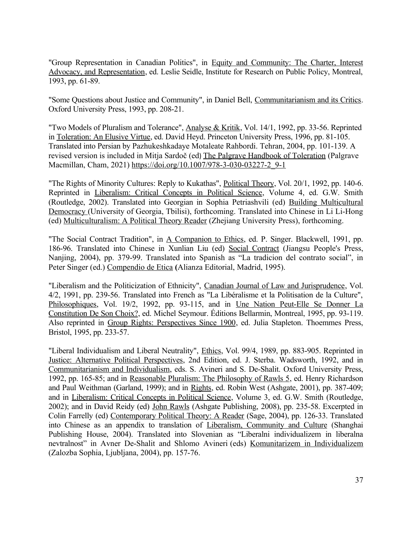"Group Representation in Canadian Politics", in Equity and Community: The Charter, Interest Advocacy, and Representation, ed. Leslie Seidle, Institute for Research on Public Policy, Montreal, 1993, pp. 61-89.

"Some Questions about Justice and Community", in Daniel Bell, Communitarianism and its Critics. Oxford University Press, 1993, pp. 208-21.

"Two Models of Pluralism and Tolerance", Analyse & Kritik, Vol. 14/1, 1992, pp. 33-56. Reprinted in Toleration: An Elusive Virtue, ed. David Heyd. Princeton University Press, 1996, pp. 81-105. Translated into Persian by Pazhukeshkadaye Motaleate Rahbordi. Tehran, 2004, pp. 101-139. A revised version is included in Mitja Sardoč (ed) The Palgrave Handbook of Toleration (Palgrave Macmillan, Cham, 2021) [https://doi.org/10.1007/978-3-030-03227-2\\_9-1](https://doi.org/10.1007/978-3-030-03227-2_9-1)

"The Rights of Minority Cultures: Reply to Kukathas", Political Theory, Vol. 20/1, 1992, pp. 140-6. Reprinted in Liberalism: Critical Concepts in Political Science, Volume 4, ed. G.W. Smith (Routledge, 2002). Translated into Georgian in Sophia Petriashvili (ed) Building Multicultural Democracy (University of Georgia, Tbilisi), forthcoming. Translated into Chinese in Li Li-Hong (ed) Multiculturalism: A Political Theory Reader (Zhejiang University Press), forthcoming.

"The Social Contract Tradition", in A Companion to Ethics, ed. P. Singer. Blackwell, 1991, pp. 186-96. Translated into Chinese in Xunlian Liu (ed) Social Contract (Jiangsu People's Press, Nanjing, 2004), pp. 379-99. Translated into Spanish as "La tradicion del contrato social", in Peter Singer (ed.) Compendio de Etica **(**Alianza Editorial, Madrid, 1995).

"Liberalism and the Politicization of Ethnicity", Canadian Journal of Law and Jurisprudence, Vol. 4/2, 1991, pp. 239-56. Translated into French as "La Libéralisme et la Politisation de la Culture", Philosophiques, Vol. 19/2, 1992, pp. 93-115, and in Une Nation Peut-Elle Se Donner La Constitution De Son Choix?, ed. Michel Seymour. Éditions Bellarmin, Montreal, 1995, pp. 93-119. Also reprinted in Group Rights: Perspectives Since 1900, ed. Julia Stapleton. Thoemmes Press, Bristol, 1995, pp. 233-57.

"Liberal Individualism and Liberal Neutrality", Ethics, Vol. 99/4, 1989, pp. 883-905. Reprinted in Justice: Alternative Political Perspectives, 2nd Edition, ed. J. Sterba. Wadsworth, 1992, and in Communitarianism and Individualism, eds. S. Avineri and S. De-Shalit. Oxford University Press, 1992, pp. 165-85; and in Reasonable Pluralism: The Philosophy of Rawls 5, ed. Henry Richardson and Paul Weithman (Garland, 1999); and in Rights, ed. Robin West (Ashgate, 2001), pp. 387-409; and in Liberalism: Critical Concepts in Political Science, Volume 3, ed. G.W. Smith (Routledge, 2002); and in David Reidy (ed) John Rawls (Ashgate Publishing, 2008), pp. 235-58. Excerpted in Colin Farrelly (ed) Contemporary Political Theory: A Reader (Sage, 2004), pp. 126-33. Translated into Chinese as an appendix to translation of Liberalism, Community and Culture (Shanghai Publishing House, 2004). Translated into Slovenian as "Liberalni individualizem in liberalna nevtralnost" in Avner De-Shalit and Shlomo Avineri (eds) Komunitarizem in Individualizem (Zalozba Sophia, Ljubljana, 2004), pp. 157-76.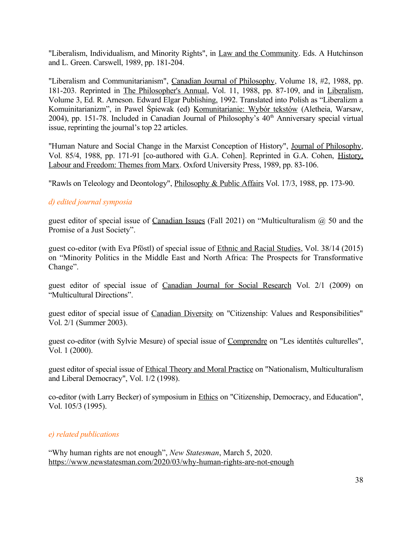"Liberalism, Individualism, and Minority Rights", in Law and the Community. Eds. A Hutchinson and L. Green. Carswell, 1989, pp. 181-204.

"Liberalism and Communitarianism", Canadian Journal of Philosophy, Volume 18, #2, 1988, pp. 181-203. Reprinted in The Philosopher's Annual, Vol. 11, 1988, pp. 87-109, and in Liberalism, Volume 3, Ed. R. Arneson. Edward Elgar Publishing, 1992. Translated into Polish as "Liberalizm a Komuinitarianizm", in Pawel Śpiewak (ed) Komunitarianie: Wybór tekstów (Aletheia, Warsaw, 2004), pp. 151-78. Included in Canadian Journal of Philosophy's  $40<sup>th</sup>$  Anniversary special virtual issue, reprinting the journal's top 22 articles.

"Human Nature and Social Change in the Marxist Conception of History", Journal of Philosophy, Vol. 85/4, 1988, pp. 171-91 [co-authored with G.A. Cohen]. Reprinted in G.A. Cohen, History, Labour and Freedom: Themes from Marx. Oxford University Press, 1989, pp. 83-106.

"Rawls on Teleology and Deontology", *Philosophy & Public Affairs Vol.* 17/3, 1988, pp. 173-90.

### *d) edited journal symposia*

guest editor of special issue of Canadian Issues (Fall 2021) on "Multiculturalism  $\omega$  50 and the Promise of a Just Society".

guest co-editor (with Eva Pföstl) of special issue of Ethnic and Racial Studies, Vol. 38/14 (2015) on "Minority Politics in the Middle East and North Africa: The Prospects for Transformative Change".

guest editor of special issue of Canadian Journal for Social Research Vol. 2/1 (2009) on "Multicultural Directions".

guest editor of special issue of Canadian Diversity on "Citizenship: Values and Responsibilities" Vol. 2/1 (Summer 2003).

guest co-editor (with Sylvie Mesure) of special issue of Comprendre on "Les identités culturelles", Vol. 1 (2000).

guest editor of special issue of Ethical Theory and Moral Practice on "Nationalism, Multiculturalism and Liberal Democracy", Vol. 1/2 (1998).

co-editor (with Larry Becker) of symposium in Ethics on "Citizenship, Democracy, and Education", Vol. 105/3 (1995).

### *e) related publications*

"Why human rights are not enough", *New Statesman*, March 5, 2020. <https://www.newstatesman.com/2020/03/why-human-rights-are-not-enough>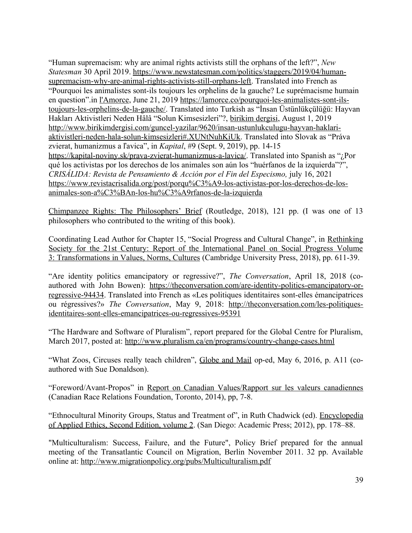"Human supremacism: why are animal rights activists still the orphans of the left?", *New Statesman* 30 April 2019. [https://www.newstatesman.com/politics/staggers/2019/04/human](https://www.newstatesman.com/politics/staggers/2019/04/human-supremacism-why-are-animal-rights-activists-still-orphans-left)[supremacism-why-are-animal-rights-activists-still-orphans-left.](https://www.newstatesman.com/politics/staggers/2019/04/human-supremacism-why-are-animal-rights-activists-still-orphans-left) Translated into French as "Pourquoi les animalistes sont-ils toujours les orphelins de la gauche? Le suprémacisme humain en question".in [l'Amorce,](https://can01.safelinks.protection.outlook.com/?url=https%3A%2F%2Flamorce.co%2F&data=02%7C01%7Ckymlicka@queensu.ca%7Ca02b487d47634352091008d6ce40cdb3%7Cd61ecb3b38b142d582c4efb2838b925c%7C1%7C1%7C636923175054721153&sdata=Tqf8hcUqZXmu%2F7IQ1dEFCPaZpZ6pxQhbYLgWONDkVyc%3D&reserved=0) June 21, 2019 [https://lamorce.co/pourquoi-les-animalistes-sont-ils](https://can01.safelinks.protection.outlook.com/?url=https%3A%2F%2Flamorce.co%2Fpourquoi-les-animalistes-sont-ils-toujours-les-orphelins-de-la-gauche%2F&data=02%7C01%7Ckymlicka@queensu.ca%7C136aa8c959e74c9f6cbb08d6f649b0fe%7Cd61ecb3b38b142d582c4efb2838b925c%7C1%7C0%7C636967193702562472&sdata=HkBBDpQNgX2jBIETPVdfyEAeDN1zxQQtSeh6SlPh%2Fmg%3D&reserved=0)[toujours-les-orphelins-de-la-gauche/](https://can01.safelinks.protection.outlook.com/?url=https%3A%2F%2Flamorce.co%2Fpourquoi-les-animalistes-sont-ils-toujours-les-orphelins-de-la-gauche%2F&data=02%7C01%7Ckymlicka@queensu.ca%7C136aa8c959e74c9f6cbb08d6f649b0fe%7Cd61ecb3b38b142d582c4efb2838b925c%7C1%7C0%7C636967193702562472&sdata=HkBBDpQNgX2jBIETPVdfyEAeDN1zxQQtSeh6SlPh%2Fmg%3D&reserved=0). Translated into Turkish as "İnsan Üstünlükçülüğü: Hayvan Hakları Aktivistleri Neden Hâlâ "Solun Kimsesizleri"?, birikim dergisi, August 1, 2019 [http://www.birikimdergisi.com/guncel-yazilar/9620/insan-ustunlukculugu-hayvan-haklari](http://www.birikimdergisi.com/guncel-yazilar/9620/insan-ustunlukculugu-hayvan-haklari-aktivistleri-neden-hala-solun-kimsesizleri#.XUNtNuhKiUk)[aktivistleri-neden-hala-solun-kimsesizleri#.XUNtNuhKiUk](http://www.birikimdergisi.com/guncel-yazilar/9620/insan-ustunlukculugu-hayvan-haklari-aktivistleri-neden-hala-solun-kimsesizleri#.XUNtNuhKiUk). Translated into Slovak as "Práva zvierat, humanizmus a ľavica", in *Kapital*, #9 (Sept. 9, 2019), pp. 14-15 <https://kapital-noviny.sk/prava-zvierat-humanizmus-a-lavica/>. Translated into Spanish as "*i*Por qué los activistas por los derechos de los animales son aún los "huérfanos de la izquierda"?", *CRISÁLIDA: Revista de Pensamiento & Acción por el Fin del Especismo, july 16, 2021* [https://www.revistacrisalida.org/post/porqu%C3%A9-los-activistas-por-los-derechos-de-los](https://www.revistacrisalida.org/post/porqu%C3%A9-los-activistas-por-los-derechos-de-los-animales-son-a%C3%BAn-los-hu%C3%A9rfanos-de-la-izquierda)[animales-son-a%C3%BAn-los-hu%C3%A9rfanos-de-la-izquierda](https://www.revistacrisalida.org/post/porqu%C3%A9-los-activistas-por-los-derechos-de-los-animales-son-a%C3%BAn-los-hu%C3%A9rfanos-de-la-izquierda)

Chimpanzee Rights: The Philosophers' Brief (Routledge, 2018), 121 pp. (I was one of 13 philosophers who contributed to the writing of this book).

Coordinating Lead Author for Chapter 15, "Social Progress and Cultural Change", in Rethinking Society for the 21st Century: Report of the International Panel on Social Progress Volume 3: Transformations in Values, Norms, Cultures (Cambridge University Press, 2018), pp. 611-39.

"Are identity politics emancipatory or regressive?", *The Conversation*, April 18, 2018 (coauthored with John Bowen): [https://theconversation.com/are-identity-politics-emancipatory-or](https://theconversation.com/are-identity-politics-emancipatory-or-regressive-94434)[regressive-94434.](https://theconversation.com/are-identity-politics-emancipatory-or-regressive-94434) Translated into French as «Les politiques identitaires sont-elles émancipatrices ou régressives?» *The Conversation*, May 9, 2018: [http://theconversation.com/les-politiques](http://theconversation.com/les-politiques-identitaires-sont-elles-emancipatrices-ou-regressives-95391)[identitaires-sont-elles-emancipatrices-ou-regressives-95391](http://theconversation.com/les-politiques-identitaires-sont-elles-emancipatrices-ou-regressives-95391)

"The Hardware and Software of Pluralism", report prepared for the Global Centre for Pluralism, March 2017, posted at:<http://www.pluralism.ca/en/programs/country-change-cases.html>

"What Zoos, Circuses really teach children", Globe and Mail op-ed, May 6, 2016, p. A11 (coauthored with Sue Donaldson).

"Foreword/Avant-Propos" in Report on Canadian Values/Rapport sur les valeurs canadiennes (Canadian Race Relations Foundation, Toronto, 2014), pp, 7-8.

"Ethnocultural Minority Groups, Status and Treatment of", in Ruth Chadwick (ed). Encyclopedia of Applied Ethics, Second Edition, volume 2. (San Diego: Academic Press; 2012), pp. 178–88.

"Multiculturalism: Success, Failure, and the Future", Policy Brief prepared for the annual meeting of the Transatlantic Council on Migration, Berlin November 2011. 32 pp. Available online at:<http://www.migrationpolicy.org/pubs/Multiculturalism.pdf>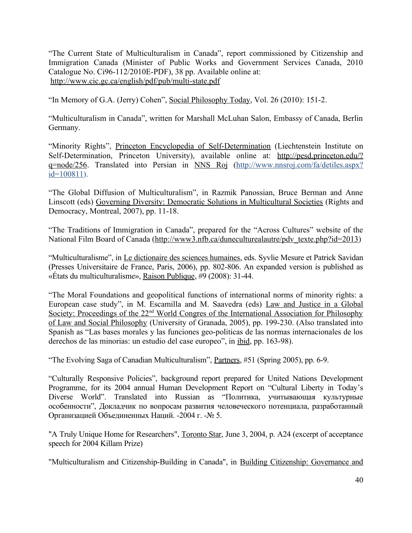"The Current State of Multiculturalism in Canada", report commissioned by Citizenship and Immigration Canada (Minister of Public Works and Government Services Canada, 2010 Catalogue No. Ci96-112/2010E-PDF), 38 pp. Available online at: <http://www.cic.gc.ca/english/pdf/pub/multi-state.pdf>

"In Memory of G.A. (Jerry) Cohen", Social Philosophy Today, Vol. 26 (2010): 151-2.

"Multiculturalism in Canada", written for Marshall McLuhan Salon, Embassy of Canada, Berlin Germany.

"Minority Rights", Princeton Encyclopedia of Self-Determination (Liechtenstein Institute on Self-Determination, Princeton University), available online at: [http://pesd.princeton.edu/?](http://pesd.princeton.edu/?q=node/256) [q=node/256](http://pesd.princeton.edu/?q=node/256). Translated into Persian in NNS Roj [\(http://www.nnsroj.com/fa/detiles.aspx?](http://www.nnsroj.com/fa/detiles.aspx?id=100811)  $id=100811$ ).

"The Global Diffusion of Multiculturalism", in Razmik Panossian, Bruce Berman and Anne Linscott (eds) Governing Diversity: Democratic Solutions in Multicultural Societies (Rights and Democracy, Montreal, 2007), pp. 11-18.

"The Traditions of Immigration in Canada", prepared for the "Across Cultures" website of the National Film Board of Canada [\(http://www3.nfb.ca/duneculturealautre/pdv\\_texte.php?id=2013\)](http://www3.nfb.ca/duneculturealautre/pdv_texte.php?id=2013)

"Multiculturalisme", in Le dictionaire des sciences humaines, eds. Syvlie Mesure et Patrick Savidan (Presses Universitaire de France, Paris, 2006), pp. 802-806. An expanded version is published as «États du multiculturalisme», Raison Publique, #9 (2008): 31-44.

"The Moral Foundations and geopolitical functions of international norms of minority rights: a European case study", in M. Escamilla and M. Saavedra (eds) Law and Justice in a Global Society: Proceedings of the 22<sup>nd</sup> World Congres of the International Association for Philosophy of Law and Social Philosophy (University of Granada, 2005), pp. 199-230. (Also translated into Spanish as "Las bases morales y las funciones geo-politicas de las normas internacionales de los derechos de las minorias: un estudio del case europeo", in ibid, pp. 163-98).

"The Evolving Saga of Canadian Multiculturalism", Partners, #51 (Spring 2005), pp. 6-9.

"Culturally Responsive Policies", background report prepared for United Nations Development Programme, for its 2004 annual Human Development Report on "Cultural Liberty in Today's Diverse World". Translated into Russian as "Политика, учитывающая культурные особенности", Докладчик по вопросам развития человеческого потенциала, разработанный Организацией Объединенных Наций. -2004 г. -№ 5.

"A Truly Unique Home for Researchers", Toronto Star, June 3, 2004, p. A24 (excerpt of acceptance speech for 2004 Killam Prize)

"Multiculturalism and Citizenship-Building in Canada", in Building Citizenship: Governance and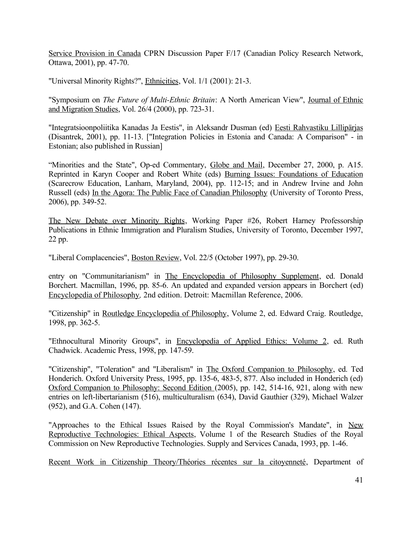Service Provision in Canada CPRN Discussion Paper F/17 (Canadian Policy Research Network, Ottawa, 2001), pp. 47-70.

"Universal Minority Rights?", Ethnicities, Vol. 1/1 (2001): 21-3.

"Symposium on *The Future of Multi-Ethnic Britain*: A North American View", Journal of Ethnic and Migration Studies, Vol. 26/4 (2000), pp. 723-31.

"Integratsioonpoliitika Kanadas Ja Eestis", in Aleksandr Dusman (ed) Eesti Rahvastiku Lillipärjas (Disantrek, 2001), pp. 11-13. ["Integration Policies in Estonia and Canada: A Comparison" - in Estonian; also published in Russian]

"Minorities and the State", Op-ed Commentary, Globe and Mail, December 27, 2000, p. A15. Reprinted in Karyn Cooper and Robert White (eds) Burning Issues: Foundations of Education (Scarecrow Education, Lanham, Maryland, 2004), pp. 112-15; and in Andrew Irvine and John Russell (eds) In the Agora: The Public Face of Canadian Philosophy (University of Toronto Press, 2006), pp. 349-52.

The New Debate over Minority Rights, Working Paper #26, Robert Harney Professorship Publications in Ethnic Immigration and Pluralism Studies, University of Toronto, December 1997, 22 pp.

"Liberal Complacencies", Boston Review, Vol. 22/5 (October 1997), pp. 29-30.

entry on "Communitarianism" in The Encyclopedia of Philosophy Supplement, ed. Donald Borchert. Macmillan, 1996, pp. 85-6. An updated and expanded version appears in Borchert (ed) Encyclopedia of Philosophy*,* 2nd edition. Detroit: Macmillan Reference, 2006.

"Citizenship" in Routledge Encyclopedia of Philosophy, Volume 2, ed. Edward Craig. Routledge, 1998, pp. 362-5.

"Ethnocultural Minority Groups", in Encyclopedia of Applied Ethics: Volume 2, ed. Ruth Chadwick. Academic Press, 1998, pp. 147-59.

"Citizenship", "Toleration" and "Liberalism" in The Oxford Companion to Philosophy, ed. Ted Honderich. Oxford University Press, 1995, pp. 135-6, 483-5, 877. Also included in Honderich (ed) Oxford Companion to Philosophy: Second Edition (2005), pp. 142, 514-16, 921, along with new entries on left-libertarianism (516), multiculturalism (634), David Gauthier (329), Michael Walzer (952), and G.A. Cohen (147).

"Approaches to the Ethical Issues Raised by the Royal Commission's Mandate", in New Reproductive Technologies: Ethical Aspects, Volume 1 of the Research Studies of the Royal Commission on New Reproductive Technologies. Supply and Services Canada, 1993, pp. 1-46.

Recent Work in Citizenship Theory/Théories récentes sur la citoyenneté, Department of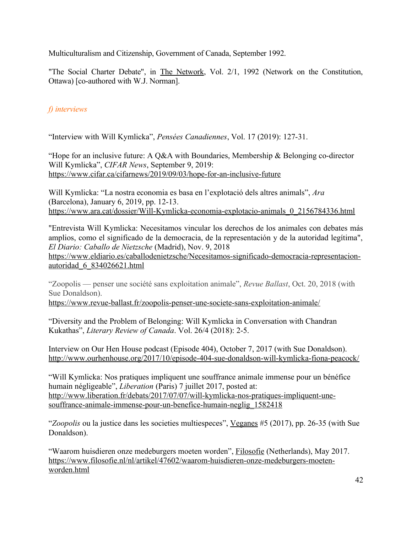Multiculturalism and Citizenship, Government of Canada, September 1992.

"The Social Charter Debate", in The Network, Vol. 2/1, 1992 (Network on the Constitution, Ottawa) [co-authored with W.J. Norman].

# *f) interviews*

"Interview with Will Kymlicka", *Pensées Canadiennes*, Vol. 17 (2019): 127-31.

"Hope for an inclusive future: A Q&A with Boundaries, Membership & Belonging co-director Will Kymlicka", *CIFAR News*, September 9, 2019: <https://www.cifar.ca/cifarnews/2019/09/03/hope-for-an-inclusive-future>

Will Kymlicka: "La nostra economia es basa en l'explotació dels altres animals", *Ara*  (Barcelona), January 6, 2019, pp. 12-13. [https://www.ara.cat/dossier/Will-Kymlicka-economia-explotacio-animals\\_0\\_2156784336.html](https://www.ara.cat/dossier/Will-Kymlicka-economia-explotacio-animals_0_2156784336.html)

"Entrevista Will Kymlicka: Necesitamos vincular los derechos de los animales con debates más amplios, como el significado de la democracia, de la representación y de la autoridad legítima", *El Diario: Caballo de Nietzsche* (Madrid), Nov. 9, 2018

[https://www.eldiario.es/caballodenietzsche/Necesitamos-significado-democracia-representacion](https://www.eldiario.es/caballodenietzsche/Necesitamos-significado-democracia-representacion-autoridad_6_834026621.html)[autoridad\\_6\\_834026621.html](https://www.eldiario.es/caballodenietzsche/Necesitamos-significado-democracia-representacion-autoridad_6_834026621.html)

"Zoopolis — penser une société sans exploitation animale", *Revue Ballast*, Oct. 20, 2018 (with Sue Donaldson).

<https://www.revue-ballast.fr/zoopolis-penser-une-societe-sans-exploitation-animale/>

"Diversity and the Problem of Belonging: Will Kymlicka in Conversation with Chandran Kukathas", *Literary Review of Canada*. Vol. 26/4 (2018): 2-5.

Interview on Our Hen House podcast (Episode 404), October 7, 2017 (with Sue Donaldson). <http://www.ourhenhouse.org/2017/10/episode-404-sue-donaldson-will-kymlicka-fiona-peacock/>

"Will Kymlicka: Nos pratiques impliquent une souffrance animale immense pour un bénéfice humain négligeable", *Liberation* (Paris) 7 juillet 2017, posted at: [http://www.liberation.fr/debats/2017/07/07/will-kymlicka-nos-pratiques-impliquent-une](https://na01.safelinks.protection.outlook.com/?url=http%3A%2F%2Fwww.liberation.fr%2Fdebats%2F2017%2F07%2F07%2Fwill-kymlicka-nos-pratiques-impliquent-une-souffrance-animale-immense-pour-un-benefice-humain-neglig_1582418&data=02%7C01%7Ckymlicka@queensu.ca%7C4342c8c5d0be4410249708d4c5dc55fb%7Cd61ecb3b38b142d582c4efb2838b925c%7C1%7C0%7C636350997505160890&sdata=JyD19SmAm8RRt2INm5G980%2BMOuJWCvLlS3EH52UgCJk%3D&reserved=0)[souffrance-animale-immense-pour-un-benefice-humain-neglig\\_1582418](https://na01.safelinks.protection.outlook.com/?url=http%3A%2F%2Fwww.liberation.fr%2Fdebats%2F2017%2F07%2F07%2Fwill-kymlicka-nos-pratiques-impliquent-une-souffrance-animale-immense-pour-un-benefice-humain-neglig_1582418&data=02%7C01%7Ckymlicka@queensu.ca%7C4342c8c5d0be4410249708d4c5dc55fb%7Cd61ecb3b38b142d582c4efb2838b925c%7C1%7C0%7C636350997505160890&sdata=JyD19SmAm8RRt2INm5G980%2BMOuJWCvLlS3EH52UgCJk%3D&reserved=0)

"*Zoopolis* ou la justice dans les societies multiespeces", Veganes #5 (2017), pp. 26-35 (with Sue Donaldson).

"Waarom huisdieren onze medeburgers moeten worden", Filosofie (Netherlands), May 2017. [https://www.filosofie.nl/nl/artikel/47602/waarom-huisdieren-onze-medeburgers-moeten](https://www.filosofie.nl/nl/artikel/47602/waarom-huisdieren-onze-medeburgers-moeten-worden.html)[worden.html](https://www.filosofie.nl/nl/artikel/47602/waarom-huisdieren-onze-medeburgers-moeten-worden.html)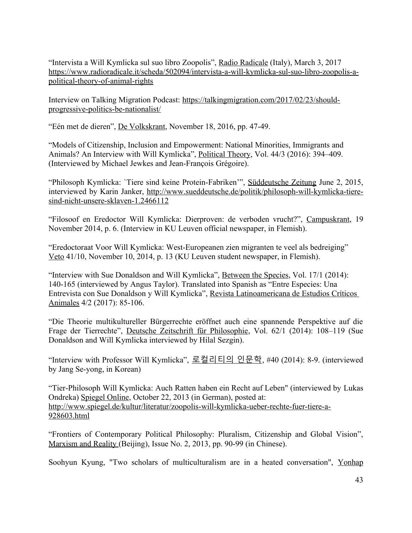"Intervista a Will Kymlicka sul suo libro Zoopolis", Radio Radicale (Italy), March 3, 2017 [https://www.radioradicale.it/scheda/502094/intervista-a-will-kymlicka-sul-suo-libro-zoopolis-a](https://www.radioradicale.it/scheda/502094/intervista-a-will-kymlicka-sul-suo-libro-zoopolis-a-political-theory-of-animal-rights)[political-theory-of-animal-rights](https://www.radioradicale.it/scheda/502094/intervista-a-will-kymlicka-sul-suo-libro-zoopolis-a-political-theory-of-animal-rights)

Interview on Talking Migration Podcast: [https://talkingmigration.com/2017/02/23/should](https://talkingmigration.com/2017/02/23/should-progressive-politics-be-nationalist/)[progressive-politics-be-nationalist/](https://talkingmigration.com/2017/02/23/should-progressive-politics-be-nationalist/)

"Eén met de dieren", De Volkskrant, November 18, 2016, pp. 47-49.

"Models of Citizenship, Inclusion and Empowerment: National Minorities, Immigrants and Animals? An Interview with Will Kymlicka", Political Theory, Vol. 44/3 (2016): 394–409. (Interviewed by Michael Jewkes and Jean-François Grégoire).

"Philosoph Kymlicka: `Tiere sind keine Protein-Fabriken'", [Süddeutsche Zeitung](http://www.sueddeutsche.de/copyright) June 2, 2015, interviewed by Karin Janker, [http://www.sueddeutsche.de/politik/philosoph-will-kymlicka-tiere](http://www.sueddeutsche.de/politik/philosoph-will-kymlicka-tiere-sind-nicht-unsere-sklaven-1.2466112)[sind-nicht-unsere-sklaven-1.2466112](http://www.sueddeutsche.de/politik/philosoph-will-kymlicka-tiere-sind-nicht-unsere-sklaven-1.2466112)

"Filosoof en Eredoctor Will Kymlicka: Dierproven: de verboden vrucht?", Campuskrant, 19 November 2014, p. 6. (Interview in KU Leuven official newspaper, in Flemish).

"Eredoctoraat Voor Will Kymlicka: West-Europeanen zien migranten te veel als bedreiging" Veto 41/10, November 10, 2014, p. 13 (KU Leuven student newspaper, in Flemish).

"Interview with Sue Donaldson and Will Kymlicka", Between the Species, Vol. 17/1 (2014): 140-165 (interviewed by Angus Taylor). Translated into Spanish as "Entre Especies: Una Entrevista con Sue Donaldson y Will Kymlicka", Revista Latinoamericana de Estudios Críticos Animales 4/2 (2017): 85-106.

"Die Theorie multikultureller Bürgerrechte eröffnet auch eine spannende Perspektive auf die Frage der Tierrechte", Deutsche Zeitschrift für Philosophie, Vol. 62/1 (2014): 108–119 (Sue Donaldson and Will Kymlicka interviewed by Hilal Sezgin).

"Interview with Professor Will Kymlicka", 로컬리티의 인문학, #40 (2014): 8-9. (interviewed by Jang Se-yong, in Korean)

"Tier-Philosoph Will Kymlicka: Auch Ratten haben ein Recht auf Leben" (interviewed by [Lukas](mailto:lukas.ondreka@googlemail.com) [Ondreka](mailto:lukas.ondreka@googlemail.com)) Spiegel Online, October 22, 2013 (in German), posted at: [http://www.spiegel.de/kultur/literatur/zoopolis-will-kymlicka-ueber-rechte-fuer-tiere-a-](http://www.spiegel.de/kultur/literatur/zoopolis-will-kymlicka-ueber-rechte-fuer-tiere-a-928603.html)[928603.html](http://www.spiegel.de/kultur/literatur/zoopolis-will-kymlicka-ueber-rechte-fuer-tiere-a-928603.html)

"Frontiers of Contemporary Political Philosophy: Pluralism, Citizenship and Global Vision", Marxism and Reality (Beijing), Issue No. 2, 2013, pp. 90-99 (in Chinese).

Soohyun Kyung, "Two scholars of multiculturalism are in a heated conversation", Yonhap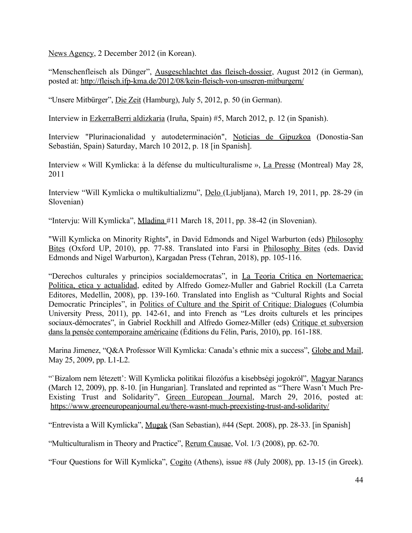News Agency, 2 December 2012 (in Korean).

["Menschenfleisch als Dünger](http://fleisch.ifp-kma.de/2012/08/kein-fleisch-von-unseren-mitburgern/)", Ausgeschlachtet das fleisch-dossier, August 2012 (in German), posted at: <http://fleisch.ifp-kma.de/2012/08/kein-fleisch-von-unseren-mitburgern/>

"Unsere Mitbürger", Die Zeit (Hamburg), July 5, 2012, p. 50 (in German).

Interview in EzkerraBerri aldizkaria (Iruña, Spain) #5, March 2012, p. 12 (in Spanish).

Interview "Plurinacionalidad y autodeterminación", Noticias de Gipuzkoa (Donostia-San Sebastián, Spain) Saturday, March 10 2012, p. 18 [in Spanish].

Interview « Will Kymlicka: à la défense du multiculturalisme », La Presse (Montreal) May 28, 2011

Interview "Will Kymlicka o multikultializmu", Delo (Ljubljana), March 19, 2011, pp. 28-29 (in Slovenian)

"Intervju: Will Kymlicka", Mladina #11 March 18, 2011, pp. 38-42 (in Slovenian).

"Will Kymlicka on Minority Rights", in David Edmonds and Nigel Warburton (eds) Philosophy Bites (Oxford UP, 2010), pp. 77-88. Translated into Farsi in Philosophy Bites (eds. David Edmonds and Nigel Warburton), Kargadan Press (Tehran, 2018), pp. 105-116.

"Derechos culturales y principios socialdemocratas", in La Teoria Critica en Nortemaerica: Politica, etica y actualidad, edited by Alfredo Gomez-Muller and Gabriel Rockill (La Carreta Editores, Medellin, 2008), pp. 139-160. Translated into English as "Cultural Rights and Social Democratic Principles", in Politics of Culture and the Spirit of Critique: Dialogues (Columbia University Press, 2011), pp. 142-61, and into French as "Les droits culturels et les principes sociaux-démocrates", in Gabriel Rockhill and Alfredo Gomez-Miller (eds) Critique et subversion dans la pensée contemporaine américaine (Éditions du Félin, Paris, 2010), pp. 161-188.

Marina Jimenez, "Q&A Professor Will Kymlicka: Canada's ethnic mix a success", Globe and Mail, May 25, 2009, pp. L1-L2.

"`Bizalom nem létezett': Will Kymlicka politikai filozófus a kisebbségi jogokról", Magyar Narancs (March 12, 2009), pp. 8-10. [in Hungarian]. Translated and reprinted as "There Wasn't Much Pre-Existing Trust and Solidarity", Green European Journal, March 29, 2016, posted at: <https://www.greeneuropeanjournal.eu/there-wasnt-much-preexisting-trust-and-solidarity/>

"Entrevista a Will Kymlicka", Mugak (San Sebastian), #44 (Sept. 2008), pp. 28-33. [in Spanish]

"Multiculturalism in Theory and Practice", Rerum Causae, Vol. 1/3 (2008), pp. 62-70.

"Four Questions for Will Kymlicka", Cogito (Athens), issue #8 (July 2008), pp. 13-15 (in Greek).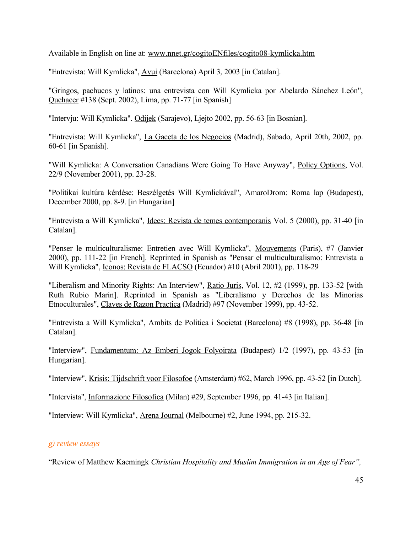Available in English on line at: [www.nnet.gr/cogitoENfiles/cogito08-kymlicka.htm](http://www.nnet.gr/cogito/cogitoENfiles/cogito08-kymlicka.htm)

"Entrevista: Will Kymlicka", Avui (Barcelona) April 3, 2003 [in Catalan].

"Gringos, pachucos y latinos: una entrevista con Will Kymlicka por Abelardo Sánchez León", Quehacer #138 (Sept. 2002), Lima, pp. 71-77 [in Spanish]

"Intervju: Will Kymlicka". Odijek (Sarajevo), Ljejto 2002, pp. 56-63 [in Bosnian].

"Entrevista: Will Kymlicka", La Gaceta de los Negocios (Madrid), Sabado, April 20th, 2002, pp. 60-61 [in Spanish].

"Will Kymlicka: A Conversation Canadians Were Going To Have Anyway", Policy Options, Vol. 22/9 (November 2001), pp. 23-28.

"Politikai kultúra kérdése: Beszélgetés Will Kymlickával", AmaroDrom: Roma lap (Budapest), December 2000, pp. 8-9. [in Hungarian]

"Entrevista a Will Kymlicka", Idees: Revista de temes contemporanis Vol. 5 (2000), pp. 31-40 [in Catalan].

"Penser le multiculturalisme: Entretien avec Will Kymlicka", Mouvements (Paris), #7 (Janvier 2000), pp. 111-22 [in French]. Reprinted in Spanish as "Pensar el multiculturalismo: Entrevista a Will Kymlicka", Iconos: Revista de FLACSO (Ecuador) #10 (Abril 2001), pp. 118-29

"Liberalism and Minority Rights: An Interview", Ratio Juris, Vol. 12, #2 (1999), pp. 133-52 [with Ruth Rubio Marin]. Reprinted in Spanish as "Liberalismo y Derechos de las Minorias Etnoculturales", Claves de Razon Practica (Madrid) #97 (November 1999), pp. 43-52.

"Entrevista a Will Kymlicka", Ambits de Politica i Societat (Barcelona) #8 (1998), pp. 36-48 [in Catalan].

"Interview", Fundamentum: Az Emberi Jogok Folyoirata (Budapest) 1/2 (1997), pp. 43-53 [in Hungarian].

"Interview", Krisis: Tijdschrift voor Filosofoe (Amsterdam) #62, March 1996, pp. 43-52 [in Dutch].

"Intervista", Informazione Filosofica (Milan) #29, September 1996, pp. 41-43 [in Italian].

"Interview: Will Kymlicka", Arena Journal (Melbourne) #2, June 1994, pp. 215-32.

#### *g) review essays*

"Review of Matthew Kaemingk *Christian Hospitality and Muslim Immigration in an Age of Fear",*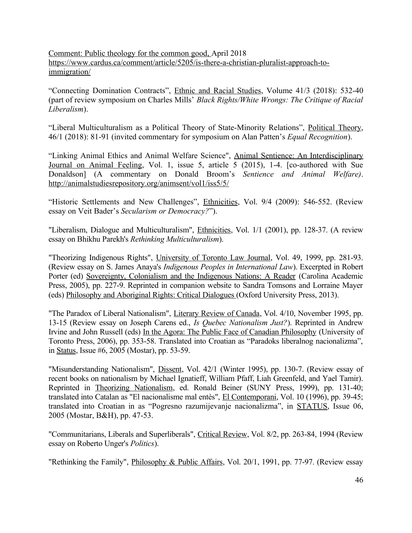Comment: Public theology for the common good, April 2018 [https://www.cardus.ca/comment/article/5205/is-there-a-christian-pluralist-approach-to](https://www.cardus.ca/comment/article/5205/is-there-a-christian-pluralist-approach-to-immigration/)[immigration/](https://www.cardus.ca/comment/article/5205/is-there-a-christian-pluralist-approach-to-immigration/)

"Connecting Domination Contracts", Ethnic and Racial Studies, Volume 41/3 (2018): 532-40 (part of review symposium on Charles Mills' *Black Rights/White Wrongs: The Critique of Racial Liberalism*).

"Liberal Multiculturalism as a Political Theory of State-Minority Relations", Political Theory, 46/1 (2018): 81-91 (invited commentary for symposium on Alan Patten's *Equal Recognition*).

"Linking Animal Ethics and Animal Welfare Science", Animal Sentience: An Interdisciplinary Journal on Animal Feeling, Vol. 1, issue 5, article 5 (2015), 1-4. [co-authored with Sue Donaldson] (A commentary on Donald Broom's *Sentience and Animal Welfare)*. <http://animalstudiesrepository.org/animsent/vol1/iss5/5/>

"Historic Settlements and New Challenges", Ethnicities, Vol. 9/4 (2009): 546-552. (Review essay on Veit Bader's *Secularism or Democracy?*").

"Liberalism, Dialogue and Multiculturalism", Ethnicities, Vol. 1/1 (2001), pp. 128-37. (A review essay on Bhikhu Parekh's *Rethinking Multiculturalism*).

"Theorizing Indigenous Rights", University of Toronto Law Journal, Vol. 49, 1999, pp. 281-93. (Review essay on S. James Anaya's *Indigenous Peoples in International Law*). Excerpted in Robert Porter (ed) Sovereignty, Colonialism and the Indigenous Nations: A Reader (Carolina Academic Press, 2005), pp. 227-9. Reprinted in companion website to Sandra Tomsons and Lorraine Mayer (eds) Philosophy and Aboriginal Rights: Critical Dialogues (Oxford University Press, 2013).

"The Paradox of Liberal Nationalism", Literary Review of Canada, Vol. 4/10, November 1995, pp. 13-15 (Review essay on Joseph Carens ed., *Is Quebec Nationalism Just?*). Reprinted in Andrew Irvine and John Russell (eds) In the Agora: The Public Face of Canadian Philosophy (University of Toronto Press, 2006), pp. 353-58. Translated into Croatian as "Paradoks liberalnog nacionalizma", in Status, Issue #6, 2005 (Mostar), pp. 53-59.

"Misunderstanding Nationalism", Dissent, Vol. 42/1 (Winter 1995), pp. 130-7. (Review essay of recent books on nationalism by Michael Ignatieff, William Pfaff, Liah Greenfeld, and Yael Tamir). Reprinted in Theorizing Nationalism, ed. Ronald Beiner (SUNY Press, 1999), pp. 131-40; translated into Catalan as "El nacionalisme mal entès", El Contemporani, Vol. 10 (1996), pp. 39-45; translated into Croatian in as "Pogresno razumijevanje nacionalizma", in STATUS, Issue 06, 2005 (Mostar, B&H), pp. 47-53.

"Communitarians, Liberals and Superliberals", Critical Review, Vol. 8/2, pp. 263-84, 1994 (Review essay on Roberto Unger's *Politics*).

"Rethinking the Family", *Philosophy & Public Affairs*, Vol. 20/1, 1991, pp. 77-97. (Review essay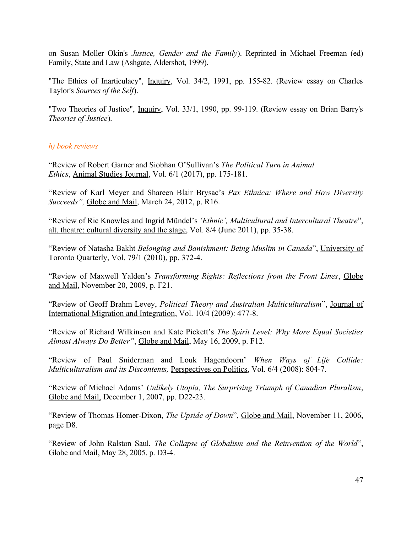on Susan Moller Okin's *Justice, Gender and the Family*). Reprinted in Michael Freeman (ed) Family, State and Law (Ashgate, Aldershot, 1999).

"The Ethics of Inarticulacy", Inquiry, Vol. 34/2, 1991, pp. 155-82. (Review essay on Charles Taylor's *Sources of the Self*).

"Two Theories of Justice", Inquiry, Vol. 33/1, 1990, pp. 99-119. (Review essay on Brian Barry's *Theories of Justice*).

#### *h) book reviews*

"Review of Robert Garner and Siobhan O'Sullivan's *The Political Turn in Animal Ethics*, Animal Studies Journal, Vol. 6/1 (2017), pp. 175-181.

"Review of Karl Meyer and Shareen Blair Brysac's *Pax Ethnica: Where and How Diversity Succeeds",* Globe and Mail, March 24, 2012, p. R16.

"Review of Ric Knowles and Ingrid Mündel's *'Ethnic', Multicultural and Intercultural Theatre*", alt. theatre: cultural diversity and the stage, Vol. 8/4 (June 2011), pp. 35-38.

"Review of Natasha Bakht *Belonging and Banishment: Being Muslim in Canada*", University of Toronto Quarterly, Vol. 79/1 (2010), pp. 372-4.

"Review of Maxwell Yalden's *Transforming Rights: Reflections from the Front Lines*, Globe and Mail, November 20, 2009, p. F21.

"Review of Geoff Brahm Levey, *Political Theory and Australian Multiculturalism*", Journal of International Migration and Integration, Vol. 10/4 (2009): 477-8.

"Review of Richard Wilkinson and Kate Pickett's *The Spirit Level: Why More Equal Societies Almost Always Do Better"*, Globe and Mail, May 16, 2009, p. F12.

"Review of Paul Sniderman and Louk Hagendoorn' *When Ways of Life Collide: Multiculturalism and its Discontents, Perspectives on Politics, Vol. 6/4 (2008): 804-7.* 

"Review of Michael Adams' *Unlikely Utopia, The Surprising Triumph of Canadian Pluralism*, Globe and Mail, December 1, 2007, pp. D22-23.

"Review of Thomas Homer-Dixon, *The Upside of Down*", Globe and Mail, November 11, 2006, page D8.

"Review of John Ralston Saul, *The Collapse of Globalism and the Reinvention of the World*", Globe and Mail, May 28, 2005, p. D3-4.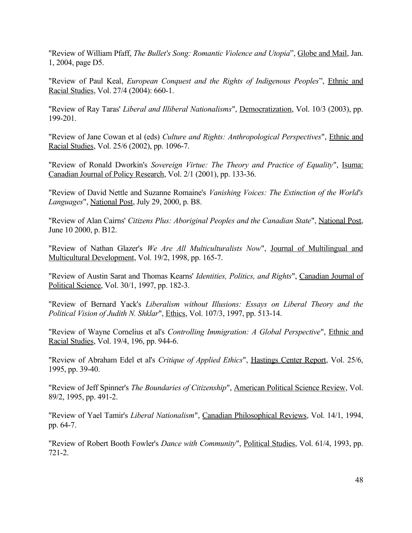"Review of William Pfaff, *The Bullet's Song: Romantic Violence and Utopia*", Globe and Mail, Jan. 1, 2004, page D5.

"Review of Paul Keal, *European Conquest and the Rights of Indigenous Peoples*", Ethnic and Racial Studies, Vol. 27/4 (2004): 660-1.

"Review of Ray Taras' *Liberal and Illiberal Nationalisms*", Democratization, Vol. 10/3 (2003), pp. 199-201.

"Review of Jane Cowan et al (eds) *Culture and Rights: Anthropological Perspectives*", Ethnic and Racial Studies, Vol. 25/6 (2002), pp. 1096-7.

"Review of Ronald Dworkin's *Sovereign Virtue: The Theory and Practice of Equality*", Isuma: Canadian Journal of Policy Research, Vol. 2/1 (2001), pp. 133-36.

"Review of David Nettle and Suzanne Romaine's *Vanishing Voices: The Extinction of the World's Languages*", National Post, July 29, 2000, p. B8.

"Review of Alan Cairns' *Citizens Plus: Aboriginal Peoples and the Canadian State*", National Post, June 10 2000, p. B12.

"Review of Nathan Glazer's *We Are All Multiculturalists Now*", Journal of Multilingual and Multicultural Development, Vol. 19/2, 1998, pp. 165-7.

"Review of Austin Sarat and Thomas Kearns' *Identities, Politics, and Rights*", Canadian Journal of Political Science, Vol. 30/1, 1997, pp. 182-3.

"Review of Bernard Yack's *Liberalism without Illusions: Essays on Liberal Theory and the Political Vision of Judith N. Shklar*", Ethics, Vol. 107/3, 1997, pp. 513-14.

"Review of Wayne Cornelius et al's *Controlling Immigration: A Global Perspective*", Ethnic and Racial Studies, Vol. 19/4, 196, pp. 944-6.

"Review of Abraham Edel et al's *Critique of Applied Ethics*", Hastings Center Report, Vol. 25/6, 1995, pp. 39-40.

"Review of Jeff Spinner's *The Boundaries of Citizenship*", American Political Science Review, Vol. 89/2, 1995, pp. 491-2.

"Review of Yael Tamir's *Liberal Nationalism*", Canadian Philosophical Reviews, Vol. 14/1, 1994, pp. 64-7.

"Review of Robert Booth Fowler's *Dance with Community*", Political Studies, Vol. 61/4, 1993, pp. 721-2.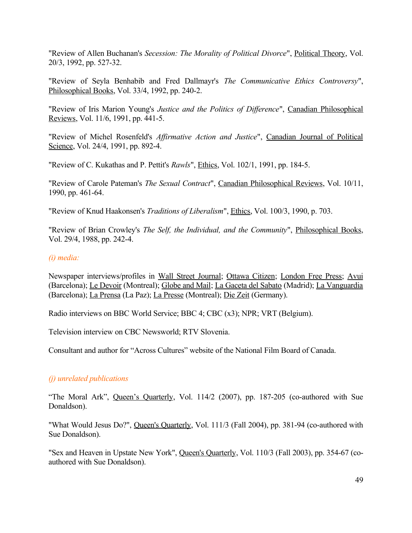"Review of Allen Buchanan's *Secession: The Morality of Political Divorce*", Political Theory, Vol. 20/3, 1992, pp. 527-32.

"Review of Seyla Benhabib and Fred Dallmayr's *The Communicative Ethics Controversy*", Philosophical Books, Vol. 33/4, 1992, pp. 240-2.

"Review of Iris Marion Young's *Justice and the Politics of Difference*", Canadian Philosophical Reviews, Vol. 11/6, 1991, pp. 441-5.

"Review of Michel Rosenfeld's *Affirmative Action and Justice*", Canadian Journal of Political Science, Vol. 24/4, 1991, pp. 892-4.

"Review of C. Kukathas and P. Pettit's *Rawls*", Ethics, Vol. 102/1, 1991, pp. 184-5.

"Review of Carole Pateman's *The Sexual Contract*", Canadian Philosophical Reviews, Vol. 10/11, 1990, pp. 461-64.

"Review of Knud Haakonsen's *Traditions of Liberalism*", Ethics, Vol. 100/3, 1990, p. 703.

"Review of Brian Crowley's *The Self, the Individual, and the Community*", Philosophical Books, Vol. 29/4, 1988, pp. 242-4.

#### *(i) media:*

Newspaper interviews/profiles in Wall Street Journal; Ottawa Citizen; London Free Press; Avui (Barcelona); Le Devoir (Montreal); Globe and Mail; La Gaceta del Sabato (Madrid); La Vanguardia (Barcelona); La Prensa (La Paz); La Presse (Montreal); Die Zeit (Germany).

Radio interviews on BBC World Service; BBC 4; CBC (x3); NPR; VRT (Belgium).

Television interview on CBC Newsworld; RTV Slovenia.

Consultant and author for "Across Cultures" website of the National Film Board of Canada.

#### *(j) unrelated publications*

"The Moral Ark", Queen's Quarterly, Vol. 114/2 (2007), pp. 187-205 (co-authored with Sue Donaldson).

"What Would Jesus Do?", Queen's Quarterly, Vol. 111/3 (Fall 2004), pp. 381-94 (co-authored with Sue Donaldson).

"Sex and Heaven in Upstate New York", Queen's Quarterly, Vol. 110/3 (Fall 2003), pp. 354-67 (coauthored with Sue Donaldson).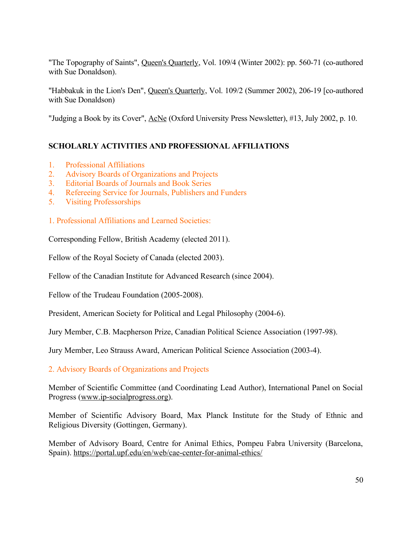"The Topography of Saints", Queen's Quarterly, Vol. 109/4 (Winter 2002): pp. 560-71 (co-authored with Sue Donaldson).

"Habbakuk in the Lion's Den", Queen's Quarterly, Vol. 109/2 (Summer 2002), 206-19 [co-authored with Sue Donaldson)

"Judging a Book by its Cover", AcNe (Oxford University Press Newsletter), #13, July 2002, p. 10.

# **SCHOLARLY ACTIVITIES AND PROFESSIONAL AFFILIATIONS**

- 1. Professional Affiliations
- 2. Advisory Boards of Organizations and Projects
- 3. Editorial Boards of Journals and Book Series
- 4. Refereeing Service for Journals, Publishers and Funders
- 5. Visiting Professorships
- 1. Professional Affiliations and Learned Societies:

Corresponding Fellow, British Academy (elected 2011).

Fellow of the Royal Society of Canada (elected 2003).

Fellow of the Canadian Institute for Advanced Research (since 2004).

Fellow of the Trudeau Foundation (2005-2008).

President, American Society for Political and Legal Philosophy (2004-6).

Jury Member, C.B. Macpherson Prize, Canadian Political Science Association (1997-98).

Jury Member, Leo Strauss Award, American Political Science Association (2003-4).

2. Advisory Boards of Organizations and Projects

Member of Scientific Committee (and Coordinating Lead Author), International Panel on Social Progress [\(www.ip-socialprogress.org](http://www.ip-socialprogress.org/)).

Member of Scientific Advisory Board, Max Planck Institute for the Study of Ethnic and Religious Diversity (Gottingen, Germany).

Member of Advisory Board, Centre for Animal Ethics, Pompeu Fabra University (Barcelona, Spain).<https://portal.upf.edu/en/web/cae-center-for-animal-ethics/>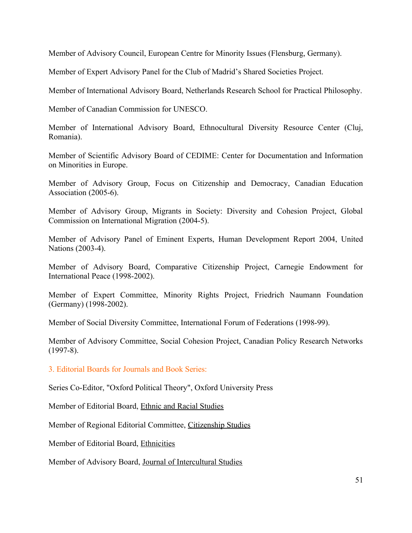Member of Advisory Council, European Centre for Minority Issues (Flensburg, Germany).

Member of Expert Advisory Panel for the Club of Madrid's Shared Societies Project.

Member of International Advisory Board, Netherlands Research School for Practical Philosophy.

Member of Canadian Commission for UNESCO.

Member of International Advisory Board, Ethnocultural Diversity Resource Center (Cluj, Romania).

Member of Scientific Advisory Board of CEDIME: Center for Documentation and Information on Minorities in Europe.

Member of Advisory Group, Focus on Citizenship and Democracy, Canadian Education Association (2005-6).

Member of Advisory Group, Migrants in Society: Diversity and Cohesion Project, Global Commission on International Migration (2004-5).

Member of Advisory Panel of Eminent Experts, Human Development Report 2004, United Nations (2003-4).

Member of Advisory Board, Comparative Citizenship Project, Carnegie Endowment for International Peace (1998-2002).

Member of Expert Committee, Minority Rights Project, Friedrich Naumann Foundation (Germany) (1998-2002).

Member of Social Diversity Committee, International Forum of Federations (1998-99).

Member of Advisory Committee, Social Cohesion Project, Canadian Policy Research Networks (1997-8).

3. Editorial Boards for Journals and Book Series:

Series Co-Editor, "Oxford Political Theory", Oxford University Press

Member of Editorial Board, Ethnic and Racial Studies

Member of Regional Editorial Committee, Citizenship Studies

Member of Editorial Board, Ethnicities

Member of Advisory Board, Journal of Intercultural Studies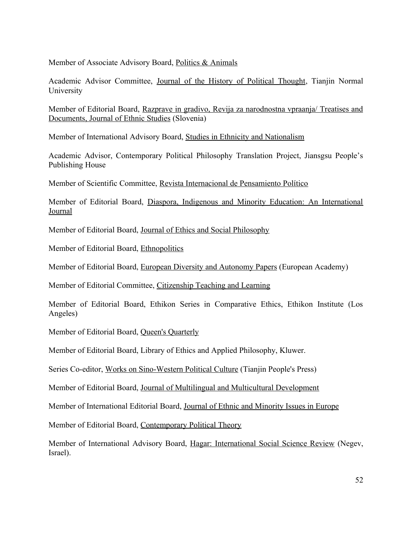Member of Associate Advisory Board, Politics & Animals

Academic Advisor Committee, Journal of the History of Political Thought, Tianjin Normal University

Member of Editorial Board, Razprave in gradivo, Revija za narodnostna vpraanja/ Treatises and Documents, Journal of Ethnic Studies (Slovenia)

Member of International Advisory Board, Studies in Ethnicity and Nationalism

Academic Advisor, Contemporary Political Philosophy Translation Project, Jiansgsu People's Publishing House

Member of Scientific Committee, Revista Internacional de Pensamiento Político

Member of Editorial Board, Diaspora, Indigenous and Minority Education: An International Journal

Member of Editorial Board, Journal of Ethics and Social Philosophy

Member of Editorial Board, Ethnopolitics

Member of Editorial Board, European Diversity and Autonomy Papers (European Academy)

Member of Editorial Committee, Citizenship Teaching and Learning

Member of Editorial Board, Ethikon Series in Comparative Ethics, Ethikon Institute (Los Angeles)

Member of Editorial Board, Queen's Quarterly

Member of Editorial Board, Library of Ethics and Applied Philosophy, Kluwer.

Series Co-editor, Works on Sino-Western Political Culture (Tianjin People's Press)

Member of Editorial Board, Journal of Multilingual and Multicultural Development

Member of International Editorial Board, Journal of Ethnic and Minority Issues in Europe

Member of Editorial Board, Contemporary Political Theory

Member of International Advisory Board, Hagar: International Social Science Review (Negev, Israel).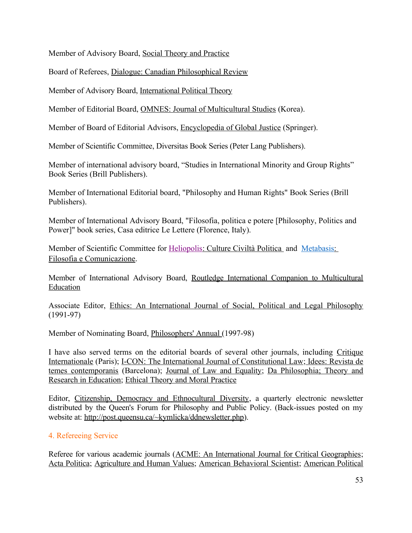Member of Advisory Board, Social Theory and Practice

Board of Referees, Dialogue: Canadian Philosophical Review

Member of Advisory Board, International Political Theory

Member of Editorial Board, OMNES: Journal of Multicultural Studies (Korea).

Member of Board of Editorial Advisors, Encyclopedia of Global Justice (Springer).

Member of Scientific Committee, Diversitas Book Series (Peter Lang Publishers).

Member of international advisory board, "Studies in International Minority and Group Rights" Book Series (Brill Publishers).

Member of International Editorial board, "Philosophy and Human Rights" Book Series (Brill Publishers).

Member of International Advisory Board, "Filosofia, politica e potere [Philosophy, Politics and Power]" book series, Casa editrice Le Lettere (Florence, Italy).

Member of Scientific Committee for Heliopolis: Culture Civiltà Politica and Metabasis: Filosofia e Comunicazione.

Member of International Advisory Board, Routledge International Companion to Multicultural Education

Associate Editor, Ethics: An International Journal of Social, Political and Legal Philosophy (1991-97)

Member of Nominating Board, Philosophers' Annual (1997-98)

I have also served terms on the editorial boards of several other journals, including Critique Internationale (Paris); I-CON: The International Journal of Constitutional Law; Idees: Revista de temes contemporanis (Barcelona); Journal of Law and Equality; Da Philosophia; Theory and Research in Education; Ethical Theory and Moral Practice

Editor, Citizenship, Democracy and Ethnocultural Diversity, a quarterly electronic newsletter distributed by the Queen's Forum for Philosophy and Public Policy. (Back-issues posted on my website at: [http://post.queensu.ca/~kymlicka/ddnewsletter.php\)](http://post.queensu.ca/~kymlicka/ddnewsletter.php).

# 4. Refereeing Service

Referee for various academic journals (ACME: An International Journal for Critical Geographies; Acta Politica; Agriculture and Human Values; American Behavioral Scientist; American Political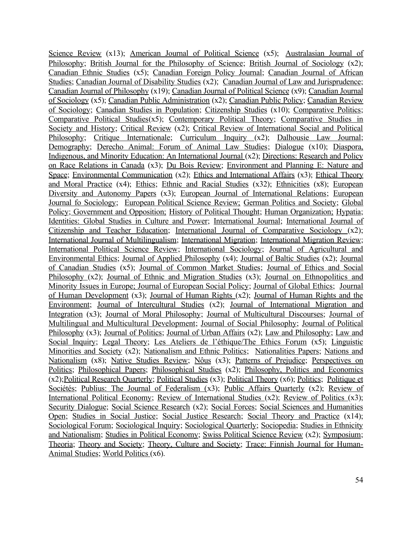Science Review (x13); American Journal of Political Science (x5); Australasian Journal of Philosophy; British Journal for the Philosophy of Science; British Journal of Sociology (x2); Canadian Ethnic Studies (x5); Canadian Foreign Policy Journal; Canadian Journal of African Studies; Canadian Journal of Disability Studies (x2); Canadian Journal of Law and Jurisprudence; Canadian Journal of Philosophy (x19); Canadian Journal of Political Science (x9); Canadian Journal of Sociology (x5); Canadian Public Administration (x2); Canadian Public Policy; Canadian Review of Sociology; Canadian Studies in Population; Citizenship Studies (x10); Comparative Politics; Comparative Political Studies(x5); Contemporary Political Theory; Comparative Studies in Society and History; Critical Review (x2); Critical Review of International Social and Political Philosophy; Critique Internationale; Curriculum Inquiry (x2); Dalhousie Law Journal; Demography; Derecho Animal: Forum of Animal Law Studies; Dialogue (x10); Diaspora, Indigenous, and Minority Education: An International Journal (x2); Directions: Research and Policy on Race Relations in Canada (x3); Du Bois Review; Environment and Planning E: Nature and Space; Environmental Communication (x2); Ethics and International Affairs (x3); Ethical Theory and Moral Practice (x4); Ethics; Ethnic and Racial Studies (x32); Ethnicities (x8); European Diversity and Autonomy Papers (x3); European Journal of International Relations; European Journal fo Sociology; European Political Science Review; German Politics and Society; Global Policy; Government and Opposition; History of Political Thought; Human Organization; Hypatia; Identities: Global Studies in Culture and Power; International Journal; International Journal of Citizenship and Teacher Education; International Journal of Comparative Sociology (x2); International Journal of Multilingualism; International Migration; International Migration Review; International Political Science Review; International Sociology; Journal of Agricultural and Environmental Ethics; Journal of Applied Philosophy (x4); Journal of Baltic Studies (x2); Journal of Canadian Studies (x5); Journal of Common Market Studies; Journal of Ethics and Social Philosophy (x2); Journal of Ethnic and Migration Studies (x3); Journal on Ethnopolitics and Minority Issues in Europe; Journal of European Social Policy; Journal of Global Ethics; Journal of Human Development (x3); Journal of Human Rights (x2); Journal of Human Rights and the Environment; Journal of Intercultural Studies (x2); Journal of International Migration and Integration (x3); Journal of Moral Philosophy; Journal of Multicultural Discourses; Journal of Multilingual and Multicultural Development; Journal of Social Philosophy; Journal of Political Philosophy (x3); Journal of Politics; Journal of Urban Affairs (x2); Law and Philosophy; Law and Social Inquiry; Legal Theory; Les Ateliers de l'éthique/The Ethics Forum (x5); Linguistic Minorities and Society (x2); Nationalism and Ethnic Politics; Nationalities Papers; Nations and Nationalism (x8); Native Studies Review; Nôus (x3); Patterns of Prejudice; Perspectives on Politics; Philosophical Papers; Philosophical Studies (x2); Philosophy, Politics and Economics (x2);Political Research Quarterly; Political Studies (x3); Political Theory (x6); Politics; Politique et Sociétés; Publius: The Journal of Federalism (x3); Public Affairs Quarterly (x2); Review of International Political Economy; Review of International Studies (x2); Review of Politics (x3); Security Dialogue; Social Science Research (x2); Social Forces; Social Sciences and Humanities Open; Studies in Social Justice; Social Justice Research; Social Theory and Practice (x14); Sociological Forum; Sociological Inquiry; Sociological Quarterly; Sociopedia; Studies in Ethnicity and Nationalism; Studies in Political Economy; Swiss Political Science Review (x2); Symposium; Theoria; Theory and Society; Theory, Culture and Society; Trace: Finnish Journal for Human-Animal Studies; World Politics (x6).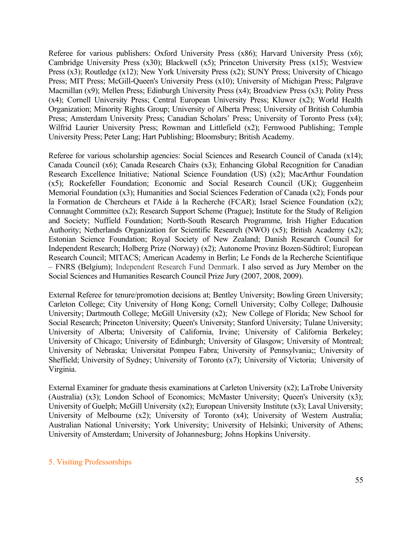Referee for various publishers: Oxford University Press (x86); Harvard University Press (x6); Cambridge University Press (x30); Blackwell (x5); Princeton University Press (x15); Westview Press (x3); Routledge (x12); New York University Press (x2); SUNY Press; University of Chicago Press; MIT Press; McGill-Queen's University Press (x10); University of Michigan Press; Palgrave Macmillan (x9); Mellen Press; Edinburgh University Press (x4); Broadview Press (x3); Polity Press (x4); Cornell University Press; Central European University Press; Kluwer (x2); World Health Organization; Minority Rights Group; University of Alberta Press; University of British Columbia Press; Amsterdam University Press; Canadian Scholars' Press; University of Toronto Press (x4); Wilfrid Laurier University Press; Rowman and Littlefield (x2); Fernwood Publishing; Temple University Press; Peter Lang; Hart Publishing; Bloomsbury; British Academy.

Referee for various scholarship agencies: Social Sciences and Research Council of Canada (x14); Canada Council (x6); Canada Research Chairs (x3); Enhancing Global Recognition for Canadian Research Excellence Initiative; National Science Foundation (US) (x2); MacArthur Foundation (x5); Rockefeller Foundation; Economic and Social Research Council (UK); Guggenheim Memorial Foundation (x3); Humanities and Social Sciences Federation of Canada (x2); Fonds pour la Formation de Chercheurs et l'Aide à la Recherche (FCAR); Israel Science Foundation (x2); Connaught Committee (x2); Research Support Scheme (Prague); Institute for the Study of Religion and Society; Nuffield Foundation; North-South Research Programme, Irish Higher Education Authority; Netherlands Organization for Scientific Research (NWO) (x5); British Academy (x2); Estonian Science Foundation; Royal Society of New Zealand; Danish Research Council for Independent Research; Holberg Prize (Norway) (x2); Autonome Provinz Bozen-Südtirol; European Research Council; MITACS; American Academy in Berlin; Le Fonds de la Recherche Scientifique – FNRS (Belgium); Independent Research Fund Denmark. I also served as Jury Member on the Social Sciences and Humanities Research Council Prize Jury (2007, 2008, 2009).

External Referee for tenure/promotion decisions at; Bentley University; Bowling Green University; Carleton College; City University of Hong Kong; Cornell University; Colby College; Dalhousie University; Dartmouth College; McGill University (x2); New College of Florida; New School for Social Research; Princeton University; Queen's University; Stanford University; Tulane University; University of Alberta; University of California, Irvine; University of California Berkeley; University of Chicago; University of Edinburgh; University of Glasgow; University of Montreal; University of Nebraska; Universitat Pompeu Fabra; University of Pennsylvania;; University of Sheffield; University of Sydney; University of Toronto (x7); University of Victoria; University of Virginia.

External Examiner for graduate thesis examinations at Carleton University (x2); LaTrobe University (Australia) (x3); London School of Economics; McMaster University; Queen's University (x3); University of Guelph; McGill University (x2); European University Institute (x3); Laval University; University of Melbourne (x2); University of Toronto (x4); University of Western Australia; Australian National University; York University; University of Helsinki; University of Athens; University of Amsterdam; University of Johannesburg; Johns Hopkins University.

#### 5. Visiting Professorships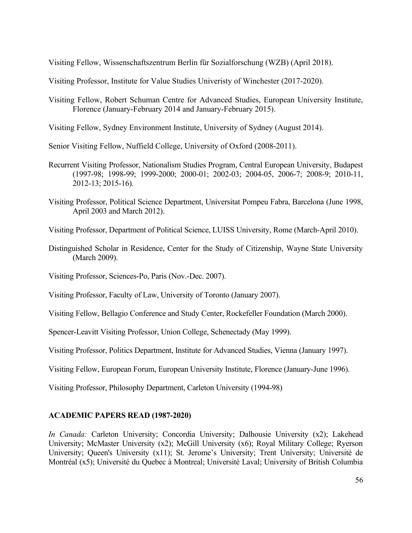Visiting Fellow, Wissenschaftszentrum Berlin für Sozialforschung (WZB) (April 2018).

Visiting Professor, Institute for Value Studies Univeristy of Winchester (2017-2020).

- Visiting Fellow, Robert Schuman Centre for Advanced Studies, European University Institute, Florence (January-February 2014 and January-February 2015).
- Visiting Fellow, Sydney Environment Institute, University of Sydney (August 2014).

Senior Visiting Fellow, Nuffield College, University of Oxford (2008-2011).

- Recurrent Visiting Professor, Nationalism Studies Program, Central European University, Budapest (1997-98; 1998-99; 1999-2000; 2000-01; 2002-03; 2004-05, 2006-7; 2008-9; 2010-11, 2012-13; 2015-16).
- Visiting Professor, Political Science Department, Universitat Pompeu Fabra, Barcelona (June 1998, April 2003 and March 2012).

Visiting Professor, Department of Political Science, LUISS University, Rome (March-April 2010).

Distinguished Scholar in Residence, Center for the Study of Citizenship, Wayne State University (March 2009).

Visiting Professor, Sciences-Po, Paris (Nov.-Dec. 2007).

Visiting Professor, Faculty of Law, University of Toronto (January 2007).

Visiting Fellow, Bellagio Conference and Study Center, Rockefeller Foundation (March 2000).

Spencer-Leavitt Visiting Professor, Union College, Schenectady (May 1999).

Visiting Professor, Politics Department, Institute for Advanced Studies, Vienna (January 1997).

Visiting Fellow, European Forum, European University Institute, Florence (January-June 1996).

Visiting Professor, Philosophy Department, Carleton University (1994-98)

#### **ACADEMIC PAPERS READ (1987-2020)**

*In Canada:* Carleton University; Concordia University; Dalhousie University (x2); Lakehead University; McMaster University (x2); McGill University (x6); Royal Military College; Ryerson University; Queen's University (x11); St. Jerome's University; Trent University; Université de Montréal (x5); Université du Quebec à Montreal; Université Laval; University of British Columbia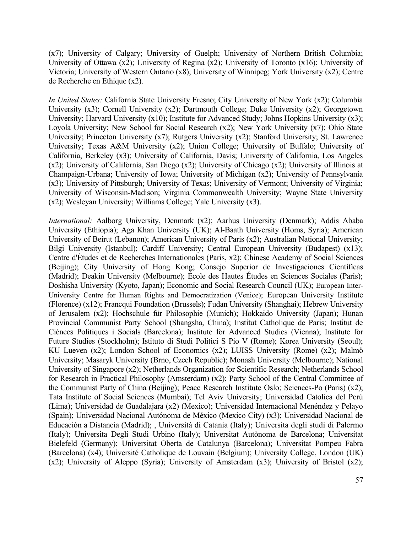(x7); University of Calgary; University of Guelph; University of Northern British Columbia; University of Ottawa (x2); University of Regina (x2); University of Toronto (x16); University of Victoria; University of Western Ontario (x8); University of Winnipeg; York University (x2); Centre de Recherche en Ethique (x2).

*In United States:* California State University Fresno; City University of New York (x2); Columbia University (x3); Cornell University (x2); Dartmouth College; Duke University (x2); Georgetown University; Harvard University (x10); Institute for Advanced Study; Johns Hopkins University (x3); Loyola University; New School for Social Research (x2); New York University (x7); Ohio State University; Princeton University (x7); Rutgers University (x2); Stanford University; St. Lawrence University; Texas A&M University (x2); Union College; University of Buffalo; University of California, Berkeley (x3); University of California, Davis; University of California, Los Angeles (x2); University of California, San Diego (x2); University of Chicago (x2); University of Illinois at Champaign-Urbana; University of Iowa; University of Michigan (x2); University of Pennsylvania (x3); University of Pittsburgh; University of Texas; University of Vermont; University of Virginia; University of Wisconsin-Madison; Virginia Commonwealth University; Wayne State University (x2); Wesleyan University; Williams College; Yale University (x3).

*International:* Aalborg University, Denmark (x2); Aarhus University (Denmark); Addis Ababa University (Ethiopia); Aga Khan University (UK); Al-Baath University (Homs, Syria); American University of Beirut (Lebanon); American University of Paris (x2); Australian National University; Bilgi University (Istanbul); Cardiff University; Central European University (Budapest) (x13); Centre d'Études et de Recherches Internationales (Paris, x2); Chinese Academy of Social Sciences (Beijing); City University of Hong Kong; Consejo Superior de Investigaciones Científicas (Madrid); Deakin University (Melbourne); École des Hautes Études en Sciences Sociales (Paris); Doshisha University (Kyoto, Japan); Economic and Social Research Council (UK); European Inter-University Centre for Human Rights and Democratization (Venice); European University Institute (Florence) (x12); Francqui Foundation (Brussels); Fudan University (Shanghai); Hebrew University of Jerusalem (x2); Hochschule für Philosophie (Munich); Hokkaido University (Japan); Hunan Provincial Communist Party School (Shangsha, China); Institut Catholique de Paris; Institut de Ciènces Politiques i Socials (Barcelona); Institute for Advanced Studies (Vienna); Institute for Future Studies (Stockholm); Istituto di Studi Politici S Pio V (Rome); Korea University (Seoul); KU Lueven (x2); London School of Economics (x2); LUISS University (Rome) (x2); Malmö University; Masaryk University (Brno, Czech Republic); Monash University (Melbourne); National University of Singapore (x2); Netherlands Organization for Scientific Research; Netherlands School for Research in Practical Philosophy (Amsterdam) (x2); Party School of the Central Committee of the Communist Party of China (Beijing); Peace Research Institute Oslo; Sciences-Po (Paris) (x2); Tata Institute of Social Sciences (Mumbai); Tel Aviv University; Universidad Catolica del Perú (Lima); Universidad de Guadalajara (x2) (Mexico); Universidad Internacional Menéndez y Pelayo (Spain); Universidad Nacional Autónoma de México (Mexico City) (x3); Universidad Nacional de Educación a Distancia (Madrid); , Università di Catania (Italy); Universita degli studi di Palermo (Italy); Universita Degli Studi Urbino (Italy); Universitat Autònoma de Barcelona; Universitat Bielefeld (Germany); Universitat Oberta de Catalunya (Barcelona); Universitat Pompeu Fabra (Barcelona) (x4); Université Catholique de Louvain (Belgium); University College, London (UK) (x2); University of Aleppo (Syria); University of Amsterdam (x3); University of Bristol (x2);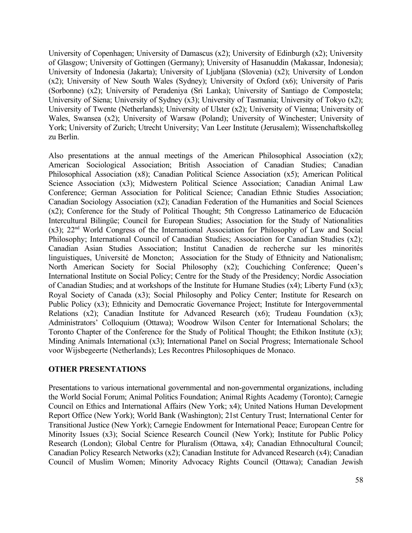University of Copenhagen; University of Damascus (x2); University of Edinburgh (x2); University of Glasgow; University of Gottingen (Germany); University of Hasanuddin (Makassar, Indonesia); University of Indonesia (Jakarta); University of Ljubljana (Slovenia) (x2); University of London (x2); University of New South Wales (Sydney); University of Oxford (x6); University of Paris (Sorbonne) (x2); University of Peradeniya (Sri Lanka); University of Santiago de Compostela; University of Siena; University of Sydney (x3); University of Tasmania; University of Tokyo (x2); University of Twente (Netherlands); University of Ulster (x2); University of Vienna; University of Wales, Swansea (x2); University of Warsaw (Poland); University of Winchester; University of York; University of Zurich; Utrecht University; Van Leer Institute (Jerusalem); Wissenchaftskolleg zu Berlin.

Also presentations at the annual meetings of the American Philosophical Association (x2); American Sociological Association; British Association of Canadian Studies; Canadian Philosophical Association (x8); Canadian Political Science Association (x5); American Political Science Association (x3); Midwestern Political Science Association; Canadian Animal Law Conference; German Association for Political Science; Canadian Ethnic Studies Association; Canadian Sociology Association (x2); Canadian Federation of the Humanities and Social Sciences (x2); Conference for the Study of Political Thought; 5th Congresso Latinamerico de Educación Intercultural Bilingüe; Council for European Studies; Association for the Study of Nationalities (x3); 22nd World Congress of the International Association for Philosophy of Law and Social Philosophy; International Council of Canadian Studies; Association for Canadian Studies (x2); Canadian Asian Studies Association; Institut Canadien de recherche sur les minorités linguistiques, Université de Moncton; Association for the Study of Ethnicity and Nationalism; North American Society for Social Philosophy (x2); Couchiching Conference; Queen's International Institute on Social Policy; Centre for the Study of the Presidency; Nordic Association of Canadian Studies; and at workshops of the Institute for Humane Studies (x4); Liberty Fund (x3); Royal Society of Canada (x3); Social Philosophy and Policy Center; Institute for Research on Public Policy (x3); Ethnicity and Democratic Governance Project; Institute for Intergovernmental Relations (x2); Canadian Institute for Advanced Research (x6); Trudeau Foundation (x3); Administrators' Colloquium (Ottawa); Woodrow Wilson Center for International Scholars; the Toronto Chapter of the Conference for the Study of Political Thought; the Ethikon Institute (x3); Minding Animals International (x3); International Panel on Social Progress; Internationale School voor Wijsbegeerte (Netherlands); Les Recontres Philosophiques de Monaco.

#### **OTHER PRESENTATIONS**

Presentations to various international governmental and non-governmental organizations, including the World Social Forum; Animal Politics Foundation; Animal Rights Academy (Toronto); Carnegie Council on Ethics and International Affairs (New York; x4); United Nations Human Development Report Office (New York); World Bank (Washington); 21st Century Trust; International Center for Transitional Justice (New York); Carnegie Endowment for International Peace; European Centre for Minority Issues (x3); Social Science Research Council (New York); Institute for Public Policy Research (London); Global Centre for Pluralism (Ottawa, x4); Canadian Ethnocultural Council; Canadian Policy Research Networks (x2); Canadian Institute for Advanced Research (x4); Canadian Council of Muslim Women; Minority Advocacy Rights Council (Ottawa); Canadian Jewish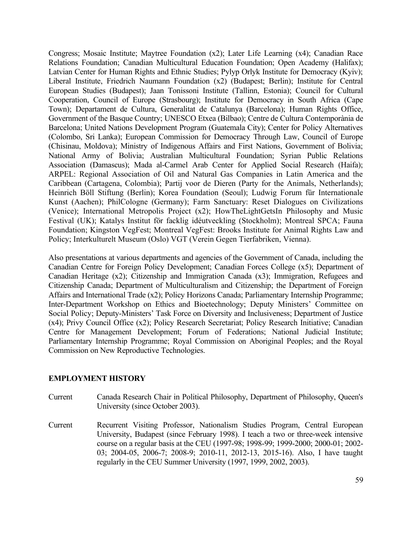Congress; Mosaic Institute; Maytree Foundation (x2); Later Life Learning (x4); Canadian Race Relations Foundation; Canadian Multicultural Education Foundation; Open Academy (Halifax); Latvian Center for Human Rights and Ethnic Studies; Pylyp Orlyk Institute for Democracy (Kyiv); Liberal Institute, Friedrich Naumann Foundation (x2) (Budapest; Berlin); Institute for Central European Studies (Budapest); Jaan Tonissoni Institute (Tallinn, Estonia); Council for Cultural Cooperation, Council of Europe (Strasbourg); Institute for Democracy in South Africa (Cape Town); Departament de Cultura, Generalitat de Catalunya (Barcelona); Human Rights Office, Government of the Basque Country; UNESCO Etxea (Bilbao); Centre de Cultura Contemporània de Barcelona; United Nations Development Program (Guatemala City); Center for Policy Alternatives (Colombo, Sri Lanka); European Commission for Democracy Through Law, Council of Europe (Chisinau, Moldova); Ministry of Indigenous Affairs and First Nations, Government of Bolivia; National Army of Bolivia; Australian Multicultural Foundation; Syrian Public Relations Association (Damascus); Mada al-Carmel Arab Center for Applied Social Research (Haifa); ARPEL: Regional Association of Oil and Natural Gas Companies in Latin America and the Caribbean (Cartagena, Colombia); Partij voor de Dieren (Party for the Animals, Netherlands); Heinrich Böll Stiftung (Berlin); Korea Foundation (Seoul); Ludwig Forum für Internationale Kunst (Aachen); PhilCologne (Germany); Farm Sanctuary: Reset Dialogues on Civilizations (Venice); International Metropolis Project (x2); HowTheLightGetsIn Philosophy and Music Festival (UK); Katalys Institut för facklig idéutveckling (Stockholm); Montreal SPCA; Fauna Foundation; Kingston VegFest; Montreal VegFest: Brooks Institute for Animal Rights Law and Policy; Interkulturelt Museum (Oslo) VGT (Verein Gegen Tierfabriken, Vienna).

Also presentations at various departments and agencies of the Government of Canada, including the Canadian Centre for Foreign Policy Development; Canadian Forces College (x5); Department of Canadian Heritage (x2); Citizenship and Immigration Canada (x3); Immigration, Refugees and Citizenship Canada; Department of Multiculturalism and Citizenship; the Department of Foreign Affairs and International Trade (x2); Policy Horizons Canada; Parliamentary Internship Programme; Inter-Department Workshop on Ethics and Bioetechnology; Deputy Ministers' Committee on Social Policy; Deputy-Ministers' Task Force on Diversity and Inclusiveness; Department of Justice (x4); Privy Council Office (x2); Policy Research Secretariat; Policy Research Initiative; Canadian Centre for Management Development; Forum of Federations; National Judicial Institute; Parliamentary Internship Programme; Royal Commission on Aboriginal Peoples; and the Royal Commission on New Reproductive Technologies.

#### **EMPLOYMENT HISTORY**

- Current Canada Research Chair in Political Philosophy, Department of Philosophy, Queen's University (since October 2003).
- Current Recurrent Visiting Professor, Nationalism Studies Program, Central European University, Budapest (since February 1998). I teach a two or three-week intensive course on a regular basis at the CEU (1997-98; 1998-99; 1999-2000; 2000-01; 2002- 03; 2004-05, 2006-7; 2008-9; 2010-11, 2012-13, 2015-16). Also, I have taught regularly in the CEU Summer University (1997, 1999, 2002, 2003).